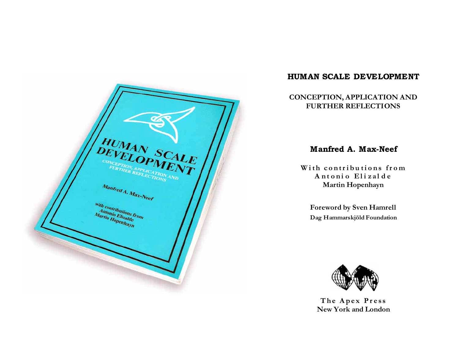

# **HUMAN SCALE DEVELOPMENT**

# **CONCEPTION, APPLICATION AND FURTHER REFLECTIONS**

# **Manfred A. Max-Neef**

**With contributions from** Antonio Elizalde **Martin Hopenhayn**

**Foreword by Sven Hamrell Dag Hammarskjöld Foundation**



The Apex Press **New York and London**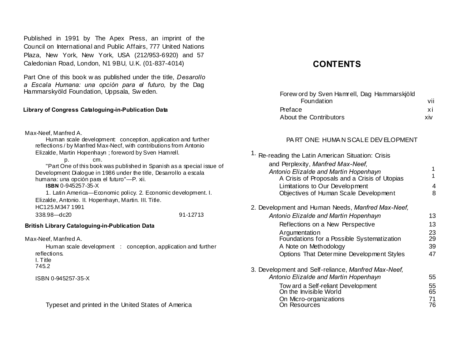Published in 1991 by The Apex Press, an imprint of the Council on International and Public Affairs, 777 United Nations Plaza, New York, New York, USA (212/953-6920) and 57 Caledonian Road, London, N1 9BU, U.K. (01-837-4014)

Part One of this book w as published under the title, *Desarollo a Escala Humana: una opción para el futuro,* by the Dag Hammarskyöld Foundation, Uppsala, Sw eden.

## **Library of Congress Cataloguing-in-Publication Data**

Max-Neef, Manfred A.

Human scale development: conception, application and further reflections / by Manfred Max-Necf, with contributions from Antonio Elizalde, Martin Hopenhayn ; foreword by Sven Hamrell.

#### p. cm. "Part One of this book was published in Spanish as a special issue of Development Dialogue in 1986 under the title, Desarrollo a escala humana: una opción para el futuro"—P. xii.

## **British Library Cataloguing-in-Publication Data**

Max-Neef, Manfred A.

Typeset and printed in the United States of America

# **CONTENTS**

| Forew ord by Sven Hamrell, Dag Hammarskjöld |     |
|---------------------------------------------|-----|
| Foundation                                  | vii |
| Preface                                     | xi  |
| About the Contributors                      | XIV |

## PA RT ONE: HUMA N SCALE DEV ELOPMENT

| Elizalde, Martin Hopenhayn; foreword by Sven Hamrell.<br>cm.<br>p.<br>"Part One of this book was published in Spanish as a special issue of<br>Development Dialogue in 1986 under the title, Desarrollo a escala<br>humana: una opción para el futuro"—P. xii.<br>ISBN 0-945257-35-X |          | <sup>1.</sup> Re-reading the Latin American Situation: Crisis<br>and Perplexity, Manfred Max-Neef,<br>Antonio Elizalde and Martin Hopenhayn<br>A Crisis of Proposals and a Crisis of Utopias<br>Limitations to Our Development |                      |
|--------------------------------------------------------------------------------------------------------------------------------------------------------------------------------------------------------------------------------------------------------------------------------------|----------|--------------------------------------------------------------------------------------------------------------------------------------------------------------------------------------------------------------------------------|----------------------|
| 1. Latin America-Economic policy. 2. Economic development. I.                                                                                                                                                                                                                        |          | Objectives of Human Scale Development                                                                                                                                                                                          |                      |
| Elizalde, Antonio. II. Hopenhayn, Martin. III. Title.                                                                                                                                                                                                                                |          |                                                                                                                                                                                                                                |                      |
| HC125.M347 1991                                                                                                                                                                                                                                                                      |          | 2. Development and Human Needs, Manfred Max-Neef,                                                                                                                                                                              |                      |
| 338.98—dc20                                                                                                                                                                                                                                                                          | 91-12713 | Antonio Elizalde and Martin Hopenhayn                                                                                                                                                                                          | 13                   |
| ish Library Cataloguing-in-Publication Data                                                                                                                                                                                                                                          |          | Reflections on a New Perspective                                                                                                                                                                                               | 13                   |
| :-Neef, Manfred A.<br>Human scale development : conception, application and further<br>reflections.                                                                                                                                                                                  |          | Argumentation<br>Foundations for a Possible Systematization<br>A Note on Methodology<br>Options That Determine Development Styles                                                                                              | 23<br>29<br>39<br>47 |
| I. Title<br>745.2<br>ISBN 0-945257-35-X                                                                                                                                                                                                                                              |          | 3. Development and Self-reliance, Manfred Max-Neef,<br>Antonio Elizalde and Martin Hopenhayn                                                                                                                                   | 55                   |
| Typeset and printed in the United States of America                                                                                                                                                                                                                                  |          | Tow ard a Self-reliant Development<br>On the Invisible World<br>On Micro-organizations<br>On Resources                                                                                                                         | 55<br>65<br>71<br>76 |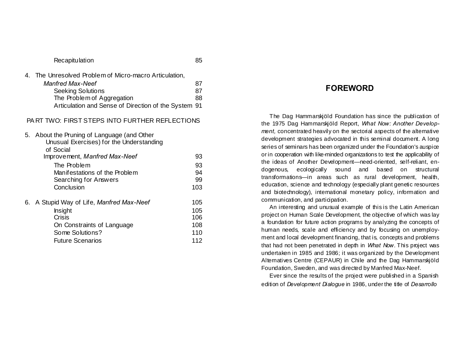| 4. The Unresolved Problem of Micro-macro Articulation, |    |
|--------------------------------------------------------|----|
| <b>Manfred Max-Neef</b>                                | 87 |
| <b>Seeking Solutions</b>                               | 87 |
| The Problem of Aggregation                             | 88 |
| Articulation and Sense of Direction of the System 91   |    |

## PA RT TWO: FIRST STEPS INTO FURTHER REFLECTIONS

|    | 5. About the Pruning of Language (and Other<br>Unusual Exercises) for the Understanding<br>of Social |     |
|----|------------------------------------------------------------------------------------------------------|-----|
|    | Improvement, Manfred Max-Neef                                                                        | 93  |
|    | The Problem                                                                                          | 93  |
|    | Manifestations of the Problem                                                                        | 94  |
|    | Searching for Answers                                                                                | 99  |
|    | Conclusion                                                                                           | 103 |
| 6. | A Stupid Way of Life, Manfred Max-Neef                                                               | 105 |
|    | <b>Insight</b>                                                                                       | 105 |
|    | Crisis                                                                                               | 106 |
|    | On Constraints of Language                                                                           | 108 |
|    | Some Solutions?                                                                                      | 110 |
|    | <b>Future Scenarios</b>                                                                              | 112 |

# **FOREWORD**

The Dag Hammarskjöld Foundation has since the publication of the 1975 Dag Hammarskjöld Report, *What Now: Another Development,* concentrated heavily on the sectorial aspects of the alternative development strategies advocated in this seminal document. A long series of seminars has been organized under the Foundation's auspice or in cooperation with like-minded organizations to test the applicability of the ideas of Another Development—need-oriented, self-reliant, endogenous, ecologically sound and based on structural transformations—in areas such as rural development, health, education, science and technology (especially plant genetic resources and biotechnology), international monetary policy, information and communication, and participation.

An interesting and unusual example of this is the Latin American project on Human Scale Development, the objective of which was lay a foundation for future action programs by analyzing the concepts of human needs, scale and efficiency and by focusing on unemployment and local development financing, that is, concepts and problems that had not been penetrated in depth in *What Now.* This project was undertaken in 1985 and 1986; it was organized by the Development Alternatives Centre (CEPAUR) in Chile and the Dag Hammarskjöld Foundation, Sweden, and was directed by Manfred Max-Neef.

Ever since the results of the project were published in a Spanish edition of *Development Dialogue* in 1986, under the title of *Desarrollo*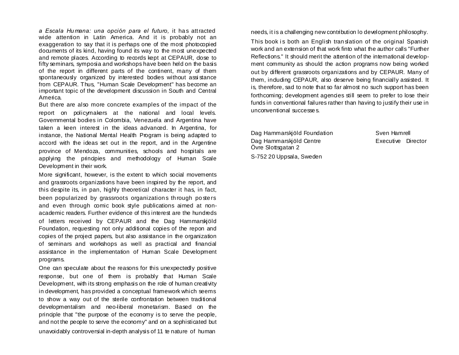a Escala Humana: una opción para el futuro, it has attracted wide attention in Latin America. And it is probably not an exaggeration to say that it is perhaps one of the most photocopied documents of its kind, having found its way to the most unexpected and remote places. According to records kept at CEPAUR, dose to fifty seminars, symposia and workshops have been held on the basis of the report in different parts of the continent, many of them spontaneously organized by interested bodies without assistance from CEPAUR. Thus, "Human Scale Development" has become an important topic of the development discussion in South and Central America.

But there are also more concrete examples of the impact of the report on policymakers at the national and local levels. Governmental bodies in Colombia, Venezuela and Argentina have taken a keen interest in the ideas advanced. In Argentina, for instance, the National Mental Health Program is being adapted to accord with the ideas set out in the report, and in the Argentine province of Mendoza, communities, schools and hospitals are applying the principies and methodology of Human Scale Development in their work.

More significant, however, is the extent to which social movements and grassroots organizations have been inspired by the report, and this despite its, in pan, highly theoretical character it has, in fact, been popularized by grassroots organizations through posters and even through comic book style publications aimed at nonacademic readers. Further evidence of this interest are the hundreds of letters received by CEPAUR and the Dag Hammarskjöld Foundation, requesting not only additional copies of the repon and copies of the project papers, but also assistance in the organization of seminars and workshops as well as practical and financial assistance in the implementation of Human Scale Development programs.

One can speculate about the reasons for this unexpectedly positive response, but one of them is probably that Human Scale Development, with its strong emphasis on the role of human creativity in development, has provided a conceptual framework which seems to show a way out of the sterile confrontation between traditional developmentalism and neo-liberal monetarism. Based on the principle that "the purpose of the economy is to serve the people, and not the people to serve the economy" and on a sophisticated but unavoidably controversial in-depth analysis of 11 te nature of human

needs, it is a challenging new contribution lo development philosophy.

This book is both an English translation of the original Spanish work and an extension of that work finto what the author calls "Further Reflections." It should merit the attention of the international development community as should the action programs now being worked out by different grassroots organizations and by CEPAUR. Many of them, including CEPAUR, also deserve being financially assisted. It is, therefore, sad to note that so far almost no such support has been forthcoming; development agencies still seem to prefer to lose their funds in conventional failures rather than having to justify their use in unconventional successe s.

Dag Hammarskjöld Foundation Sven Hamrell Dag Hammarskjöld Centre **Executive** Director Övre Slottsgatan 2 S-752 20 Uppsala, Sweden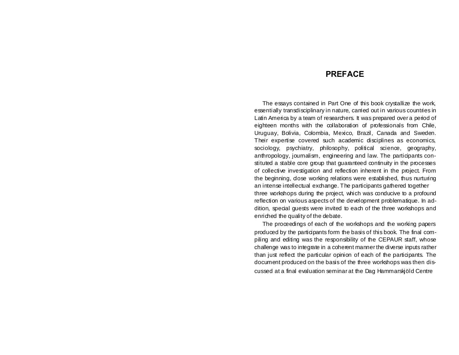## **PREFACE**

The essays contained in Part One of this book crystallize the work, essentially transdisciplinary in nature, carried out in various countries in Latin America by a team of researchers. It was prepared over a period of eighteen months with the collaboration of professionals from Chile, Uruguay, Bolivia, Colombia, Mexico, Brazil, Canada and Sweden. Their expertise covered such academic disciplines as economics, sociology, psychiatry, philosophy, political science, geography, anthropology, journalism, engineering and law. The participants constituted a stable core group that guaranteed continuity in the processes of collective investigation and reflection inherent in the project. From the beginning, dose working relations were established, thus nurturing an intense intellectual exchange. The participants gathered together three workshops during the project, which was conducive to a profound reflection on various aspects of the development problematique. In addition, special guests were invited to each of the three workshops and enriched the quality of the debate.

The proceedings of each of the workshops and the working papers produced by the participants form the basis of this book. The final compiling and editing was the responsibility of the CEPAUR staff, whose challenge was to integrate in a coherent manner the diverse inputs rather than just reflect the particular opinion of each of the participants. The document produced on the basis of the three workshops was then discussed at a final evaluation seminar at the Dag Hammarskjöld Centre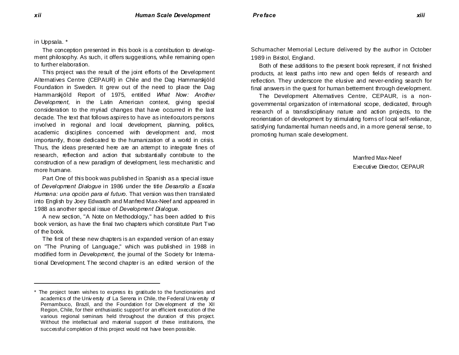in Uppsala. \*

The conception presented in this book is a contribution to development philosophy. As such, it offers suggestions, while remaining open to further elaboration.

This project was the result of the joint efforts of the Development Alternatives Centre (CEPAUR) in Chile and the Dag Hammarskjöld Foundation in Sweden. It grew out of the need to place the Dag Hammarskjöld Report of 1975, entitled *What Now: Another Development,* in the Latin American context, giving special consideration to the myriad changes that have occurred in the last decade. The text that follows aspires to have as interlocutors persons involved in regional and local development, planning, politics, academic disciplines concerned with development and, most importantly, those dedicated to the humanization of a world in crisis. Thus, the ideas presented here are an attempt to integrate fines of research, reflection and action that substantially contribute to the construction of a new paradigm of development, less mechanistic and more humane.

Part One of this book was published in Spanish as a special issue of *Development Dialogue* in 1986 under the title *Desarollo a Escala Humana: una opción para el futuro.* That version was then translated into English by Joey Edwardh and Manfred Max-Neef and appeared in 1988 as another special issue of *Development Dialogue.*

A new section, "A Note on Methodology," has been added to this book version, as have the final two chapters which constitute Part Two of the book.

The first of these new chapters is an expanded version of an essay on "The Pruning of Language," which was published in 1988 in modified form in *Development,* the journal of the Society for International Development. The second chapter is an edited version of the

Schumacher Memorial Lecture delivered by the author in October 1989 in Bristol, England.

Both of these additions to the present book represent, if not finished products, at least paths into new and open fields of research and reflection. They underscore the elusive and never-ending search for final answers in the quest for human bettement through development.

The Development Alternatives Centre, CEPAUR, is a nongovernmental organization of international scope, dedicated, through research of a transdisciplinary nature and action projects, to the reorientation of development by stimulating forms of local self-reliance, satisfying fundamental human needs and, in a more general sense, to promoting human scale development.

> Manfred Max-Neef Executive Director, CEPAUR

The project team wishes to express its gratitude to the functionaries and academics of the Univ ersity of La Serena in Chile, the Federal Univ ersity of Pernambuco, Brazil, and the Foundation for Dev elopment of the XII Region, Chile, for their enthusiastic support f or an efficient execution of the various regional seminars held throughout the duration of this project. Without the intellectual and material support of these institutions, the successful completion of this project would not have been possible.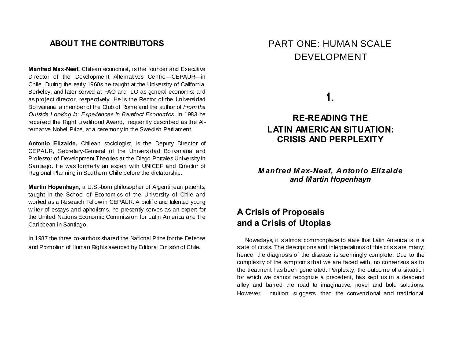# **ABOUT THE CONTRIBUTORS**

**Manfred Max-Neef,** Chilean economist, is the founder and Executive Director of the Development Alternatives Centre—CEPAUR—in Chile. During the early 1960s he taught at the University of California, Berkeley, and later served at FAO and ILO as general economist and asproject director, respectively. He is the Rector of the Universidad Bolivariana, a member of the Club of Rome and the author of *From the Outside Looking In: Experiences in Barefoot Economics.* In 1983 he received the Right Livelihood Award, frequently described as the Alternative Nobel Prize, at a ceremony in the Swedish Parliament.

**Antonio Elizalde,** Chilean sociologist, is the Deputy Director of CEPAUR, Secretary-General of the Universidad Bolivariana and Professor of Development Theories at the Diego Portales University in Santiago. He was formerly an expert with UNICEF and Director of Regional Planning in Southern Chile before the dictatorship.

**Martin Hopenhayn,** a U.S.-born philosopher of Argentinean parents, taught in the School of Economics of the University of Chile and worked as a Research Fellow in CEPAUR. A prolific and talented young writer of essays and aphorisms, he presently serves as an expert for the United Nations Economic Commission for Latin America and the Caribbean in Santiago.

In 1987 the three co-authors shared the National Prize for the Defense and Promotion of Human Rights awarded by Editorial Emisión of Chile.

# PART ONE: HUMAN SCALE DEVELOPMENT

**1.**

# **RE-READING THE LATIN AMERICAN SITUATION: CRISIS AND PERPLEXITY**

# *M anfred M ax-Neef, Antonio Elizalde and Martin Hopenhayn*

# **A Crisis of Proposals and a Crisis of Utopias**

Nowadays, it is almost commonplace to state that Latin America is in a state of crisis. The descriptions and interpretations of this crisis are many; hence, the diagnosis of the disease is seemingly complete. Due to the complexity of the symptoms that we are faced with, no consensus as to the treatment has been generated. Perplexity, the outcome of a situation for which we cannot recognize a precedent, has kept us in a deadend alley and barred the road to imaginative, novel and bold solutions. However, intuition suggests that the convencional and tradicional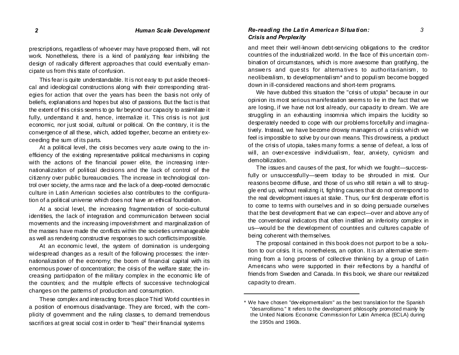prescriptions, regardless of whoever may have proposed them, will not work. Nonetheless, there is a kind of paralyzing fear inhibiting the design of radically different approaches that could eventually emancipate us from this state of confusion.

This fear is quite understandable. It is not easy to put aside theoretical and ideological constructions along with their corresponding strategies for action that over the years has been the basis not only of beliefs, explanations and hopes but also of passions. But the fact is that the extent of this crisis seems to go far beyond our capacity to assimilate it fully, understand it and, hence, internalize it. This crisis is not just economic, nor just social, cultural or political. On the contrary, it is the convergence of all these, which, added together, become an entirety exceeding the sum of its parts.

At a political level, the crisis becomes very acute owing to the inefficiency of the existing representative political mechanisms in coping with the actions of the financial power elite, the increasing internationalization of political decisions and the lack of control of the citizenry over public bureaucracies. The increase in technological control over society, the arms race and the lack of a deep-rooted democratic culture in Latin American societies also contributes to the configuration of a political universe which does not have an ethical foundation.

At a social level, the increasing fragmentation of socio-cultural identities, the lack of integration and communication between social movements and the increasing impoverishment and marginalization of the masses have made the conflicts within the societies unmanageable as well as rendering constructive responses to such conflicts impossible.

At an economic level, the system of domination is undergoing widespread changes as a result of the following processes: the internationalization of the economy; the boom of financial capital with its enormous power of concentration; the crisis of the welfare state; the increasing participation of the military complex in the economic life of the countries; and the multiple effects of successive technological changes on the patterns of production and consumption.

These complex and interacting forces place Third World countries in a position of enormous disadvantage. They are forced, with the complicity of government and the ruling classe s, to demand tremendous sacrifices at great social cost in order to "heal" their financial systems

## *Re-reading the La tin America n Situa tion: 3 Crisis and Perplexity*

and meet their well-known debt-servicing obligations to the creditor countries of the industrialized world. In the face of this uncertain combination of circumstances, which is more awesome than gratifying, the answe rs and que sts for alterna tive s to autho rita rianism , to neoliberalism, to developmentalism\* and to populism become bogged down in ill-considered reactions and short-term programs.

We have dubbed this situation the "crisis of utopia" because in our opinion its most serious manifestation seems to lie in the fact that we are losing, if we have not lost already, our capacity to dream. We are struggling in an exhausting insomnia which impairs the lucidity so desperately needed to cope with our problems forcefully and imaginatively. Instead, we have become drowsy managers of a crisis which we feel is impossible to solve by our own means. This drowsiness, a product of the crisis of utopia, takes many forms: a sense of defeat, a loss of will, an over-excessive individualism, fear, anxiety, cynicism and demobilization.

The issues and causes of the past, for which we fought—successfully or unsuccessfully—seem today to be shrouded in mist. Our reasons become diffuse, and those of us who still retain a will to struggle end up, without realizing it, fighting causes that do not correspond to the real development issues at stake. Thus, our first desperate effort is to come to terms with ourselves and in so doing persuade ourselves that the best development that we can expect—over and above any of the conventional indicators that often instilled an inferiority complex in us—would be the development of countries and cultures capable of being coherent with themselves.

The proposal contained in this book does not purport to be a solution to our crisis. It is, nonetheless, an option. It is an alternative stemming from a long process of collective thinking by a group of Latin Americans who were supported in their reflections by a handful of friends from Sweden and Canada. In this book, we share our revitalized capacity to dream.

<sup>\*</sup> We have chosen "dev elopmentalism" as the best translation for the Spanish "desarrollismo." It refers to the development philosophy promoted mainly by the United Nations Economic Commission for Latin America (ECLA) during the 1950s and 1960s.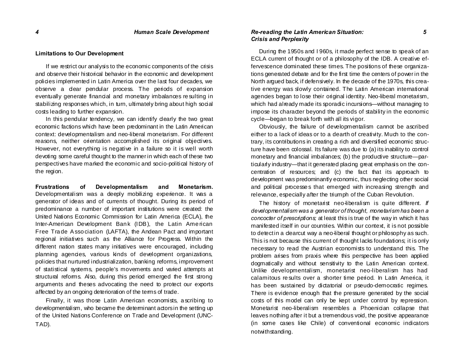#### **Limitations to Our Development**

If we restrict our analysis to the economic components of the crisis and observe their historical behavior in the economic and development policies implemented in Latin America over the last four decades, we observe a clear pendular process. The periods of expansion eventually generate financial and monetary imbalances resulting in stabilizing responses which, in turn, ultimately bring about high social costs leading to further expansion.

In this pendular tendency, we can identify dearly the two great economic factions which have been predominant in the Latin American context: developmentalism and neo-liberal monetarism. For different reasons, neither orientation accomplished its original objectives. However, not everything is negative in a failure so it is well worth devoting some careful thought to the manner in which each of these two perspectives have marked the economic and socio-political history of the region.

**Frustrations of Developmentalism and Monetarism.** Developmentalism was a deeply mobilizing experience. It was a generator of ideas and of currents of thought. During its period of predominance a number of important institutions were created: the United Nations Economic Commission for Latin America (ECLA), the Inter-American Development Bank (IDB), the Latin American Free Tra de Asso ciation (LAFTA), the Andean Pact and important regional initiatives such as the Alliance for Progress. Within the different nation states many initiatives were encouraged, including planning agencies, various kinds of development organizations, policies that nurtured industrialization, banking reforms, improvement of statistical systems, people's movements and varied attempts at structural reforms. Also, during this period emerged the first strong arguments and theses advocating the need to protect our exports affected by an ongoing deterioration of the terms of trade.

Finally, it was those Latin American economists, a scribing to developmentalism, who became the determinant actorsin the setting up of the United Nations Conference on Trade and Development (UNC-TAD).

During the 1950s and I 960s, it made perfect sense to speak of an ECLA current of thought or of a philosophy of the IDB. A creative effervescence dominated these times. The positions of these organizations generated debate and for the first time the centers of power in the North argued back, if defensively. In the decade of the 1970s, this creative energy was slowly contained. The Latin American international agencies began to lose their original identity. Neo-liberal monetarism, which had already made its sporadic incursions—without managing to impose its character beyond the periods of stability in the economic cycle—began to break forth with all its vigor.

Obviously, the failure of developmentalism cannot be ascribed either to a lack of ideas or to a dearth of creativity. Much to the contrary, its contributions in creating a rich and diversified economic structure have been colossal. Its failure was due to (a) its inability to control monetary and financial imbalances; (b) the productive structure—particularly industry—that it generated placing great emphasis on the concentration of resources; and (c) the fact that its approach to development was predominantly economic, thus neglecting other social and political processe s that emerged with increasing strength and relevance, especially after the triumph of the Cuban Revolution.

The history of monetarist neo-liberalism is quite different. *If developmentalism was a generator of thought, monetarism has been a concocter of prescriptions;* at least this is true of the way in which it has manifested itself in our countries. Within our context, it is not possible to detectin a dearcut way a neo-liberal thought or philosophy as such. This is not because this current of thought lacks foundations; it is only necessary to read the Austrian economists to understand this. The problem arises from praxis where this perspective has been applied dogmatically and without sensitivity to the Latin American context. Unlike developmentalism, monetarist neo-liberalism has had calamitous re sults over a shorter time period. In Latin America, it has been sustained by dictatorial or pseudo-democratic regimes. There is evidence enough that the pressure generated by the social costs of this model can only be kept under control by repression. Monetarist neo-liberalism resembles a Phoenician collapse that leaves nothing after it but a tremendous void, the positive appearance (in some cases like Chile) of conventional economic indicators notwithstanding.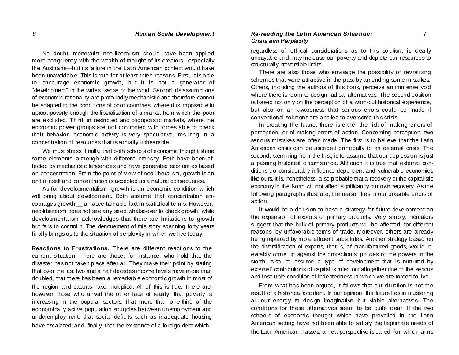#### *6 Huma n Scale Development*

No doubt, monetarist neo-liberalism should have been applied more congruently with the wealth of thought of its creators—especially the Austrians—but its failure in the Latin American context would have been unavoidable. This is true for at least three reasons. First, it isable to encourage economic growth, but it is not a generator of "development" in the widest sense of the word. Second, its assumptions of economic rationality are profoundly mechanistic and therefore cannot be adapted to the conditions of poor countries, where it is impossible to uproot poverty through the liberalization of a market from which the poor are excluded. Third, in restricted and oligopolistic markets, where the economic power groups are not confronted with forces able to check their behavior, economic activity is very speculative, resulting in a concentration of resources that is socially unbearable.

We must stress, finally, that both schools of economic thought share some elements, although with different intensity. Both have been affected by mechanistic tendencies and have generated economies based on concentration. From the point of view of neo-liberalism, growth isan end in itself and concentration is accepted as a natural consequence.

As for developmentalism, growth is an economic condition which will bring about development. Both assume that concentration encourages growth \_\_an ascertainable fact in statistical terms. However, neo-liberalism does not see any seed whatsoever to check growth, while developmentalism acknowledges that there are limitations to growth but fails to control it. The denouement of this story spanning forty years finally brings us to the situation of perplexity in which we live today.

**Reactions to Frustra tions.** There are different reactions to the current situation. There are those, for instance, who hold that the disaster has not taken place after all. They make their point by stating that over the last two and a half decades income levels have more than doubled, that there has been a remarkable economic growth in most of the region and exports have multiplied. All of this is true. There are, however, those who unveil the other face of reality: that poverty is increasing in the popular sectors; that more than one-third of the economically active population struggles between unemployment and underemployment; that social deficits such as inadequate housing have escalated; and, finally, that the existence of a foreign debt which,

## *Re-reading the La tin America n Situa tion:* 7 *Crisis ami Perplexity*

regardless of ethical considerations as to this solution, is clearly unpayable and may increase our poverty and deplete our resources to structurallyirreversible limits.

There are also those who envisage the possibility of revitalizing schemes that were attractive in the past by amending some mistakes. Others, induding the authors of this book, perceive an immense void where there is room to design radical alternatives. The second position is based not only on the perception of a worn-out historical experience, but also on an awareness that serious errors could be made if conventional solutions are applied to overcome this crisis.

In creating the future, there is either the risk of making errors of perception, or of making errors of action. Concerning perception, two serious mistakes are often made. The first is to believe that the Latin American crisis can be ascribed principally to an external crisis. The second, stemming from the first, is to assume that our depression is just a passing historical circumstance. Although it is true that external conditions do considerably influence dependent and vulnerable economies like ours, it is, nonetheless, also probable that a recovery of the capitalistic economy in the North will not affect significantly our own recovery. As the following paragraphs illustrate, the reason lies in our possible errors of action.

It would be a delusion to base a strategy for future development on the expansion of exports of primary products. Very simply, indicators suggest that the bulk of primary products will be affected, for different reasons, by unfavorable terms of trade. Moreover, others are already being replaced by more efficient substitutes. Another strategy based on the diversification of exports, that is, of manufactured goods, would inevitably come up against the protectionist policies of the powers in the North. Also, to assume a type of development that is nurtured by external' contributions of capital is ruled out altogether due to the serious and insoluble condition of indebtedness in which we are forced to live.

From what has been argued, it follows that our situation is not the result of a historical accident. In our opinion, the future lies in mustering all our energy to design imaginative but viable alternatives. The conditions for these alternatives seem to be quite dear. If the two schools of economic thought which have prevailed in the Latin American setting have not been able to satisfy the legitimate needs of the Latin American masses, a new perspective is called for which aims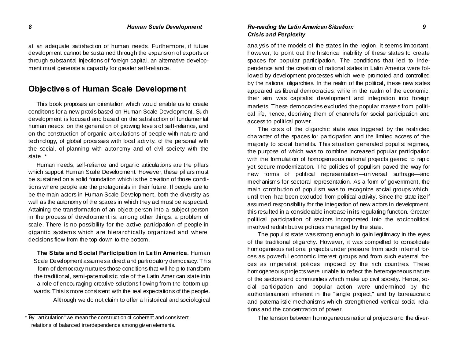at an adequate satisfaction of human needs. Furthermore, if future development cannot be sustained through the expansion of exports or through substantial injections of foreign capital, an alternative development must generate a capacity for greater self-reliance.

# **Objectives of Human Scale Development**

This book proposes an orientation which would enable us to create conditions for a new praxis based on Human Scale Development. Such development is focused and based on the satisfaction of fundamental human needs, on the generation of growing levels of self-reliance, and on the construction of organic articulations of people with nature and technology, of global processes with local activity, of the personal with the social, of planning with autonomy and of civil society with the state. \*

Human needs, self-reliance and organic articulations are the pillars which support Human Scale Development. However, these pillars must be sustained on a solid foundation which is the creation of those conditions where people are the protagonists in their future. If people are to be the main actors in Human Scale Development, both the diversity as well as the autonomy of the spaces in which they act must be respected. Attaining the transformation of an object-person into a subject-person in the process of development is, among other things, a problem of scale. There is no possibility for the active participation of people in gigantic system s which a re hiera rchically org anized and where decisions flow from the top down to the bottom.

**The State a nd Social Participa tion in La tin Ame rica.** Human Scale Development assumesa direct and participatory democracy.This form of democracy nurtures those conditions that will help to transform the traditional, semi-paternalistic role of the Latin American state into a role of encouraging creative solutions flowing from the bottom upwards. Thisis more consistent with the real expectations of the people. Although we do not claim to offer a historical and sociological

## *Re-reading the Latin American Situation: 9 Crisis and Perplexity*

analysis of the models of the states in the region, it seems important, however, to point out the historical inability of these states to create spaces for popular participation. The conditions that led to independence and the creation of national states in Latin America were followed by development processes which were promoted and controlled by the national oligarchies. In the realm of the political, these new states appeared as liberal democracies, while in the realm of the economic, their aim was capitalist development and integration into foreign markets. These democracies excluded the popular masse s from political life, hence, depriving them of channels for social participation and access to political power.

The crisis of the oligarchic state was triggered by the restricted character of the spaces for participation and the limited access of the majority to social benefits. This situation generated populist regimes, the purpose of which was to combine increased popular participation with the formulation of homogeneous national projects geared to rapid yet secure modernization. The policies of populism paved the way for new forms of political representation—universal suffrage—and mechanisms for sectoral representation. As a form of government, the main contribution of populism was to recognize social groups which, until then, had been excluded from political activity. Since the state itself assumed responsibility for the integration of new actors in development, this resulted in a considerable increase in its regulating function. Greater political participation of sectors incorporated into the sociopolitical involved redistributive policies managed by the state.

The populist state was strong enough to gain legitimacy in the eyes of the traditional oligarchy. However, it was compelled to consolidate homogeneous national projects under pressure from such internal forces as powerful economic interest groups and from such external forces as imperialist policies imposed by the rich countries. These homogeneous projects were unable to reflect the heterogeneous nature of the sectors and communities which make up civil society. Hence, social participation and popular action were undermined by the authoritarianism inherent in the "single project," and by bureaucratic and paternalistic mechanisms which strengthened vertical social relations and the concentration of power.

The tension between homogeneous national projects and the diver-

<sup>\*</sup> By "articulation" we mean the construction of coherent and consistent relations of balanced interdependence among giv en elements.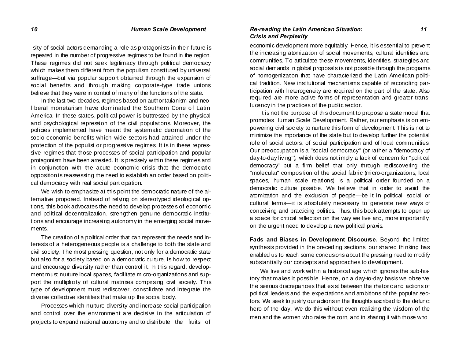sity of social actors demanding a role as protagonists in their future is repeated in the number of progressive regimes to be found in the region. These regimes did not seek legitimacy through political democracy which makes them different from the populism constituted by universal suffrage—but via popular support obtained through the expansion of social benefits and through making corporate-type trade unions believe that they were in control of many of the functions of the state.

In the last two decades, regimes based on authoritarianism and neoliberal monetarism have dominated the Southern Cone of Latin America. In these states, political power is buttressed by the physical and psychological repression of the civil populations. Moreover, the policies implemented have meant the systematic decimation of the socio-economic benefits which wide sectors had attained under the protection of the populist or progressive regimes. It is in these repressive regimes that those processes of social participation and popular protagonism have been arrested. It is precisely within these regimes and in conjunction with the acute economic crisis that the democratic opposition is reassessing the need to establish an order based on political democracy with real social participation.

We wish to emphasize at this point the democratic nature of the alternative proposed. Instead of relying on stereotyped ideological options, this book advocates the need to develop processe s of economic and political decentralization, strengthen genuine democratic institutions and encourage increasing autonomy in the emerging social movements.

The creation of a political order that can represent the needs and interests of a heterogeneous people is a challenge to both the state and civil society. The most pressing question, not only for a democratic state but also for a society based on a democratic culture, is how to respect and encourage diversity rather than control it. In this regard, development must nurture local spaces, facilitate micro-organizations and support the multiplicity of cultural matrixes comprising civil society. This type of development must rediscover, consolidate and integrate the diverse collective identities that make up the social body.

Processes which nurture diversity and increase social participation and control over the environment are decisive in the articulation of projects to expand national autonomy and to distribute the fruits of

## *Re-reading the Latin American Situation: 11 Crisis and Perplexity*

economic development more equitably. Hence, it is essential to prevent the increasing atomization of social movements, cultural identities and communities. To articulate these movements, identities, strategies and social demands in global proposals is not possible through the programs of homogenization that have characterized the Latin American political tradition. New institutional mechanisms capable of reconciling participation with heterogeneity are required on the part of the state. Also required are more active forms of representation and greater translucency in the practices of the public sector.

It is not the purpose of this document to propose a state model that promotes Human Scale Development. Rather, our emphasis is on empowering civil society to nurture this form of development. This is not to minimize the importance of the state but to develop further the potential role of social actors, of social participation and of local communities. Our preoccupation is a "social democracy" (or rather a "democracy of day-to-day living"), which does not imply a lack of concern for "political democracy" but a firm belief that only through rediscovering the "molecular" composition of the social fabric (micro-organizations, local spaces, human scale relations) is a political order founded on a democratic culture possible. We believe that in order to avoid the atomization and the exclusion of people—be it in political, social or cultural terms—it is absolutely necessary to generate new ways of conceiving and practicing politics. Thus, this book attempts to open up a space for critical reflection on the way we live and, more importantly, on the urgent need to develop a new political praxis.

**Fads and Biases in Development Discourse.** Beyond the limited synthesis provided in the preceding sections, our shared thinking has enabled us to reach some condusions about the pressing need to modify substantially our concepts and approaches to development.

We live and work within a historical age which ignores the sub-history that makes it possible. Hence, on a day-to-day basis we observe the serious discrepancies that exist between the rhetoric and actions of political leaders and the expectations and ambitions of the popular sectors. We seek to justify our actions in the thoughts ascribed to the defunct hero of the day. We do this without even realizing the wisdom of the men and the women who raise the corn, and in sharing it with those who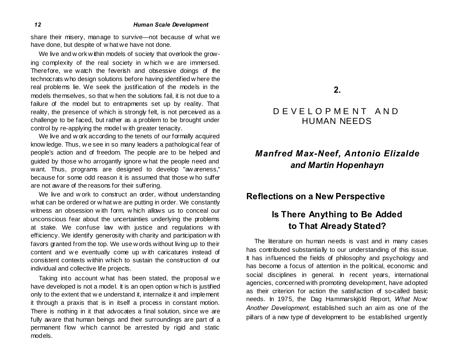share their misery, manage to survive—not because of what we have done, but despite of w hat we have not done.

We live and w ork w ithin models of society that overlook the growing complexity of the real society in which we are immersed. Therefore, we watch the feverish and obsessive doings of the technocrats who design solutions before having identified w here the real problems lie. We seek the justification of the models in the models themselves, so that w hen the solutions fail, it is not due to a failure of the model but to entrapments set up by reality. That reality, the presence of which is strongly felt, is not perceived as a challenge to be faced, but rather as a problem to be brought under control by re-applying the model w ith greater tenacity.

We live and w ork according to the tenets of our formally acquired know ledge. Thus, w e see in so many leaders a pathological fear of people's action and of freedom. The people are to be helped and guided by those w ho arrogantly ignore w hat the people need and want. Thus, programs are designed to develop "aw areness," because for some odd reason it is assumed that those w ho suffer are not aware of the reasons for their suffering.

We live and w ork to construct an order, without understanding what can be ordered or w hat we are putting in order. We constantly witness an obsession w ith form, w hich allows us to conceal our unconscious fear about the uncertainties underlying the problems at stake. We confuse law with justice and regulations w ith efficiency. We identify generosity with charity and participation w ith favors granted from the top. We use w ords without living up to their content and we eventually come up with caricatures instead of consistent contexts within which to sustain the construction of our individual and collective life projects.

Taking into account w hat has been stated, the proposal w e have developed is not a model. It is an open option w hich is justified only to the extent that w e understand it, internalize it and implement it through a praxis that is in itself a process in constant motion. There is nothing in it that advocates a final solution, since we are fully aware that human beings and their surroundings are part of a permanent flow which cannot be arrested by rigid and static models.

# **2.**

# D E V E L O P M E N T A N D HUMAN NEEDS

# *Manfred Max-Neef, Antonio Elizalde and Martin Hopenhayn*

# **Reflections on a New Perspective**

# **Is There Anything to Be Added to That Already Stated?**

The literature on human needs is vast and in many cases has contributed substantially to our understanding of this issue. It has influenced the fields of philosophy and psychology and has become a focus of attention in the political, economic and social disciplines in general. In recent years, international agencies, concerned with promoting development, have adopted as their criterion for action the satisfaction of so-called basic needs. In 1975, the Dag Hammarskjöld Report, *What Now: Another Development,* established such an aim as one of the pillars of a new type of development to be established urgently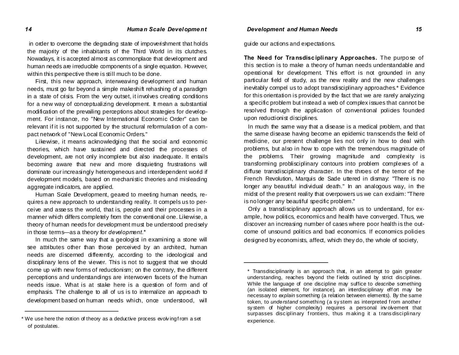in order to overcome the degrading state of impoverishment that holds the majority of the inhabitants of the Third World in its clutches. Nowadays, it is accepted almost as commonplace that development and human needs are irreducible components of a single equation. However, within this perspective there is still much to be done.

First, this new approach, interweaving development and human needs, must go far beyond a simple makeshift rehashing of a paradigm in a state of crisis. From the very outset, it involves creating conditions for a new way of conceptualizing development. It mean a substantial modification of the prevailing perceptions about strategies for development. For instance, no "New International Economic Order" can be relevant if it is not supported by the structural reformulation of a compact network of "New Local Economic Orders."

Likewise, it means acknowledging that the social and economic theories, which have sustained and directed the processes of development, are not only incomplete but also inadequate. It entails becoming aware that new and more disquieting frustrations will dominate our increasingly heterogeneous and interdependent world if development models, based on mechanistic theories and misleading aggregate indicators, are applied.

Human Scale Development, geared to meeting human needs, requires a new approach to understanding reality. It compels us to perceive and asse ss the world, that is, people and their processes in a manner which differs completely from the conventional one. Likewise, a theory of human needs for development must be understood precisely in those terms—as a theory for *development.\**

In much the same way that a geologist in examining a stone will see attributes other than those perceived by an architect, human needs are discerned differently, according to the ideological and disciplinary lens of the viewer. This is not to suggest that we should come up with new forms of reductionism; on the contrary, the different perceptions and understandings are interwoven facets of the human needs issue. What is at stake here is a question of form and of emphasis. The challenge to all of us is to internalize an approach to development based on human needs which, once understood, will guide our actions and expectations.

**The Need for Transdisciplinary Approaches.** The purpose of this section is to make a theory of human needs understandable and operational for development. This effort is not grounded in any particular field of study, as the new reality and the new challenges inevitably compel us to adopt transdisciplinary approaches.\* Evidence for this orientation is provided by the fact that we are rarely analyzing a specific problem but instead a web of complex issues that cannot be resolved through the application of conventional policies founded upon reductionist disciplines.

In much the same way that a disease is a medical problem, and that the same disease having become an epidemic transcends the field of medicine, our present challenge lies not only in how to deal with problems, but also in how to cope with the tremendous magnitude of the problems. Their growing magnitude and complexity is transforming problisciplinary contours into problem complexes of a diffuse transdisciplinary character. In the throes of the terror of the French Revolution, Marquis de Sade uttered in dismay: "There is no longer any beautiful individual death." In an analogous way, in the midst of the present reality that overpowers us we can exclaim: "There is no longer any beautiful specific problem."

Only a transdisciplinary approach allows us to understand, for example, how politics, economics and health have converged. Thus, we discover an increasing number of cases where poor health is the outcome of unsound politics and bad economics. If economics policies designed by economists, affect, which they do, the whole of society,

<sup>\*</sup> We use here the notion of theory as a deductive process evolv ingf rom a set of postulates.

<sup>\*</sup> Transdisciplinarity is an approach that, in an attempt to gain greater understanding, reaches beyond the f ields outlined by strict disciplines. While the language of one discipline may suffice to *describe* something (an isolated element, for instance), an interdisciplinary effort may be necessary to *explain* something (a relation between elements). By the same token, to *understand* something (a sy stem as interpreted f rom another sy stem of higher complexity) requires a personal inv olvement that surpasses disc iplinary f rontiers, thus m aking it a t rans disciplinary experience.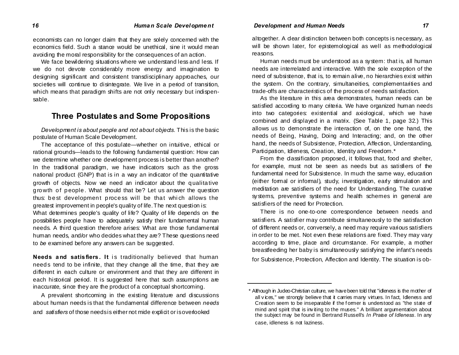#### *16 Huma n Scale Developme nt Development and Human Needs 17*

economists can no longer daim that they are solely concerned with the economics field. Such a stance would be unethical, sine it would mean avoiding the moral responsibility for the consequences of an action.

We face bewildering situations where we understand less and less. If we do not devote considerably more energy and imagination to designing significant and consistent transdisciplinary approaches, our societies will continue to disintegrate. We live in a period of transition, which means that paradigm shifts are not only necessary but indispensable.

## **Three Postulates and Some Propositions**

*Development is about people and not about objects.* This is the basic postulate of Human Scale Development.

The acceptance of this postulate—whether on intuitive, ethical or rational grounds—leads to the following fundamental question: How can we determine whether one development process is better than another? In the traditional paradigm, we have indicators such as the gross national product (GNP) that is in a way an indicator of the quantitative growth of objects. Now we need an indicator about the qualitative g ro wth o f p eople. What should that be? Let us answer the question thus: best development process will be that which allows the greatest improvement in people's quality of life.The next question is: What determines people's quality of life? Quality of life depends on the possibilities people have to adequately satisfy their fundamental human needs. A third question therefore arises: What are those fundamental human needs, and/or who decides what they are? These questions need to *be* examined before any answers can be suggested.

**Needs and satisfiers. It** is traditionally believed that human needs tend to be infinite, that they change all the time, that they are different in each culture or environment and that they are different in each historical period. It is suggested here that such assumptions are inaccurate, since they are the product of a conceptual shortcoming.

A prevalent shortcoming in the existing literature and discussions about human needs is that the fundamental difference between *needs* and *satisfiers*of those needsis either not mide explicit or isoverlooked

altogether. A dear distinction between both concepts is necessary, as will be shown later, for epistemological as well as methodological reasons.

Human needs must be understood as a system: that is, all human needs are interrelated and interactive. With the sole exception of the need of subsistence, that is, to remain alive, no hierarchies exist within the system. On the contrary, simultaneities, complementarities and trade-offs are characteristics of the process of needs satisfaction.

As the literature in this area demonstrates, human needs can be satisfied according to many criteria. We have organized human needs into two categories: existential and axiological, which we have combined and displayed in a matrix. (See Table 1, page 32.) This allows us to demonstrate the interaction of, on the one hand, the needs of Being, Having, Doing and Interacting; and, on the other hand, the needs of Subsistence, Protection, Affection, Understanding, Participation, Idleness, Creation, Identity and Freedom.\*

From the classification proposed, it follows that, food and shelter, for example, must not be seen as needs but as satisfiers of the fundamental need for Subsistence. In much the same way, education (either formal or informal), study, investigation, early stimulation and meditation are satisfiers of the need for Understanding. The curative systems, preventive systems and health schemes in general are satisfiers of the need for Protection.

There is no one-to-one correspondence between needs and satisfiers. A satisfier may contribute simultaneously to the satisfaction of different needs or, conversely, a need may require various satisfiers in order to be met. Not even these relations are fixed. They may vary according to time, place and circumstance. For example, a mother breastfeeding her baby is simultaneously satisfying the infant's needs for Subsistence, Protection, Affection and Identity. The situation is ob-

<sup>\*</sup> Although in Judeo-Christian culture, we havebeen told that "idleness is the mother of all v ices," we strongly believe that it carries many virtues. In fact, Idleness and Creation seem to be inseparable if the former is understood as "the state of mind and spirit that is inviting to the muses." A brilliant argumentation about the subject may be found in Bertrand Russell's *In Praise of Idleness*. In any case, idleness is not laziness.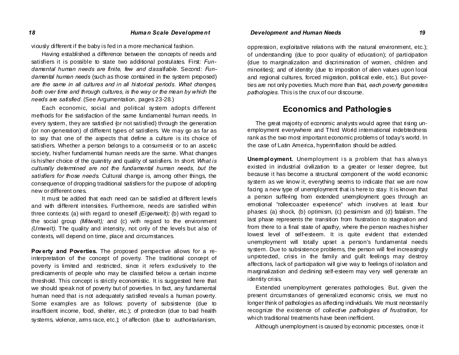viously different if the baby is fed in a more mechanical fashion.

Having established a difference between the concepts of needs and satisfiers it is possible to state two additional postulates. First: *Fundamental human needs are finite, few and classifiable.* Second: *Fundamental human needs* (such as those contained in the system proposed) *are the same in all cultures and in all historical periods. What changes, both over time and through cultures, is the way or the mean by which the needs are satisfied.* (See Argumentation, pages 23-28.)

Each economic, social and political system adopts different methods for the satisfaction of the same fundamental human needs. In every system, they are satisfied (or not satisfied) through the generation (or non-generation) of different types of satisfiers. We may go as far as to say that one of the aspects that define a culture is its choice of satisfiers. Whether a person belongs to a consumerist or to an ascetic society, his/her fundamental human needs are the same. What changes is his/her choice of the quantity and quality of satisfiers. In short: *What is culturally determined are not the fundamental human needs, but the satisfiers for those needs.* Cultural change is, among other things, the consequence of dropping traditional satisfiers for the purpose of adopting new or different ones.

It must be added that each need can be satisfied at different levels and with different intensities. Furthermore, needs are satisfied within three contexts: (a) with regard to oneself *(Eigenwelt);* (b) with regard to the social group *(Mitwelt);* and (c) with regard to the environment *(Umwelt).* The quality and intensity, not only of the levels but also of contexts, will depend on time, place and circumstances.

Poverty and Poverties. The proposed perspective allows for a reinterpretation of the concept of poverty. The traditional concept of poverty is limited and restricted, since it refers exclusively to the predicaments of people who may be classified below a certain income threshold. This concept is strictly economistic. It is suggested here that we should speak not of poverty but of poverties. In fact, any fundamental human need that is not adequately satisfied reveals a human poverty. Some examples are as follows: poverty of subsistence (due to insufficient income, food, shelter, etc.); of protection (due to bad health systems, violence, arms race, etc.); of affection (due to authoritarianism,

*18 Huma n Scale Developme nt Development and Human Needs 19*

oppression, exploitative relations with the natural environment, etc.); of understanding (due to poor quality of education); of participation (due to marginalization and discrimination of women, children and minorities); and of identity (due to imposition of alien values upon local and regional cultures, forced migration, political exile, etc.). But poverties are not only poverties. Much more than that, *each poverty generates pathologies.* This is the crux of our discourse.

## **Economics and Pathologies**

The great majority of economic analysts would agree that rising unemployment everywhere and Third World international indebtedness rank as the two most important economic problems of today's world. In the case of Latin America, hyperinflation should be added.

**Unemployment.** Unemployment is a problem that has always existed in industrial civilization to a greater or lesser degree, but because it has become a structural component of the world economic system as we know it, everything seems to indicate that we are now facing a new type of unemployment that is here to stay. It is known that a person suffering from extended unemployment goes through an emotional "rollercoaster experience" which involves at least four phases: (a) shock, (b) optimism, (c) pessimism and (d) fatalism. The last phase represents the transition from frustration to stagnation and from there to a final state of apathy, where the person reaches his/her lowest level of self-esteem. It is quite evident that extended unemployment will totally upset a person's fundamental needs system. Due to subsistence problems, the person will feel increasingly unprotected, crisis in the family and guilt feelings may destroy affections, lack of participation will give way to feelings of isolation and marginalization and declining self-esteem may very well generate an identity crisis.

Extended unemployment generates pathologies. But, given the present circumstances of generalized economic crisis, we must no longer think of pathologies as affecting individuals. We must necessarily recognize the existence of *collective pathologies of frustration,* for which traditional treatments have been inefficient.

Although unemployment is caused by economic processes, once it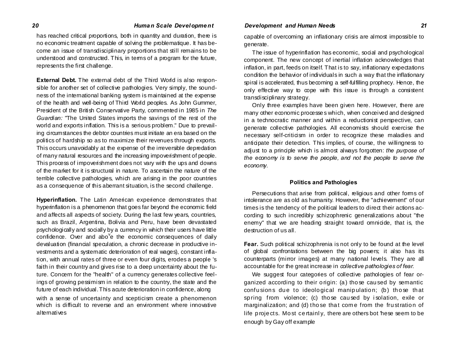### *20 Huma n Scale Developme nt Development and Human Needs 21*

has reached critical proportions, both in quantity and duration, there is no economic treatment capable of solving the problematique. It has become an issue of transdisciplinary proportions that still remains to be understood and constructed. This, in terms of a program for the future, represents the first challenge.

**External Debt.** The external debt of the Third World is also responsible for another set of collective pathologies. Very simply, the soundness of the international banking system is maintained at the expense of the health and well-being of Third World peoples. As John Gummer, President of the British Conservative Party, commented in 1985 in *The Guardian:* "The United States imports the savings of the rest of the world and exports inflation. This is a serious problem." Due to prevailing circumstances the debtor countries must initiate an era based on the politics of hardship so as to maximize their revenues through exports. This occurs unavoidably at the expense of the irreversible depredation of many natural resources and the increasing impoverishment of people. This process of impoverishment does not vary with the ups and downs of the market for it is structural in nature. To ascertain the nature of the terrible collective pathologies, which are arising in the poor countries as a consequence of this aberrant situation, is the second challenge.

**Hyperinflation.** The Latin American experience demonstrates that hyperinflation is a phenomenon that goes far beyond the economic field and affects all aspects of society. During the last few years, countries, such as Brazil, Argentina, Bolivia and Peru, have been devastated psychologically and socially by a currency in which their users have little  $\overline{\text{confidence}}$ . Over and abo<sup>v</sup>e the economic consequences of daily devaluation (financial speculation, a chronic decrease in productive investments and a systematic deterioration of real wages), constant inflation, with annual rates of three or even four digits, erodes a people 's faith in their country and gives rise to a deep uncertainty about the future. Concern for the "health" of a currency generates collective feelings of growing pessimism in relation to the country, the state and the future of each individual.This acute deterioration in confidence, along with a sense of uncertainty and scepticism create a phenomenon which is difficult to reverse and an environment where innovative alternatives

capable of overcoming an inflationary crisis are almost impossible to generate.

The issue of hyperinflation has economic, social and psychological component. The new concept of inertial inflation acknowledges that inflation, in part, feeds on itself. That is to say, inflationary expectations condition the behavior of individuals in such a way that the inflationary spiral is accelerated, thus becoming a self-fulfilling prophecy. Hence, the only effective way to cope with this issue is through a consistent transdisciplinary strategy.

Only three examples have been given here. However, there are many other economic processes which, when conceived and designed in a technocratic manner and within a reductionist perspective, can generate collective pathologies. All economists should exercise the necessary self-criticism in order to recognize these maladies and anticipate their detection. This implies, of course, the willingness to adjust to a principle which is almost always forgotten: *the purpose of the economy is to serve the people, and not the people to serve the economy.*

#### **Politics and Pathologies**

Persecutions that arise from political, religious and other forms of intolerance are as old as humanity. However, the "achievement" of our times is the tendency of the political leaders to direct their actions according to such incredibly schizophrenic generalizations about "the enemy" that we are heading straight toward omnicide, that is, the destruction of us all.

**Fear.** Such political schizophrenia is not only to be found at the level of global confrontations between the big powers; it also has its counterparts (mirror images) at many national levels. They are all accountable for the great increase in *collective pathologies of fear.*

We suggest four categories of collective pathologies of fear organized according to their o rigin: (a ) tho se cau sed by semantic confusions due to ideological manipulation; (b) those that sp ring from violence; (c) tho se cau sed by i solation, exile or marginalization; and (d) those that come from the frustration of life p roje cts. Mo st ce rtainl y, there are others bot 'hese seem to be enough by Gay off example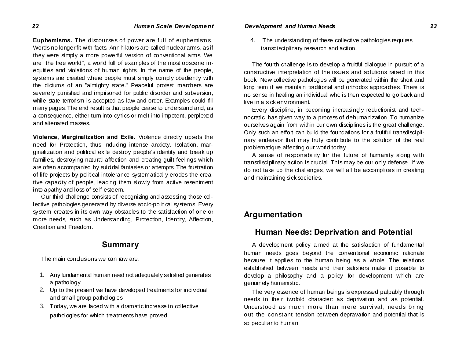### *22 Huma n Scale Developme nt Development and Human Needs 23*

**Euphemisms.** The discourses of power are full of euphemisms. Words no longer fit with facts. Annihilators are called nudear arms, as if they were simply a more powerful version of conventional arms. We are "the free world", a world full of examples of the most obscene inequities and violations of human rights. In the name of the people, systems are created where people must simply comply obediently with the dictums of an "almighty state." Peaceful protest marchers are severely punished and imprisoned for public disorder and subversion, while state terrorism is accepted as law and order. Examples could fill many pages. The end result is that people cease to understand and, as a consequence, either turn into cynics or melt into impotent, perplexed and alienated masses.

**Violence, Marginalization and Exile.** Violence directly upsets the need for Protection, thus inducing intense anxiety. Isolation, marginalization and political exile destroy people's identity and break up families, destroying natural affection and creating guilt feelings which are often accompanied by suicidal fantasies or attempts. The frustration of life projects by political intolerance systematically erodes the creative capacity of people, leading them slowly from active resentment into apathy and loss of self-esteem.

Our third challenge consists of recognizing and assessing those collective pathologies generated by diverse socio-political systems. Every system creates in its own way obstacles to the satisfaction of one or more needs, such as Understanding, Protection, Identity, Affection, Creation and Freedom.

# **Summary**

The main conclusions we can raw are:

- 1. Any fundamental human need not adequately satisfied generates a pathology.
- 2. Up to the present we have developed treatments for individual and small group pathologies.
- 3. Today, we are faced with a dramatic increase in collective pathologies for which treatments have proved

4. The understanding of these collective pathologies requires transdisciplinary research and action.

The fourth challenge is to develop a fruitful dialogue in pursuit of a constructive interpretation of the issue s and solutions raised in this book. New collective pathologies will be generated within the short and long term if we maintain traditional and orthodox approaches. There is no sense in healing an individual who is then expected to go back and live in a sick environment.

Every discipline, in becoming increasingly reductionist and technocratic, has given way to a process of dehumanization. To humanize ourselves again from within our own disciplines is the great challenge. Only such an effort can build the foundations for a fruitful transdisciplinary endeavor that may truly contribute to the solution of the real problematique affecting our world today.

A sense of re sponsibility for the future of humanity along with transdisciplinary action is crucial. This may be our only defense. If we do not take up the challenges, we will all be accomplices in creating and maintaining sick societies.

# **Argumentation**

## **Human Needs: Deprivation and Potential**

A development policy aimed at the satisfaction of fundamental human needs goes beyond the conventional economic rationale because it applies to the human being as a whole. The relations established between needs and their satisfiers make it possible to develop a philosophy and a policy for development which are genuinely humanistic.

The very essence of human beings is expressed palpably through needs in their twofold character: as deprivation and as potential. Understood as much more than mere survival, needs bring o ut the con stant tension between depravation and potential that is so peculiar to human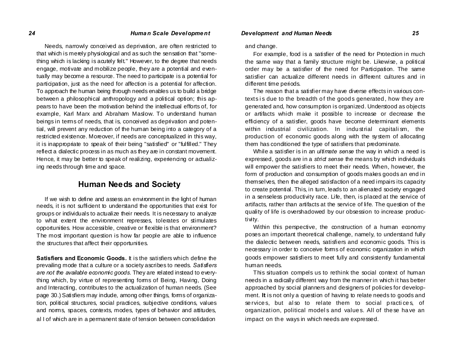Needs, narrowly conceived as deprivation, are often restricted to that which is merely physiological and as such the sensation that "something which is lacking is acutely felt." However, to the degree that needs engage, motivate and mobilize people, they are a potential and eventually may become a resource. The need to participate is a potential for participation, just as the need for affection is a potential for affection. To approach the human being through needs enables us to build a bridge between a philosophical anthropology and a political option; this appears to have been the motivation behind the intellectual efforts of, for example, Karl Marx and Abraham Maslow. To understand human beings in terms of needs, that is, conceived as deprivation and potential, will prevent any reduction of the human being into a category of a restricted existence. Moreover, if needs are conceptualized in this way, it is inappropriate to speak of their being "satisfied" or "fulfilled." They reflect a dialectic process in as much as they are in constant movement. Hence, it may be better to speak of realizing, experiencing or actualizing needs through time and space.

# **Human Needs and Society**

If we wish to define and assess an environment in the light of human needs, it is not sufficient to understand the opportunities that exist for groups or individuals to actualize their needs. It is necessary to analyze to what extent the environment represses, tolerates or stimulates opportunities. How accessible, creative or flexible is that environment? The most important question is how far people are able to influence the structures that affect their opportunities.

**Satisfiers and Economic Goods.** It is the satisfiers which define the prevailing mode that a culture or a society ascribes to needs. *Satisfiers are not the available economic goods.* They are related instead to everything which, by virtue of representing forms of Being, Having, Doing and Interacting, contributes to the actualization of human needs. (See page 30.) Satisfiers may indude, among other things, forms of organization, political structures, social practices, subjective conditions, values and norms, spaces, contexts, modes, types of behavior and attitudes, al I of which are in a permanent state of tension between consolidation

### *24 Huma n Scale Developme nt Development and Human Needs 25*

and change.

For example, food is a satisfier of the need for Protection in much the same way that a family structure might be. Likewise, a political order may be a satisfier of the need for Participation. The same satisfier can actualize different needs in different cultures and in different time periods.

The reason that a satisfier may have diverse effects in various contexts is due to the breadth of the goods generated, how they are generated and, how consumption is organized. Understood as objects or artifacts which make it possible to increase or decrease the efficiency of a satisfier, goods have become determinant elements within industrial civilization. In industrial capitalism, the production of economic goods along with the system of allocating them has conditioned the type of satisfiers that predominate.

While a satisfier is in an *ultimate sense* the way in which a need is expressed, goods are in a *strict sense* the means by which individuals will empower the satisfiers to meet their needs. When, however, the form of production and consumption of goods makes goods an end in themselves, then the alleged satisfaction of a need impairs its capacity to create potential. This, in turn, leads to an alienated society engaged in a senseless productivity race. Life, then, is placed at the service of artifacts, rather than artifacts at the service of life. The question of the quality of life is overshadowed by our obsession to increase productivity.

Within this perspective, the construction of a human economy poses an important theoretical challenge, namely, to understand fully the dialectic between needs, satisfiers and economic goods. This is necessary in order to conceive forms of economic organization in which goods empower satisfiers to meet fully and consistently fundamental human needs.

This situation compels us to rethink the social context of human needs in a radically different way from the manner in which it has better approached by social planners and designers of policies for development. **It** is not only a question of having to relate needs to goods and se rvice s, but also to relate them to social practices, of organization, political model s and value s. All of the se ha ve an impact on the ways in which needs are expressed.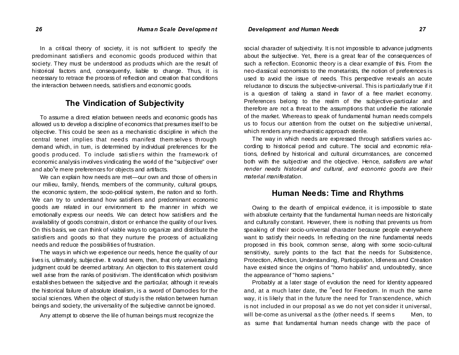In a critical theory of society, it is not sufficient to specify the predominant satisfiers and economic goods produced within that society. They must be understood as products which are the result of historical factors and, consequently, liable to change. Thus, it is necessary to retrace the process of reflection and creation that conditions the interaction between needs, satisfiers and economic goods.

## **The Vindication of Subjectivity**

To assume a direct relation between needs and economic goods has allowed us to develop a discipline of economics that presumes itself to be objective. This could be seen as a mechanistic discipline in which the central tenet implies that needs manifest them selves through demand which, in turn, is determined by individual preferences for the goods produced. To include satisfiers within the framework of economic analysis involves vindicating the world of the "subjective" over and abo<sup>v</sup>e mere preferences for objects and artifacts.

We can explain how needs are met—our own and those of others in our milieu, family, friends, members of the community, cultural groups, the economic system, the socio-political system, the nation and so forth. We can try to understand how satisfiers and predominant economic goods are related in our environment to the manner in which we emotionally express our needs. We can detect how satisfiers and the availability of goods constrain, distort or enhance the quality of our lives. On this basis, we can think of viable ways to organize and distribute the satisfiers and goods so that they nurture the process of actualizing needs and reduce the possibilities of frustration.

The ways in which we experience our needs, hence the quality of our lives is, ultimately, subjective. It would seem, then, that only universalizing judgment could be deemed arbitrary. An objection to this statement could well arise from the ranks of positivism. The identification which positivism establishes between the subjective and the particular, although it reveals the historical failure of absolute idealism, is a sword of Damocles for the social sciences. When the object of study is the relation between human beings and society, the universality of the subjective cannot be ignored.

Any attempt to observe the lile of human beings must recognize the

social character of subjectivity. It is not impossible to advance judgments about the subjective. Yet, there is a great fear of the consequences of such a reflection. Economic theory is a clear example of this. From the neo-dassical economists to the monetarists, the notion of preferences is used to avoid the issue of needs. This perspective reveals an acute reluctance to discuss the subjective-universal. This is particularly true if it is a question of taking a stand in favor of a free market economy. Preferences belong to the realm of the subjective-particular and therefore are not a threat to the assumptions that underlie the rationale of the market. Whereas to speak of fundamental human needs compels us to focus our attention from the outset on the subjective universal, which renders any mechanistic approach sterile.

The way in which needs are expressed through satisfiers varies according to historical period and culture. The social and economic relations, defined by historical and cultural circumstances, are concerned both with the subjective and the objective. Hence, *satisfiers are what* render needs historical and cultural, and economic goods are their *material manifestation.*

## **Human Needs: Time and Rhythms**

Owing to the dearth of empirical evidence, it is impossible to state with absolute certainty that the fundamental human needs are historically and culturally constant. However, there is nothing that prevents us from speaking of their socio-universal character because people everywhere want to satisfy their needs. In reflecting on the nine fundamental needs proposed in this book, common sense, along with some socio-cultural sensitivity, surely points to the fact that the needs for Subsistence, Protection, Affection, Understanding, Participation, Idleness and Creation have existed since the origins of "homo habilis" and, undoubtedly, since the appearance of "homo sapiens."

Probably at a later stage of evolution the need for Identity appeared and, at a much later date, the <sup>n</sup>eed for Freedom. In much the same way, it is likely that in the futu re the need for Tran scendence, which is not included in our proposal a s we do not yet con sider it universal, will be-come as universal as the (other needs. If seems Men, to as sume that fundamental human needs change witb the pace of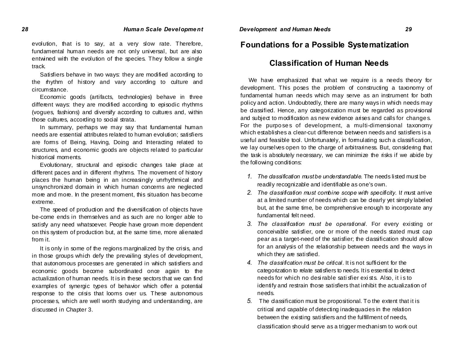evolution, that is to say, at a very slow rate. Therefore, fundamental human needs are not only universal, but are also entwined with the evolution of the species. They follow a single track.

Satisfiers behave in two ways: they are modified according to the rhythm of history and vary according to culture and circumstance.

Economic goods (artifacts, technologies) behave in three different ways: they are modified according to episodic rhythms (vogues, fashions) and diversify according to cultures and, within those cultures, according to social strata.

In summary, perhaps we may say that fundamental human needsare essential attributes related to human evolution; satisfiers are forms of Being, Having, Doing and Interacting related to structures, and economic goods are objects related to particular historical moments.

Evolutionary, structural and episodic changes take place at different paces and in different rhythms. The movement of history places the human being in an increasingly unrhythmical and unsynchronized domain in which human concerns are neglected more and more. In the present moment, this situation has become extreme.

The speed of production and the diversification of objects have be-come ends in themselves and as such are no longer able to satisfy any need whatsoever. People have grown more dependent on this system of production but, at the same time, more alienated from it.

It is only in some of the regions marginalized by the crisis, and in those groups which defy the prevailing styles of development, that autonomous processes are generated in which satisfiers and economic goods become subordinated once again to the actualization of human needs. It is in these sectors that we can find exarnples of synergic types of behavior which offer a potential response to the crisis that looms over us. These autonomous processe s, which are well worth studying and understanding, are discussed in Chapter 3.

# **Foundations for a Possible Systematization**

# **Classification of Human Needs**

We have emphasized that what we require is a needs theory for development. This poses the problem of constructing a taxonomy of fundamental human needs which may serve as an instrument for both policy and action. Undoubtedly, there are many ways in which needs may be dassified. Hence, any categorization must be regarded as provisional and subject to modification as new evidence arises and calls for change s. For the purposes of development, a multi-dimensional taxonomy which establishes a clear-cut difference between needs and satisfiers is a useful and feasible tool. Unfortunately, in formulating such a classification, we lay ourselves open to the charge of arbitrariness. But, considering that the task is absolutely necessary, we can minimize the risks if we abide by the following conditions:

- *1. The classification mustbe understandable.* The needs listed must be readily recognizable and identifiable as one's own.
- *2. The classification must combine scope with specificity.* I*t mu*st arrive at a limited number of needs which can be clearly yet simply labeled but, at the same time, be comprehensive enough to incorporate any fundamental felt need.
- *3. The classification must be operational.* For every existing or conceivable satisfier, one or more of the needs stated must cap pear as a target-need of the satisfier; the dassification should allow for an analysis of the relationship between needs and the ways in which they are satisfied.
- *4. The classification must be critical.* It is not sufficient for the categorization to relate satisfiers to needs. It is essential to detect needs for which no desi rable sati sfier exi sts. Also, it i s to identify and restrain those satisfiers that inhibit the actualization of needs.
- 5. The dassification must be propositional. To the extent that it is critical and capable of detecting inadequacies in the relation between the existing satisfiers and the fulfillment of needs, classification should serve as a trigger mechanism to work out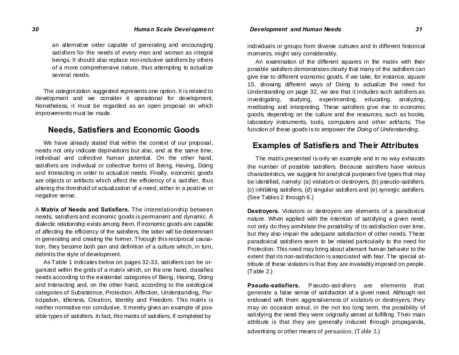an alternative order capable of generating and encouraging satisfiers for the needs of every man and woman as integral beings. It should also replace non-inclusive satisfiers by others of a more comprehensive nature, thus attempting to actualize several needs.

The categorization suggested represents one option. It is related to development and we consider it operational for development. Nonetheless, it must be regarded as an open proposal on which improvements must be made.

## **Needs, Satisfiers and Economic Goods**

We have already stated that within the context of our proposal, needs not only indicate deprivations but also, and at the same time, individual and collective human potential. On the other hand, satisfiers are individual or collective forms of Being, Having, Doing and Interacting in order to actualize needs. Finally, economic goods are objects or artifacts which affect the efficiency of a satisfier, thus altering the threshold of actualization of a need, either in a positive or negative sense.

A **Matrix of Needs and Satisfiers.** The interrelationship between needs, satisfiers and economic goods is permanent and dynamic. A dialectic relationship exists among them. If economic goods are capable of affecting the efficiency of the satisfiers, the latter will be determinant in generating and creating the former. Through this reciprocal causation, they become both pan and definition of a culture which, in turn, delimits the style of development.

As Table 1 indicates below on pages 32-33, satisfiers can be organized within the grids of a matrix which, on the one hand, dassifies needs according to the existential categories of Being, Having, Doing and Interacting and, on the other hand, according to the axiological categories of Subsistence, Protection, Affection, Understanding, Participation, Idleness, Creation, Identity and Freedom. This matrix is neither normative nor condusive. It merely gives an example of possible types of satisfiers. In fact, this matrix of satisfiers, if completed by

individuals or groups from diverse cultures and in different historical moments, might vary considerably.

An examination of the different squares in the matrix with their possible satisfiers demonstrates clearly that many of the satisfiers can give rise to different economic goods. If we take, for instance, square 15, showing different ways of Doing to actualize the need for Understanding on page 32, we see that it indudes such satisfiers as investigating, studying, experimenting, educating, analyzing, meditating and interpreting. These satisfiers give rise to economic goods, depending on the culture and the resources, such as books, laboratory instruments, tools, computers and other artifacts. The function of these goods is to empower the *Doing of Understanding.*

# **Examples of Satisfiers and Their Attributes**

The matrix presented is only an example and in no way exhausts the number of possible satisfiers. Because satisfiers have various characteristics, we suggest for analytical purposes five types that may be identified, namely: (a) violators or destroyers, (b) pseudo-satisfiers, (c) inhibiting satisfiers, (d) singular satisfiers and (e) synergic satisfiers. (See Tables 2 through 6.)

**Destroyers.** Violators or destroyers are elements of a paradoxical nature. When applied with the intention of satisfying a given need, not only do they annihilate the possibility of its satisfaction over time, but they also impair the adequate satisfaction of other needs. These paradoxical satisfiers seem to be related particularly to the need for Protection. This need may bring about aberrant human behavior to the extent that its non-satisfaction is associated with fear. The special attribute of these violators is that they are invariably imposed on people. (Table 2.)

**Pseudo-satisfiers.** Pseudo-satisfiers are elements that generate a false sense of satisfaction of a given need. Although not endowed with them aggressiveness of violators or destroyers, they may on occasion annul, in the not too long term, the possibility of satisfying the need they were originally aimed at fulfilling. Their main attribute is that they are generally induced through propaganda,

advertising or other means of persuasion. (Table 3.)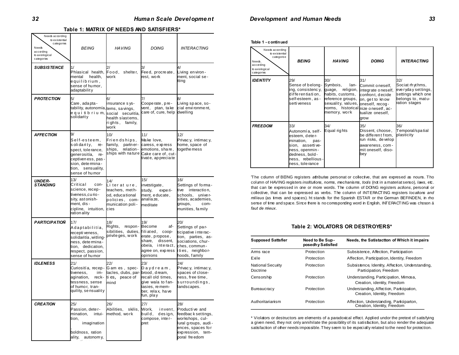#### **Table 1: MATRIX OF NEEDS AND SATISFIERS\***

| Needs according<br>to existential<br>categories<br>Needs<br>according<br>to axiological<br>categories | <b>BEING</b>                                                                                                                                                                   | <b>HAVING</b>                                                                                   | <b>DOING</b>                                                                                                                             | <b>INTERACTING</b>                                                                                                                              |
|-------------------------------------------------------------------------------------------------------|--------------------------------------------------------------------------------------------------------------------------------------------------------------------------------|-------------------------------------------------------------------------------------------------|------------------------------------------------------------------------------------------------------------------------------------------|-------------------------------------------------------------------------------------------------------------------------------------------------|
| <b>SUBSISTENCE</b>                                                                                    | 1/<br>Phíasical health, Food,<br>mental<br>health,<br>equilib rium ,<br>sense of humor,<br>adaptabilit y                                                                       | 2/<br>shelte r.<br>work                                                                         | 3/<br>Feed, procreate,<br>rest. work                                                                                                     | 4/<br>Living en viron -<br>ment, social se-<br>tting                                                                                            |
| <b>PROTECTION</b>                                                                                     | 5/<br>Care, ada pta -<br>tability, autonomía, tems, sa vings,<br>e quitibrium, social securitía,<br>solidarity                                                                 | 6/<br>insurance s ys-<br>health síastems,<br>rights, family,<br>work                            | 7/<br>Coope rate, p re -<br>vent, ptan, take<br>care of, cure, help                                                                      | 8/<br>Living space, so-<br>cial envi ronment.<br>dwelling                                                                                       |
| <b>AFFECTION</b>                                                                                      | 9/<br>Self-esteem,<br>s oli da ri t y,<br>re-<br>spect, tole rance,<br>generositía,<br>re-<br>ceptiveness, pas-<br>sion, dete mina -<br>tion.<br>sensuality,<br>sense of humor | 10/<br>Friendships,<br>family,<br>partner-<br>ships,<br>relation-                               | 11/<br>Make love,<br>caress, express<br>emotions, share,<br>ships with nature Cake care of, cut-<br>tivate, appreciate                   | 12/<br>Privac y, intimac y,<br>home, space of<br>togethe mess                                                                                   |
| <b>UNDER-</b><br><b>STANDING</b>                                                                      | 13/<br>Critical<br>con-<br>science, recep -<br>tiveness,cu rio -<br>sity, astonish-<br>ment, dis -<br>cipline, intuition, cies<br>ration ality                                 | 14/<br>Literature,<br>teachers, meth-<br>od, educational<br>policies, com-<br>munication poli - | 15/<br>investigate,<br>study,<br>expe ri-<br>ment, e ducate,<br>analía ze,<br>meditate                                                   | 16/<br>Settings of forma-<br>interaction.<br>tive<br>schools.<br>unive r-<br>sities, academies,<br>groups,<br>com-<br>munities, family          |
| <b>PARTICIPATION</b>                                                                                  | 17/<br>Adaptabilitía,<br>recepti veness,<br>solidaritía, witling-<br>ness, dete mina -<br>tion, dedication,<br>respect, passion,<br>sense of hu mor                            | 18/<br>Rights,<br>sibilities, duties, filiated,<br>privile ges, work                            | 19/<br>respon - Become<br>af-<br>coop-<br>erate, p ropose,<br>share,<br>dissent,<br>obeía,<br>interact,<br>agree on, express<br>opinions | 20/<br>Settings of par-<br>ticipative interac-<br>tion, parties, as-<br>sociations, chur-<br>ches, commun-<br>ities, neighbor-<br>hoods, family |
| <b>IDLENESS</b>                                                                                       | 21/<br>Curiositía, recep - Gam es, spec-<br>tiveness,<br>im-<br>agination.<br>tessness, sense<br>of humo r, tran-<br>quility, se nsualit y                                     | 22/<br>tacles, dubs, par- brood, dream,<br>reck-ties, peace of<br>mind                          | 23/<br>Daydream ,<br>recall old times,<br>qive waía to fan-<br>tasies, remem-<br>ber, relax, have<br>fun, pla y                          | 24/<br>Privac y, intimac y,<br>spaces of close-<br>ness, free time,<br>surroundings,<br>landscapes.                                             |
| <b>CREATION</b>                                                                                       | 25/<br>Passion, deter-<br>mination,<br>intui-<br>tion.<br>imagination<br>boldnoss, ration<br>ality, autonomy,                                                                  | 26/<br>Abilities,<br>skilis, Work,<br>method, work                                              | 27/<br>invent.<br>build,<br>desian.<br>compose, inter-<br>pret                                                                           | 28/<br>Productive and<br>feedbacksettings,<br>workshops, cul-<br>lural groups, audi-<br>ences, spaces for<br>expression, tem-<br>poral freedom  |

inventi ve ness,

**Table 1 - c ontinued**

| Needs according<br>to existential<br>categorice<br>Needs.<br>according<br>to axiological<br>categories | <b>BEING</b>                                                                                                                                                     | <b>HAVING</b>                                                                                                                                                                                              | <b>DOING</b>                                                                                                          | <b>INTERACTING</b>                                                                                       |
|--------------------------------------------------------------------------------------------------------|------------------------------------------------------------------------------------------------------------------------------------------------------------------|------------------------------------------------------------------------------------------------------------------------------------------------------------------------------------------------------------|-----------------------------------------------------------------------------------------------------------------------|----------------------------------------------------------------------------------------------------------|
| <b>IDENTITY</b>                                                                                        | 29/<br>Sense of belong - Symbois,<br>differentiation,<br>self-esteem , as -<br>serti veness                                                                      | 30/<br>lan-<br>ing, consistency, guage, religion, integrate oneself,<br>habits, customs,<br>reference groups,<br>sexuality, values, oneself, recog-<br>norms, historical nize onesetf, ac-<br>memory, work | 31/<br>Commit oneself,<br>confront, decide<br>on, get to know<br>tualize oneself,<br>grow                             | 32/<br>Sociat rhythms,<br>everyday settings,<br>settings which one<br>belongs to, matu-<br>ration stages |
| <b>FREEDOM</b>                                                                                         | 33/<br>Autonomía, self-<br>esteem, deter-<br>mination,<br>pas-<br>sion, assertive-<br>ness, openmin -<br>dedness, bold-<br>ness, rebellious-<br>ness, tole rance | 34/<br>Equal rights                                                                                                                                                                                        | 35/<br>Dissent, choose,<br>be different from,<br>run risks, de velop<br>awareness, com -<br>mit oneself, diso-<br>bey | 36/<br>Temporal/spatial<br>plasticity                                                                    |

'The column of BElNG registers *attributes* personat or collective, that are expresed as nouns. Tho column of HAVING registers *institutions, norms, mechanisms, tools* (not in a materiat senso), *laws,* etc. that can be expressed in one or more words. The column of DOlNG registers *actions,* personal or collective, that can be expressed as verbs. The column of INTERACTING registers *locations and milieus* (as times and spaces). ht stands for the Spanish ESTAR or the German BEFINDEN, in rho sense of time and space. Since there is no corresponding word in English, INTERACTING was choson á *faut de mieux.*

#### **Table 2: VIOLATORS OR DESTROYERS\***

| <b>Supposed Sattsfier</b>            | Need to Be Sup-<br>posedh y Satisfied | Needs, the Satistactton of Which it impairs                                |
|--------------------------------------|---------------------------------------|----------------------------------------------------------------------------|
| Arms race                            | Protection                            | Subsistence, Affection, Participation                                      |
| Exile                                | Protection                            | Affection, Participation, Identity, Freedom                                |
| <b>National Security</b><br>Doctrine | Protection                            | Subsistence, Identity, Affection, Understanding,<br>Participation, Freedom |
| Censorship                           | Protection                            | Understanding, Participation, Mimosa,<br>Creation, identity, Freedom       |
| Protection<br>Bureaucracy            |                                       | Understanding, Affection, Participation,<br>Creation, Identity, Freedom    |
| Authoritarianism                     | Protection                            | Affection, Understanding, Participarton,<br>Creation, Identity, Freedom    |

\* Violators or destructors are elements of a paradoxical effect. Applied undor the pretext of satisfying a given need, they not only annihilate the possibility of its satisfaction, but also render the adequate satisfaction of other needs impossible. They seem to be especially related to the need for protection.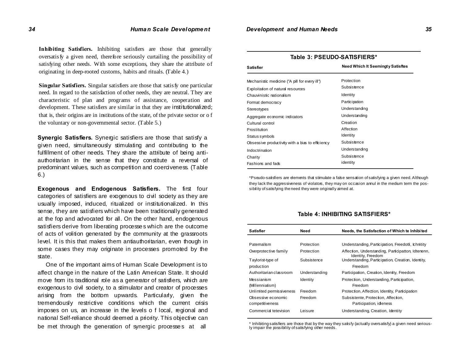Inhibiting Satisfiers. Inhibiting satisfiers are those that generally oversatisfy a given need, therefore seriously curtailing the possibility of satisfying other needs. With some exceptions, they share the attribute of originating in deep-rooted customs, habits and rituals. (Table 4.)

**Singular Satisfiers.** Singular satisfiers are those that satisfy one particular need. In regard to the satisfaction of other needs, they are neutral. They are characteristic of plan and programs of assistance, cooperation and development. These satisfiers are similar in that they are institutionalized; that is, their origins are in institutions of the state, of the private sector or o f the voluntary or non-governmental sector. (Table 5.)

**Synergic Satisfiers.** Synergic satisfiers are those that satisfy a given need, simultaneously stimulating and contributing to the fulfillment of other needs. They share the attribute of being antiauthoritarian in the sense that they constitute a reversal of predominant values, such as competition and coerciveness. (Table 6.)

**Exogenous and Endogenous Satisfiers.** The first four categories of satisfiers are exogenous to civil society as they are usually imposed, induced, ritualized or institutionalized. In this sense, they are satisfiers which have been traditionally generated at the fop and advocated for all. On the other hand, endogenous satisfiers derive from liberating processes which are the outcome of acts of volition generated by the community at the grassroots level. It is this that makes them antiauthoritarian, even though in some cases they may originate in processes promoted by the state.

One of the important aims of Human Scale Development is to affect change in the nature of the Latin American State. It should move from its traditional role as a generator of satisfiers, which are exogenous to civil society, to a stimulator and creator of processes arising from the bottom upwards. Particularly, given the tremendously restrictive conditions which the current crisis imposes on us, an increase in the levels o f local, regional and national Self-reliance should deemed a priority. This objective can be met through the generation of synergic processes at all

| <b>Satisfier</b>                                 | <b>Need Which It Seemingty Satisftes</b> |
|--------------------------------------------------|------------------------------------------|
| Mechanistic medicine ("A pill for every ill")    | Protection                               |
| Exploitation of natural resources                | Subsistence                              |
| Chauvinistic nationalism                         | Identity                                 |
| Format democracy                                 | Participation                            |
| Stereotypes                                      | Understanding                            |
| Aggregate economic indicators                    | Understanding                            |
| Cultural control                                 | Creation                                 |
| Prostitution                                     | Affection                                |
| Status symbols                                   | Identity                                 |
| Obsessive productivity with a bias to efficiency | Subsistence                              |
| Indoctrination                                   | Understanding                            |
| Charity                                          | Subsistence                              |
| Fashions and facs                                | identity                                 |

**Table 3: PSEUDO-SATISFIERS\***

\*Pseudo-satisfiers are elements that stimulate a false sensation of satisfying a given need. Although they lack the aggressiveness of violators, they may on occasion annul in the medium term the possibility of satisfying the need they were originally aimed at.

## **Table 4: INHIBITING SATISFIERS\***

| <b>Satisfier</b>                      | Need          | Needs, the Satisfaction of Which te Inhibited                           |
|---------------------------------------|---------------|-------------------------------------------------------------------------|
|                                       |               |                                                                         |
| Patemalism                            | Protection    | Understanding, Participation, Freedotli, Ichnitity                      |
| Overprotective family                 | Protection    | Affection, Understanding, Participatton, Idtenenn,<br>Identity, Freedom |
| Taylorist-type of<br>production       | Subsistence   | Understanding, Participation, Creation, Identity,<br>Freedom            |
| Authoritarian classroom               | Understanding | Participation, Creation, Identity, Freedom                              |
| Messianism<br>(Millenniatism)         | Identity      | Protection, Understanding, Participation,<br>Freedom                    |
| Unlimited permissiveness              | Freedom       | Protection, Affection, Identity, Participation                          |
| Obsessive economic<br>competitiveness | Freedom       | Subsistente, Protection, Affection,<br>Participation, ideness           |
| Commercial tetevision                 | Leisure       | Understanding, Creation, Identity                                       |

\* Inhibiting satisfiers are those that by the way they satisfy (actually oversatisfy) a given need seriously impair the possibility of satisfying other needs.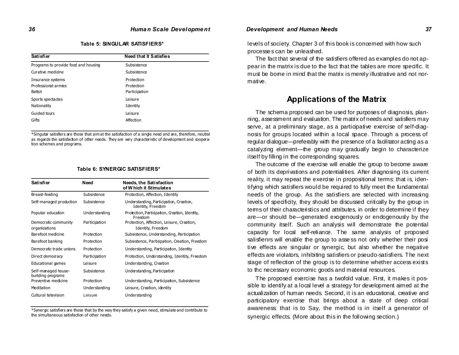#### **Table 5: SINGULAR SATISFIERS\***

| <b>Need that It Satisfies</b> |  |
|-------------------------------|--|
| Subsistence                   |  |
| Subsistence                   |  |
| Protection                    |  |
| Protection<br>Participation   |  |
| Leisure<br>Identity           |  |
| Leisure<br>Affection          |  |
|                               |  |

\*Singutar satisfiers are those that aim at the satisfaction of a single need and are, therefore, neutral as regards the satisfaction of other needs. They are very characteristic of development and cooperation schemes and programs.

#### **Table 6: SYNERGIC SATISFIERS\***

| <b>Satisfier</b>                         | <b>Need</b>   |                                                                |
|------------------------------------------|---------------|----------------------------------------------------------------|
|                                          |               | <b>Needs, the Satisfaction</b><br>of W hich it Stimulates      |
| Breast-feeding                           | Subsistence   | Protection, Affection, Identity                                |
| Setf-managed production                  | Subsistence   | Understanding, Participation, Creation,<br>Identity, Freedom   |
| Poputar education                        | Understanding | Protection, Participation, Geation, Identity,<br>Freedom       |
| Democratic community<br>organizations    | Participation | Protection, Affection, Leisure, Creation,<br>Identity, Freedom |
| Barefoot medicine                        | Protection    | Subsistence, Understanding, Participation                      |
| Barefoot banking                         | Protection    | Subsistence, Partidpation, Creation, Freedom                   |
| Democratic trade unions                  | Protection    | Understanding, Participation, Identity                         |
| Direct demogracy                         | Participation | Protection, Understanding, Identity, Freedom                   |
| Educational games                        | Leisure       | Understanding, Creation                                        |
| Self-managed house-<br>buitding programs | Subsistence   | Understanding, Participation                                   |
| Preventive medicine                      | Protection    | Understanding, Participation, Subsistence                      |
| Meditation                               | Understanding | Leisure, Creation, identity                                    |
| Cultural tetevision                      | Leisure       | Understanding                                                  |

\*Synergic satisfiers are those that by the way they satisfy a given need, stimulate and contribute to the simultaneous satisfaction of other needs.

## *36 Huma n Scale Developme nt Development and Human Needs 37*

levels of society. Chapter 3 of this book is concerned with how such processe s can be unleashed.

The fact that several of the satisfiers offered as examples do not appear in the matrix is due to the fact that the tables are more specific. It must be bome in mind that the matrix is merely illustrative and not normative.

## **Applications of the Matrix**

The schema proposed can be used for purposes of diagnosis, planning, assessment and evaluation. The matrix of needs and satisfiers may serve, at a preliminary stage, as a participative exercise of self-diagnosis for groups located within a local space. Through a process of regular dialogue—preferably with the presence of a facilitator acting as a catalyzing element—the group may gradually begin to characterize itself by filling in the corresponding squares.

The outcome of the exercise will enable the group to become aware of both its deprivations and potentialities. After diagnosing its current reality, it may repeat the exercise in propositional terms: that is, identifying which satisfiers would be required to fully meet the fundamental needs of the group. As the satisfiers are selected with increasing levels of specificity, they should be discussed critically by the group in terms of their characteristics and attributes, in order to determine if they are—or should be—generated exogenously or endogenously by the community itself. Such an analysis will demonstrate the potential capacity for local self-reliance. The same analysis of proposed salisfienrs will enable the group to asse ss not only whether their posi tive effects are singular or synergic, but also whether the negative effects are violators, inhibiting satisfiers or pseudo-satisfiers. The next stage of reflection of the group is to determine whether access exists to thc necessary economic goods and material resources.

The proposed exercise has a twofold value. First, it makes it possible to identify at a local level a strategy for development aimed at the actualization of human needs. Second, it is an educational, creative and participatory exercise that brings about a state of deep critical awareness: that is to Say, the method is in itself a generator of synergic effects. (More about this in the following section.)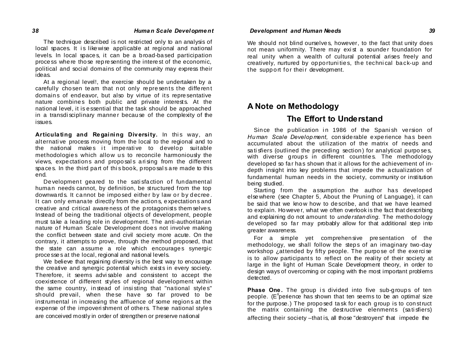The technique described is not restricted only to an analysis of local spaces. It is like wise applicable at regional and national levels. In local space s, it can be a b road-ba sed participation proce ss whe re tho se repre senting the intere st of the economic, political and social domains of the community may express their ideas.

At a regional level!, the exercise should be undertaken by a carefully chosen team that not only represents the different domains of endeavor, but also by virtue of its representative nature combines both public and private interests. At the national level, it is e ssential that the task should be approached in a transdisciplinary manner because of the complexity of the issues.

**Articulating and Regaining Diversity.** In this way, an alternati ve process moving from the local to the regional and to the national makes it imperative to develop suitable methodologies which allow us to reconcile harmoniously the views, expe ctation s and propo sal s a ri sing from the different spaces. In the third part of this book, proposals are made to this end.

De velopment geared to the satisfaction of fundamental human needs cannot, by definition, be structured from the top downwards. It cannot be imposed either by law or by decree. It can only emana te directly from the action s, e xpectation s and creative and critical awareness of the p rotagonists them selve s. Instead of being the traditional objects of development, people must ta ke a leading role in development. The anti-authoritarian nature of Human Scale Development does not involve making the conflict between state and civil society more acute. On the contrary, it attempts to prove, through the method proposed, that the state can assume a role which encourages synergic proce sse s at the local, regional and national levels.

We believe that regaining diversity is the best way to encourage the creative and synergic potential which exists in every society. Therefore, it seems advi sable and consistent to accept the coexistence of different styles of regional development within the same country, in stead of insi sting that "na tional style s" sh ould pre vail, when the se have so far proved to be instrumental in increasing the affluence of some region s at the expense of the impoveri shment of others. These national styles are conceived mostly in order of strengthen or preserve national

### *38 Huma n Scale Developme nt Development and Human Needs 39*

We should not blind ourselves, however, to the fact that unity does not mean uniformity. There may exist a sounder foundation for real unity when a wealth of cultural potential arises freely and creatively, nurtured by op po rtuni tie s, th e techni cal ba ck-up and the supp ort for their development.

# **A Note on Methodology**

## **The Effort to Understand**

Since the publication in 1986 of the Spanish version of *Hu man Scale Develop ment,* con side rable e xpe rience ha s been accumulated about the utilization of the matrix of needs and sati sfiers (outlined the preceding section) for analytical purposes, with diverse groups in different countries. The methodology developed so far has shown that it allows for the achievement of indepth insight into key problems that impede the a ctualization of fundamental human needs in the society, community or institution being studied.

Starting from the assumption the author has developed else where (see Chapter 5, About the Pruning of Language), it can be said that we know how to describe, and that we have learned to explain. Ho weve r, what we often overlook is the fact that describing and explaining do not amount to *unde rstan ding.* The metho dology developed so far may probably allow for that additional step into greater awareness.

For a simple yet comprehen sive pre sentation of the methodology, we shall follow the steps of an imaginary two-day workshop *i* attended by fifty people. The purpose of the exercise is to allow participants to reflect on the reality of their society at large in the light of Human Scale Development theory, in order to design ways of overcoming or coping with the most important problems detected.

**Phase One.** The group is divided into five sub-groups of ten people. (E<sup>x</sup>perience has shown that ten seems to be an optimal size for the purpose.) The proposed task for each group is to construct the matrix containing the destructive elenments (satisfiers) affecting their society –that is, all those "destroyers" that impede the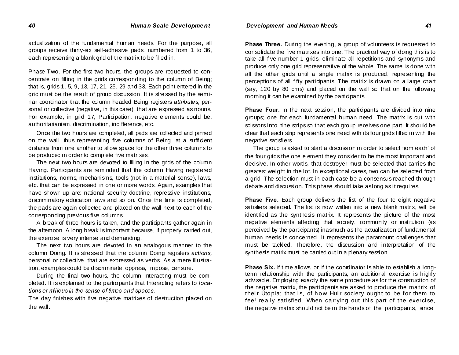actualization of the fundamental human needs. For the purpose, all groups receive thirty-six self-adhesive pads, numbered from 1 to 36, each representing a blank grid of the matrix to be filled in.

Phase Two. For the first two hours, the groups are requested to concentrate on filling in the grids corresponding to the column of Being; that is, grids 1, 5, 9, 13, 17, 21, 25, 29 and 33. Each point entered in the grid must be the result of group discussion. It is stressed by the seminar coordinator that the column headed Being registers *attributes,* personal or collective (negative, in this case), that are expressed as nouns. For example, in grid 17, Participation, negative elements could be: authoritarianism, discrimination, indifference, etc.

Once the two hours are completed, all pads are collected and pinned on the wall, thus representing five columns of Being, at a sufficient distance from one another to allow space for the other three columns to be produced in order to complete five matrixes.

The next two hours are devoted to filling in the grids of the column Having. Participants are reminded that the column Having registered institutions, norms, mechanisms, tools (not in a material sense), laws, etc. that can be expressed in one or more words. Again, examples that have shown up are: national security doctrine, repressive institutions, discriminatory education laws and so on. Once the time is completed, the pads are again collected and placed on the wall next to each of the corresponding previous five columns.

A break of three hours is taken, and the participants gather again in the afternoon. A long break is important because, if properly carried out, the exercise is very intense and demanding.

The next two hours are devoted in an analogous manner to the column Doing. It is stre ssed that the column Doing registers *actions,* personal or collective, that are expressed as verbs. As a mere illustration, examples could be discriminate, oppress, impose, censure.

During the final two hours, the column Interacting must be completed. It is explained to the participants that Interacting refers to *locations or milieus in the sense of times and spaces.*

The day finishes with five negative matrixes of destruction placed on the wall.

**Phase Three.** During the evening, a group of volunteers is requested to consolidate the five matrixes into one. The practical way of doing this is to take all five number 1 grids, eliminate all repetitions and synonyms and produce only one grid representative of the whole. The same is done with all the other grids until a single matrix is produced, representing the perceptions of all fifty participants. The matrix is drawn on a large chart (say, 120 by 80 cms) and placed on the wall so that on the following morning it can be examined by the participants.

**Phase Four.** In the next session, the participants are divided into nine groups; one for each fundamental human need. The matrix is cut with scissors into nine strips so that each group receives one part. It should be clear that each strip represents one need with its four grids filled in with the negative satisfiers.

The group is asked to start a discussion in order to select from each' of the four grids the one element they consider to be the most important and decisive. In other words, that destroyer must be selected that carries the greatest weight in the lot. In exceptional cases, two can be selected from a grid. The selection must in each case be a consensus reached through debate and discussion. This phase should take aslong as it requires.

**Phase Five.** Each group delivers the list of the four to eight negative satisfiers selected. The list is now written into a new blank matrix, will be identified as the synthesis matrix. It represents the picture of the most negative elements affecting that society, community or institution (as perceived by the participants) inasmuch as the actualization of fundamental human needs is concerned. It represents the paramount challenges that must be tackled. Therefore, the discussion and interpretation of the synthesis matrix must be carried out in a plenary session.

**Phase Six.** If time allows, or if the coordinator is able to establish a longterm relationship with the participants, an additional exercise is highly advisable. Employing exactly the same procedure as for the construction of the negative matrix, the participants are asked to produce the ma trix of their Utopia; that is, of how Huir society ought to be for them to fee! really satisfied. When carrying out this part of the exercise, the negative matrix should not be in the handsof the participants, since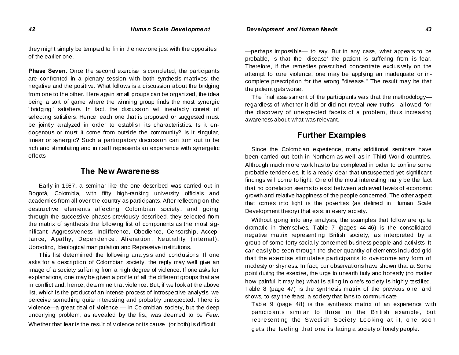they might simply be tempted to fin in the new one just with the opposites of the earlier one.

**Phase Seven.** Once the second exercise is completed, the participants are confronted in a plenary session with both synthesis matrixes: the negative and the positive. What follows is a discussion about the bridging from one to the other. Here again small groups can be organized, the idea being a sort of game where the winning group finds the most synergic "bridging" satisfiers. In fact, the discussion will inevitably consist of selecting satisfiers. Hence, each one that is proposed or suggested must be jointly analyzed in order to establish its characteristics. Is it endogenous or must it come from outside the community? Is it singular, linear or syne rgic? Such a participatory discu ssion can turn out to be rich and stimulating and in itself represents an experience with synergetic effects.

## **The New Awareness**

Early in 1987, a seminar like the one described was carried out in Bogotá, Colombia, with fifty high-ranking university officials and academics from all over the country as participants. After reflecting on the destructive elements affecting Colombian society, and going through the successive phases previously described, they selected from the matrix of synthesis the following list of components as the most significant: Aggressiveness, Indifference, Obedience, Censorship, Acceptance, Apathy, Dependence, Alienation, Neutrality (internal), Uprooting, Ideological manipulation and Repressive institutions.

This list determined the following analysis and condusions. If one asks for a description of Colombian society, the reply may well give an image of a society suffering from a high degree of violence. If one asks for explanations, one may be given a profile of all the different groups that are in conflict and, hence, determine that violence. But, if we lookat the above list, which is the product of an intense process of introspective analysis, we perceive something quite interesting and probably unexpected. There is violence—a great deal of violence — in Colombian society, but the deep underlying problem, as revealed by the list, was deemed to be *Fear.*

Whether that fear is the result of violence or its cause (or both) is difficult

—perhaps impossible— to say. But in any case, what appears to be probable, is that the "disease' the patient is suffering from is fear. Therefore, if the remedies prescribed concentrate exclusively on the attempt to cure violence, one may be applying an inadequate or incomplete prescription for the wrong "disease." The result may be that the patient gets worse.

The final asse ssment of the participants was that the methodology regardless of whether it did or did not reveal *new* truths - allowed for the discovery of unexpected facets of a problem, thus increasing awareness about what was relevant.

# **Further Examples**

Since the Colombian experience, many additional seminars have been carried out both in Northern as well as in Third World countries. Although much more work has to be completed in order to confine some probable tendencies, it is already dear that unsuspected yet significant findings will come to light. One of the most interesting ma y be the fact that no correlation seems to exist between achieved levels of economic growth and relative happiness of the people concerned. The other aspect that comes into light is the poverties (as defined in Human Scale Development theory) that exist in every society.

Without going into any analysis, the examples that follow are quite dramatic in themselves. Table 7 (pages 44-46) is the consolidated negative matrix representing British society, as interpreted by a group of some forty socially concerned business people and activists. It can easilybe seen through the sheer quantity of elements included grid that the exercise stimulates participants to overcome any form of modesty or shyness. In fact, our observations have shown that at Some point during the exercise, the urge to unearth truly and honestly (no matter how painful it may be) what is ailing in one's society is highly testified. Table 8 (page 47) is the synthesis matrix of the previous one, and shows, to say the feast, a society that fans to communicate

Table 9 (page 48) is the synthesis matrix of an experience with particip ants similar to those in the British example, but representing the Swedish Society Looking at it, one soon gets the feeling that one is facing a society of lonely people.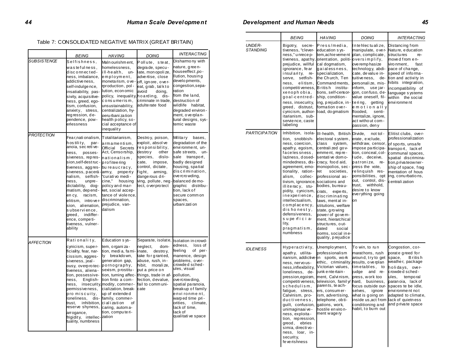## *44 Huma n Scale Developme nt Development and Human Needs 45*

Table 7: CONSOLIDATED NEGATIVE MATRIX (GREAT BRITAIN)

|                    | BEING                                                                                                                                                                                                                                                                                                                                                                                                                                                                                     | <b>HAVING</b>                                                                                                                                                                                                                                                                                                                    | <b>DOING</b>                                                                                                                                                                                                                                       | <b>INTERACTING</b>                                                                                                                                                                                                                                                                                            |
|--------------------|-------------------------------------------------------------------------------------------------------------------------------------------------------------------------------------------------------------------------------------------------------------------------------------------------------------------------------------------------------------------------------------------------------------------------------------------------------------------------------------------|----------------------------------------------------------------------------------------------------------------------------------------------------------------------------------------------------------------------------------------------------------------------------------------------------------------------------------|----------------------------------------------------------------------------------------------------------------------------------------------------------------------------------------------------------------------------------------------------|---------------------------------------------------------------------------------------------------------------------------------------------------------------------------------------------------------------------------------------------------------------------------------------------------------------|
| <b>SUBSISTENCE</b> | Selfishness,<br>wastefulness,<br>disconnected-<br>ness.imbalance.<br>addictive ness,<br>self-indulgence,<br>insatiability, pas-<br>sivity, acquisitive-<br>ness, greed, ego-<br>tism, confusion,<br>anxiety, stress,<br>regression, de-<br>pendence, pow-<br>erlessness                                                                                                                                                                                                                   | Main ourishment.<br>homelessness.<br>ill-health.<br>un-<br>employment,<br>moneta rism, o ve -<br>rproduction, pol -<br>lution, econ omic<br>policy, inequality, ho arding,<br>consumerism,<br>unsustainability,<br>centralization, hy-<br>peru rbani za tion<br>health policy, so-<br>cial acceptance of<br>inequality           | Pollute, steat,<br>degra de, specu-<br>late, mon opoli ze,<br>advertise, close<br>off, ign ore, over-<br>eat, grab, talkto<br>avoid<br>doing,<br>dis-<br>criminate in trade,<br>adulte rate food                                                   | Disharmony with<br>nature, green-<br>- houseeffect,po<br>Ilution, housing<br>develo pments,<br>congestion,sepa-<br>ration<br>from the land,<br>destruction of<br>wildlife habitat,<br>degraded environ-<br>ment, o ve rpla n-<br>tural designs, sys-<br>temic waste                                           |
| <b>PROTECTION</b>  | Fear,nati onalism, Totalitarianism,<br>h os tili t v.<br>par-<br>anoia, sec reti ve-<br>ness,<br>posses-<br>siveness, repres–nationalism,<br>sion,self-destruc - profiteering<br>tiveness, aggres- bu reaucracy,<br>siveness, pacerá - arm y,<br>nalism,<br>ness,<br>unpre -<br>dictability, dog-<br>matism, depend - ket, social accep-<br>en cy,<br>racism,<br>elitism.<br>sion, alienation,<br>subservience,<br>indiffer-<br>greed,<br>ence, compe ti-<br>tiveness, vulner-<br>ability | armamentism.<br>Secrets<br>Official<br>Act, Censorship,<br>prope rt y<br>selfish- "curati vo medi-<br>cine,"<br>housing<br>policy and mar-<br>tance of violence,<br>introver-discrimination,<br>prejudice, van-<br>dalism                                                                                                        | Destroy, poison,<br>exploit, absol ve<br>responsibility,<br>destro y<br>other<br>dislo-<br>species,<br>cate,<br>impose,<br>control, dictate,<br>fight,<br>arming,<br>dange rous d ri-<br>ving, pollute, neg-balanced de mo-<br>lect, o verpro tect | Military<br>bases.<br>degradation of the<br>envi ronme nt, un-<br>safe streets.<br>un-<br>sale<br>transport,<br>badly designed<br>housing, spatial<br>discrimination,<br>ove rcro wding,<br>graphic<br>distribu -<br>tion, lack of<br>secure comm on<br>spaces,<br>urbani zati on                             |
| <b>AFFECTION</b>   | Rationality,<br>cynicism, super-<br>ficiality, fear, nar-<br>cissism, aggres-<br>siveness, jeal -<br>ousy, overprotec-pornography,<br>tiveness, aliena-<br>tion, possessive-<br>ness,<br>English-<br>ness,<br>permissive ness,<br>pro miscuity,<br>loneliness,<br>trust.<br>reserve shyness, caring, automa-<br>arrogance,<br>frigidity, intellec-zation<br>tuality, numbness                                                                                                             | Education sys-<br>tem, o rgani za -<br>tion, medi a, fami-<br>brea kdo wn,<br>l٧<br>generation gap,<br>sexism, prostitu -<br>tion, turning affec-<br>tion finto a com-<br>insecurity, modity, commer-<br>cialization, break-<br>up of extended<br>dis-family, commer-<br>inhibition, ci al i za ti on<br>of<br>tion, compute ri- | Separate, isolate, Isolation in crowd-<br>neglect,<br>dom-<br>inate,<br>destro y,<br>take for granted,<br>abuse, rush, in -<br>hibit.<br>morali ze,<br>put a price on<br>things, trade in af-<br>fection, devalue,<br>fail to comm uni-<br>cate    | edness,<br>loss of<br>feeling<br>of per-<br>manence, design<br>problems, over-<br>crowded sched -<br>ules, visual<br>pollution,<br>ove rcrow ding,<br>spatial paranoia,<br>break-up of family<br>envi ronme nt,<br>warped time pri-<br>orities,<br>climate,<br>lack of time,<br>lack of<br>qualitati ve space |

|                                  | <b>BEING</b>                                                                                                                                                                                                                                                                                                                                                                                                                         | <b>HAVING</b>                                                                                                                                                                                                                                                                                                                                                                                                                                        | <b>DOING</b>                                                                                                                                                                                                                                                                                                                     | <b>INTERACTING</b>                                                                                                                                                                                                                                                         |
|----------------------------------|--------------------------------------------------------------------------------------------------------------------------------------------------------------------------------------------------------------------------------------------------------------------------------------------------------------------------------------------------------------------------------------------------------------------------------------|------------------------------------------------------------------------------------------------------------------------------------------------------------------------------------------------------------------------------------------------------------------------------------------------------------------------------------------------------------------------------------------------------------------------------------------------------|----------------------------------------------------------------------------------------------------------------------------------------------------------------------------------------------------------------------------------------------------------------------------------------------------------------------------------|----------------------------------------------------------------------------------------------------------------------------------------------------------------------------------------------------------------------------------------------------------------------------|
| <i>UNDER-</i><br><b>STANDING</b> | Bigotry,<br>secre-<br>tiveness, "clever-<br>ness," unrece p-<br>prejudice, willful<br>ignorance, fe ar<br>insularity,<br>re-<br>serve,<br>setfish-<br>elitism,<br>ness,<br>competiti veness, British<br>xenoph obia,<br>goal-centred-<br>ness, insecurity,<br>greed, distrust,<br>cynicism, author- load, do gmatism<br>itarianism, sub-<br>servience, caste<br>labeling                                                             | Press/media,<br>education s ys-<br>tem, achie vement plan, complicate,<br>tiveness, apathy, orientation, politi-oversimplify,<br>cal dogmatism,<br>gaialessness,<br>specialization,<br>the Church, Ten<br>Command ments,<br>institu-<br>tions, self-censor-<br>ship, condition -<br>ing, prejudice, in - tering,<br>formation over-                                                                                                                  | Intehlectualize,<br>manipulate, over-<br>ove remp hasize<br>technology, abdi-<br>cate, de valu e in-<br>tuitive ness,<br>de-<br>personalize, mis-<br>inform.<br>use jar-<br>gon, confuso, de-<br>value oneself, fil-<br>getting<br>emotionally<br>flooded,<br>senti-<br>mentalize, ignore,<br>act without com-<br>passion, den y | Distancing from<br>Nature, education<br>structu res<br>re-<br>moved from en-<br>viro nment.<br>fast<br>pace of change,<br>speed of informa-<br>tion and activity in<br>hibits integration,<br>incompatibility of<br>language systems<br>within the social<br>envi ronme nt |
| <b>PARTICIPATION</b>             | tion, snobbish-<br>ness, coercion,<br>apathy, egoism,<br>facelessness,<br>laziness, dosed- sentative domo-<br>mindedness, dis-cracy, food aid,<br>agreement, emo-<br>tionality, ration-<br>alism.<br>collec-<br>tivism, ignorance, sociations and<br>illiteracy, stu-<br>pidity, cynicism,<br>inexperience,<br>intellectualism,<br>complacency,<br>dishonesty,<br>defensiveness,<br>supe nficia-<br>lity,<br>pragmatism,<br>numbness | Inhibition, isola- III-health, British Divide,<br>electoral s ystem,<br>class<br>system,<br>centralized gov-<br>emment, repre-<br>monopolios, sec -<br>ret<br>societies,<br>professional as-<br>bodies, bu rea u-<br>crats,<br>experts,<br>discriminating<br>laws, mental in-<br>stitutions, welfare<br>state, growing<br>power of gove m-<br>ment, hierarchical<br>structures, out-<br>dated<br>social<br>norms, social in e-<br>quality, prejudice | not tol -<br>erate, e xclude,<br>withdraw, censor, of sports, unsafe<br>impose participa-<br>tion, conceal, col-<br>ude, deceive,<br>patronize,<br>re-<br>press the vote,<br>relinquish res-<br>ponsibilities, opt<br>out, control, dis-<br>withhold,<br>trust,<br>desire to know<br>everything going<br>on                      | Elitist clubs, over-<br>professionalization<br>transport, lack ef<br>communal spaces,<br>spatial discrimina-<br>tion, priva teow ner-<br>ship of space, frag<br>mentation of hous<br>ing, conumbations,<br>centrali zation                                                 |
| <b>IDLENESS</b>                  | Hyperactivity,<br>apathy, utilita-<br>rianism, addictive-in sports, work<br>ness, nervous-<br>ness, inflexibility,<br>loneliness, de-<br>pression, egoism,<br>schedulism,<br>fatigue, stress,<br>Calvinism, pro-<br>ductiveness,<br>quilt, confusion,<br>unimaginaai ve -<br>ness, exploita -<br>tion, repression,<br>greod, ebries<br>simia, directivo-<br>ness, loar, in-<br>security,<br>fe ve rishness                           | Unemplo ymen t,<br>professionalism<br>ethic, criminality, results, ove rplan<br>Victorian values,<br>junk entertain -<br>ment, Calvinism,<br>competiti veness, television, family/hard,<br>parents, te ach-<br>ers, consum er-<br>ism, advertising,<br>telephone, ob ti-<br>gations, work,<br>hostile en viron-<br>ment wage ry                                                                                                                      | To win, to run<br>marathons, rush<br>around, try to get<br>timetables,<br>to<br>udge<br>and<br>re-<br>press, work too<br>business,<br>focus outside our- spaces te be idle,<br>ignore<br>selves,<br>what is going on<br>inside us, act from lack of quietness<br>conditioning and<br>habit, to bum out                           | Congostion, cor-<br>porate greed for<br>space,<br>B ritis h<br>weather, package<br>holidays, over-<br>crowded sched -<br>ules,<br>tempo ral<br>paran oia, lack of<br>envi ronme nt no t<br>adapted to climate,<br>and p riva te space                                      |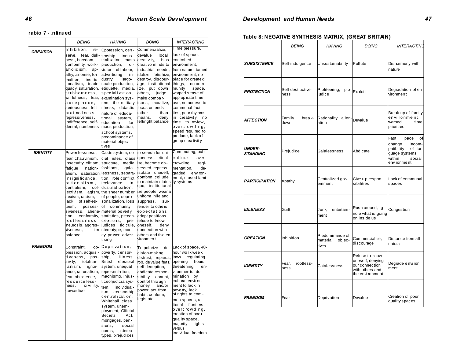**rabio 7 - .ntinued**

|                 | BEING                                                                                                                                                                                                                                                                                                                                                                                                              | <b>HAVING</b>                                                                                                                                                                                                                                                                                                                                                                           | <b>DOING</b>                                                                                                                                                                                                                                                                                                                                                                                           | INTERACTING                                                                                                                                                                                                                                                                                                                                                                                       |
|-----------------|--------------------------------------------------------------------------------------------------------------------------------------------------------------------------------------------------------------------------------------------------------------------------------------------------------------------------------------------------------------------------------------------------------------------|-----------------------------------------------------------------------------------------------------------------------------------------------------------------------------------------------------------------------------------------------------------------------------------------------------------------------------------------------------------------------------------------|--------------------------------------------------------------------------------------------------------------------------------------------------------------------------------------------------------------------------------------------------------------------------------------------------------------------------------------------------------------------------------------------------------|---------------------------------------------------------------------------------------------------------------------------------------------------------------------------------------------------------------------------------------------------------------------------------------------------------------------------------------------------------------------------------------------------|
| <b>CREATION</b> | I n hi bi tio n .<br>re-<br>fear, dull-sorship,<br>serve,<br>ness, boredom,<br>conformity, work-<br>aholicism,<br>ap-<br>athy, a nomie, for-<br>malism,<br>institu-<br>tionalism, inade-scale production,<br>quacy, satu ration, etiquette, media,<br>stubbomness.<br>willfulness, fear,<br>a c ce pta nce,<br>seriousness, left-<br>brai ned nes s,<br>repressiveness,<br>indifference, self-<br>denial, numbness | Oppression, cen-<br>indus-<br>trialization, mass<br>production,<br>di-<br>vision oflabour.<br>adve rtising<br>in-<br>dustry,<br>largo-<br>s pecialization,<br>examination sys -<br>tem, the military,<br>illness, didactic<br>nature of educa-<br>tional<br>system,<br>education<br>for<br>mass production,<br>school systems,<br>predominance of<br>material objec-<br>tives           | Commercialize,<br>devalue<br>local<br>creativity,<br>bias<br>creativo minds to<br>industrial needs.<br>idolize, fetishize,<br>destroy, discour-<br>age, institutional-things,<br>ize, put down<br>others,<br>judge,<br>make compar-<br>isons, moralize,<br>focus on ends<br>rather<br>than<br>means,<br>deny<br>left/right balance                                                                     | Time pressure,<br>lack of space,<br>controlled<br>environme nt,<br>from nature, tamed<br>environme nt, no<br>place for create d<br>no com-<br>munity<br>space,<br>warped sense of<br>approp riate time<br>use, no access to<br>communal facili-<br>ties, poor rhythms<br>in creativity,<br>no<br>time<br>to review,<br>overcrowding,<br>speed required to<br>produce, lack of<br>group creativity |
| <b>IDENTITY</b> | Power lessness,<br>fear, chau vinism,<br>insecurity, elitism,<br>fatigue<br>nation-<br>alism,<br>insignificance,<br>ra tion alism ,<br>centralism,<br>lectivism, agism, the sheer number<br>sexism, racism,<br>lack<br>of self-es-<br>teem,<br>posses-<br>siveness,<br>tion.<br>conformity,<br>rootlessness<br>neurosis, aggres - judices, ridicule,<br>siveness,<br>balance                                       | Caste system, so-<br>cial rules. class<br>structure, media,<br>fashions,<br>gala-<br>saturation, lessness, separa-<br>tion, role conflict,<br>irrelevance,<br>in-<br>col-dustrialization,<br>of people, deper-<br>sonalization, loss<br>оf<br>community,<br>aliena-material poverty<br>statistics, precon-<br>ceptions,<br>pre-<br>im-stereotype, mon-<br>ey, po wer, adve r-<br>tising | ro search for uni-<br>queness, ritual-<br>ize, become ob -<br>sessed, repress,<br>isolate oneself,<br>conform, collude<br>to maintain status ly systems<br>quo, institutional·<br>ize people, wear a<br>uniform, hile and<br>suppress,<br>sur-<br>render to othe rs'<br>expectations,<br>adopt positions,<br>refuse to know<br>oneself,<br>deny<br>connection with<br>others and the en-<br>vironmen t | Com muting, pub<br>culture,<br>over-<br>crowding,<br>regi-<br>mentation,<br>de-<br>graded<br>environ-<br>ment, closed fami-                                                                                                                                                                                                                                                                       |
| <b>FREEDOM</b>  | Constraint,<br>pression, acquisi- pove rty, censor-<br>tiveness,<br>pas-<br>sivity,<br>totalitar-<br>anism,<br>ignor-<br>ance, rationalism,<br>fear, obe dience,<br>resourceless-<br>ness,<br>ci vility,<br>cowardice                                                                                                                                                                                              | op- Deprivation,<br>ship,<br>illness,<br>British electoral<br>system, unequal<br>representation,<br>machismo, injus-<br>ticeofjudicialsys-<br>tem,<br>individual-<br>ism, censorship,<br>central i za ti o n,<br>Whitehall, class<br>system, unem-<br>ployment, Official<br>Secrets<br>Act,<br>mortgages, pen-<br>sions,<br>social<br>norms,<br>stereo-<br>types, p rejudices           | To polarize<br>de-<br>cision-making,<br>distrust, repress,<br>rob, de value fear,<br>self-deception,<br>abdicate respon-<br>sibility,<br>corrupt.<br>control through<br>and/or<br>money<br>power, act from<br>habit, conform,<br>legislate                                                                                                                                                             | Lack of space, 40-<br>hour wo rk wee k,<br>regulating<br>laws<br>hours,<br>opening<br>threatening<br>en-<br>vironments, do-<br>mination by<br>cultural environ-<br>ment to lack in<br>pove rty, lack<br>of rights to com -<br>mon spaces, ra-<br>tional<br>frontiers,<br>overcrowding,<br>creation of poor<br>quality space,<br>majority<br>rights<br>versus<br>individual freedom                |

## **Table 8: NEGATIVE SYNTHESIS MATRIX, (GREAT BRITAIN)**

|                                  | <b>BEING</b>               | <b>HAVING</b>                                  | <b>DOING</b>                                                                                | <b>INTERACTING</b>                                                                                                   |
|----------------------------------|----------------------------|------------------------------------------------|---------------------------------------------------------------------------------------------|----------------------------------------------------------------------------------------------------------------------|
| <b>SUBSISTENCE</b>               | Self-indulgence            | Unsustainability                               | Pollute                                                                                     | Disharmony with<br>nature                                                                                            |
| <b>PROTECTION</b>                | Self-destructive -<br>ness | Profiteering,<br>udice                         | pro-Exploit                                                                                 | Degradation of en-<br>vironment                                                                                      |
| <b>AFFECTION</b>                 | Family<br>break-<br>down   | Rationality, alien-Devalue<br>ation            |                                                                                             | Break-up of family<br>envi ronment,<br>warped<br>time<br>priorities                                                  |
| <b>UNDER-</b><br><b>STANDING</b> | Prejudice                  | Gaialessness                                   | Abdicate                                                                                    | Fast<br>pace<br>of<br>chango<br>incom-<br>patibility<br>of lan-<br>guage systems<br>within<br>social<br>environme nt |
| <b>PARTICIPATION</b>             | Apathy                     | Centralized gov-<br>emment                     | Give up respon -<br>sibilities                                                              | Lack of communal<br>spaces                                                                                           |
| <b>IDLENESS</b>                  | Guilt                      | Junk,<br>entertain-<br>ment                    | Rush around, ig-<br>nore what is going<br>on inside us                                      | Congestion                                                                                                           |
| <b>CREATION</b>                  | Inhibition                 | Predominance of<br>material<br>objec-<br>tives | Commercialize,<br>discourage                                                                | Distance from all<br>natura                                                                                          |
| <b>IDENTITY</b>                  | rootless-<br>Fear,<br>ness | Gaialessness                                   | Refuse to know<br>oneself, denying<br>our connection<br>with others and<br>the envi ronment | Degrade e nvi ron<br>ment                                                                                            |
| <i><b>FREEDOM</b></i>            | Fear                       | Deprivation                                    | Devalue                                                                                     | Creation of poor<br>quality spaces                                                                                   |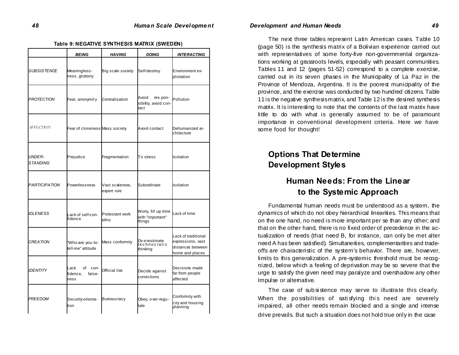**Table 9: NEGATIVE SYNTHESIS MATRIX (SWEDEN)**

|                           | <b>BEING</b>                                     | <b>HAVING</b>                   | <b>DOING</b>                                      | <b>INTERACTING</b>                                                               |
|---------------------------|--------------------------------------------------|---------------------------------|---------------------------------------------------|----------------------------------------------------------------------------------|
| <b>SUBSISTENCE</b>        | Meaningless-<br>ness, gluttony                   | Big scale society               | Self-destroy                                      | Environment ex-<br>ploitation                                                    |
| PROTECTION                | Fear, anonymity                                  | Centralisation                  | Avoid<br>res pon-<br>sibility, avoid con-<br>tact | Pollution                                                                        |
| <b>AFFECTION</b>          | Fear of closeness Mass society                   |                                 | Avoid contact                                     | Dehumanized ar-<br>chitecture                                                    |
| UNDER-<br><b>STANDING</b> | Prejudice                                        | Fragmentation                   | To stress                                         | Isolation                                                                        |
| PARTICIPATION             | Powerlessness                                    | Vast scaleness,<br>expert rule  | Subordinate                                       | Isolation                                                                        |
| <b>IDLENESS</b>           | Lack of self-con-<br>fidence                     | <b>Protestant work</b><br>ethic | Worry, fill up time<br>with "important"<br>things | Lack of time                                                                     |
| <i>CREATION</i>           | "Who-are-you-to-<br>tell-me" attitude            | Mass conformity                 | Ov e restimate<br>technocratic<br>thinking        | Lack of traditional<br>expressions, vast<br>distances between<br>home and places |
| <i><b>IDENTITY</b></i>    | Lack<br>оf<br>con-<br>fidence,<br>false-<br>ness | Official lies                   | Decide against<br>convictions                     | Decisions made<br>far from people<br>affected                                    |
| <b>FREEDOM</b>            | Security-orienta-<br>tion                        | <b>Bureaucracy</b>              | Obey, o ver-regu -<br>late                        | Conformity with<br>city and housing<br>planning                                  |

## *48 Huma n Scale Developme nt Development and Human Needs 49*

The next three tables represent Latin American cases. Table 10 (page 50) is the synthesis matrix of a Bolivian experience carried out with representatives of some forty-five non-governmental organizations working at grassroots levels, especially with peasant communities. Tables 11 and 12 (pages 51-52) correspond to a complete exercise, carried out in its seven phases in the Municipality of La Paz in the Province of Mendoza, Argentina. It is the poorest municipality of the province, and the exercise was conducted by two hundred citizens. Table 11 is the negative synthesismatrix, and Table 12 is the desired synthesis matrix. It is interesting to note that the contents of the last matrix have little to do with what is generally assumed to be of paramount importance in conventional development criteria. Here we have some food for thought!

# **Options That Determine Development Styles**

# **Human Needs: From the Linear to the Systemic Approach**

Fundamental human needs must be understood as a system, the dynamics of which do not obey hierarchical linearities. This means that on the one hand, no need is more important per se than any other; and that on the other hand, there is no fixed order of precedence in the actualization of needs (that need B, for instance, can only be met alter need A has been satisfied). Simultaneities, complementarities and tradeoffs are characteristic of the system's behavior. There are, however, limits to this generalization. A pre-systemic threshold must be recognized, below which a feeling of deprivation may be so severe that the urge to satisfy the given need may paralyze and overshadow any other Impulse or altemative.

The case of subsistence may serve to illustrate this clearly. When the possibilities of satisfying this need are severely impaired, all other needs remain blocked and a single and intense drive prevails. But such a situation does not hold true only in the case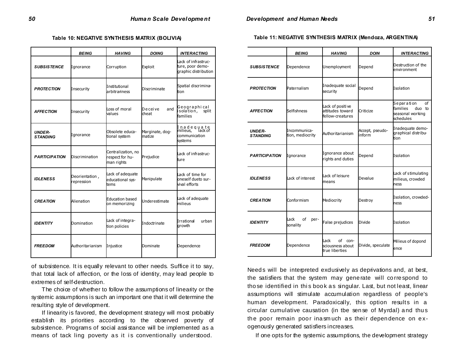**Table 11: NEGATIVE SYNTHESIS MATRIX (Mendoza, ARGENTINA)**

|                                  | <b>BEING</b>                     | <b>HAVING</b>                                             | <b>DOIN</b>               | <b>INTERACTING</b>                                                      |
|----------------------------------|----------------------------------|-----------------------------------------------------------|---------------------------|-------------------------------------------------------------------------|
| <b>SUBSISTENCE</b>               | Dependence                       | Unemployment                                              | Depend                    | Destruction of the<br>environment                                       |
| <b>PROTECTION</b>                | Paternalism                      | Inadequate social<br>security                             | Depend                    | Isolation                                                               |
| <b>AFFECTION</b>                 | Selfishness                      | Lack of positi ve<br>attitudes toward<br>fellow-creatures | Criticize                 | Separation<br>οf<br>families<br>duo to<br>seasonal working<br>schedules |
| <b>UNDER-</b><br><b>STANDING</b> | Incommunica-<br>tion, mediocrity | Authoritarianism                                          | Accept, pseudo-<br>inform | Inadequate demo-<br>graphical distribu-<br>tion                         |
| <b>PARTICIPATION</b>             | Ignorance                        | Ignorance about<br>rights and duties                      | Depend                    | Isolation                                                               |
| <b>IDLENESS</b>                  | Lack of interest                 | Lack of leisure<br>means                                  | Devalue                   | Lack of stimulating<br>milieus, crowded<br>ness                         |
| <b>CREATION</b>                  | Conformism                       | Mediocrity                                                | Destroy                   | Isolation, crowded-<br>ness                                             |
| <b>IDENTITY</b>                  | of<br>Lack<br>per-<br>sonality   | False prejudices                                          | Divide                    | Isolation                                                               |
| <b>FREEDOM</b>                   | Dependence                       | Lack<br>of con-<br>sciousness about<br>true liberties     | Divide, speculate         | Milieus of dopond<br>ence                                               |

Needs will be interpreted exclusively as deprivations and, at best, the satisfiers that the system may gene rate will co rre spond to tho se identified in this book as singular. Last, but not least, linear assumptions will stimulate accumulation regardless of people's human development. Paradoxically, this option results in a circular cumulative causation (in tbe sen se of Myrdal) a nd thus the poor remain poor ina smuch as their dependence on exogenously generated satisfiers increases.

If one opts for the systemic assumptions, the development strategy

**Table 10: NEGATIVE SYNTHESIS MATRIX (BOLIVIA)**

|                                  | <b>BEING</b>                 | <b>HAVING</b>                                       | <b>DOING</b>              | <b>INTERACTING</b>                                                  |
|----------------------------------|------------------------------|-----------------------------------------------------|---------------------------|---------------------------------------------------------------------|
| <b>SUBSISTENCE</b>               | Ignorance                    | Corruption                                          | Exploit                   | Lack of infrastruc-<br>ture, poor demo-<br>graphic distribution     |
| <b>PROTECTION</b>                | Insecurity                   | Institutional<br>arbitrariness                      | Discriminate              | Spatial discrimina-<br>tion                                         |
| <b>AFFECTION</b>                 | Insecurity                   | Loss of moral<br>values                             | Deceive<br>and<br>cheat   | Geographi <mark>cal</mark><br>isolation, split<br>split<br>families |
| <b>UNDER-</b><br><b>STANDING</b> | Ignorance                    | Obsolete educa-<br>tional system                    | Marginate, dog-<br>matize | Inadequate<br>milieus, lack of<br>communication<br>systems          |
| <b>PARTICIPATION</b>             | Discrimination               | Centralization, no<br>respect for hu-<br>man rights | Prejudice                 | Lack of infrastruc-<br>ture                                         |
| <b>IDLENESS</b>                  | Deorientation,<br>repression | Lack of adequate<br>educational sys-<br>tems        | Manipulate                | Lack of time for<br>oneself dueto sur-<br>vival efforts             |
| <b>CREATION</b>                  | Alienation                   | <b>Education based</b><br>on memorizing             | Underestimate             | Lack of adequate<br>milieus                                         |
| <b>IDENTITY</b>                  | Domination                   | Lack of integra-<br>tion policies                   | Indoctrinate              | Irrational<br>urban<br>growth                                       |
| <b>FREEDOM</b>                   | Authoritarianism             | Injustice                                           | Dominate                  | Dependence                                                          |

of subsistence. It is equally relevant to other needs. Suffice it to say, that total lack of affection, or the loss of identity, may lead people to extremes of self-destruction.

The choice of whether to follow the assumptions of linearity or the systemic assumptions is such an important one that it will determine the resulting style of development.

If linearity is favored, the development strategy will most probably establish its priorities according to the observed poverty of subsistence. Programs of social assi stance will be implemented as a means of tack ling poverty as it is conventionally understood.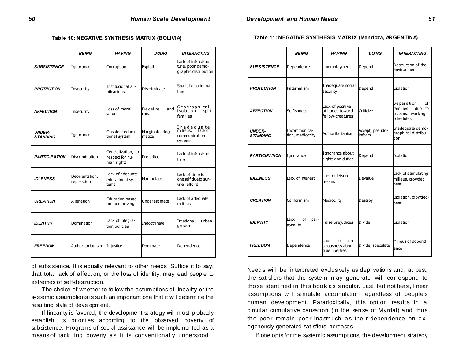**Table 11: NEGATIVE SYNTHESIS MATRIX (Mendoza, ARGENTINA)**

|                                  | <b>BEING</b>                     | <b>HAVING</b>                                             | <b>DOING</b>              | <b>INTERACTING</b>                                                      |
|----------------------------------|----------------------------------|-----------------------------------------------------------|---------------------------|-------------------------------------------------------------------------|
| <b>SUBSISTENCE</b>               | Dependence                       | Unemployment                                              | Depend                    | Destruction of the<br>environment                                       |
| <b>PROTECTION</b>                | Paternalism                      | Inadequate social<br>security                             | Depend                    | Isolation                                                               |
| <b>AFFECTION</b>                 | Selfishness                      | Lack of positi ve<br>attitudes toward<br>fellow-creatures | Criticize                 | Separation<br>of<br>families<br>duo to<br>seasonal working<br>schedules |
| <b>UNDER-</b><br><b>STANDING</b> | Incommunica-<br>tion, mediocrity | Authoritarianism                                          | Accept, pseudo-<br>inform | Inadequate demo-<br>graphical distribu-<br>tion                         |
| <b>PARTICIPATION</b>             | Ignorance                        | Ignorance about<br>rights and duties                      | Depend                    | Isolation                                                               |
| <b>IDLENESS</b>                  | Lack of interest                 | Lack of leisure<br>means                                  | Devalue                   | Lack of stimulating<br>milieus, crowded<br>ness                         |
| <b>CREATION</b>                  | Conformism                       | Mediocrity                                                | Destroy                   | Isolation, crowded-<br>ness                                             |
| <b>IDENTITY</b>                  | Lack<br>οf<br>per-<br>sonality   | False prejudices                                          | Divide                    | Isolation                                                               |
| <b>FREEDOM</b>                   | Dependence                       | Lack<br>of con-<br>sciousness about<br>true liberties     | Divide, speculate         | Milieus of dopond<br>ence                                               |

Needs will be interpreted exclusively as deprivations and, at best, the satisfiers that the system may gene rate will co rre spond to tho se identified in this book as singular. Last, but not least, linear assumptions will stimulate accumulation regardless of people's human development. Paradoxically, this option results in a circular cumulative causation (in tbe sen se of Myrdal) a nd thu s the poor remain poor ina smuch as their dependence on exogenously generated satisfiers increases.

If one opts for the systemic assumptions, the development strategy

**Table 10: NEGATIVE SYNTHESIS MATRIX (BOLIVIA)**

|                                  | <b>BEING</b>                 | <b>HAVING</b>                                       | <b>DOING</b>              | <b>INTERACTING</b>                                              |
|----------------------------------|------------------------------|-----------------------------------------------------|---------------------------|-----------------------------------------------------------------|
| <b>SUBSISTENCE</b>               | Ignorance                    | Corruption                                          | Exploit                   | Lack of infrastruc-<br>ture, poor demo-<br>graphic distribution |
| <b>PROTECTION</b>                | Insecurity                   | Institucional ar-<br>bitrariness                    | Discriminate              | Spatial discrimina-<br>tion                                     |
| <b>AFFECTION</b>                 | Insecurity                   | Loss of moral<br>values                             | Deceive<br>and<br>cheat   | Geographical<br>isolation, split<br>split<br>families           |
| <b>UNDER-</b><br><b>STANDING</b> | Ignorance                    | Obsolete educa-<br>tional system                    | Marginate, dog-<br>matize | Inadequate<br>milieus, lack of<br>communication<br>systems      |
| <b>PARTICIPATION</b>             | Discrimination               | Centralization, no<br>respect for hu-<br>man rights | Prejudice                 | Lack of infrastruc-<br>ture                                     |
| <b>IDLENESS</b>                  | Deorientation,<br>repression | Lack of adequate<br>educational sys-<br>tems        | Manipulate                | Lack of time for<br>oneself dueto sur-<br>vival efforts         |
| <b>CREATION</b>                  | Alienation                   | <b>Education based</b><br>on memorizing             | Underestimate             | Lack of adequate<br>milieus                                     |
| <b>IDENTITY</b>                  | Domination                   | Lack of integra-<br>tion policies                   | Indoctrinate              | <b>Irrational</b><br>urban<br>growth                            |
| <b>FREEDOM</b>                   | Authoritarianism             | Injustice                                           | Dominate                  | Dependence                                                      |

of subsistence. It is equally relevant to other needs. Suffice it to say, that total lack of affection, or the loss of identity, may lead people to extremes of self-destruction.

The choice of whether to follow the assumptions of linearity or the systemic assumptions is such an important one that it will determine the resulting style of development.

If linearity is favored, the development strategy will most probably establish its priorities according to the observed poverty of subsistence. Programs of social assi stance will be implemented as a means of tack ling poverty as it is conventionally understood.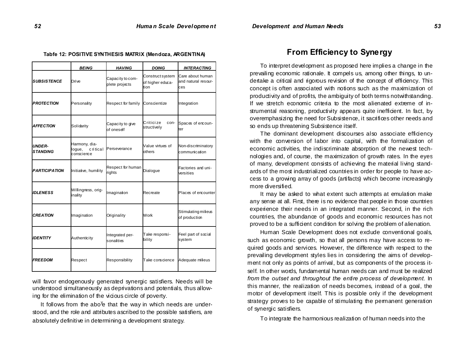|                                  | <b>BEING</b>                                      | <b>HAVING</b>                      | <b>DOING</b>                                 | <b>INTERACTING</b>                             |
|----------------------------------|---------------------------------------------------|------------------------------------|----------------------------------------------|------------------------------------------------|
| <b>SUBSISTENCE</b>               | Drive                                             | Capacity to com-<br>plete projects | Construct system<br>of higher educa-<br>tion | Care about human<br>and natural resour-<br>ces |
| <b>PROTECTION</b>                | Personality                                       | Respect for family                 | Conscientize                                 | Integration                                    |
| <b>AFFECTION</b>                 | Solidarity                                        | Capacity to give<br>of oneself     | Criticize<br>con-<br>structively             | Spaces of encoun-<br>ter                       |
| <b>UNDER-</b><br><b>STANDING</b> | Harmony, dia-<br>logue,<br>critical<br>conscience | Perseverance                       | Value virtues of<br>others                   | Non-discriminatory<br>communication            |
| <b>PARTICIPATION</b>             | Initiative, humility                              | Respect for human<br>rights        | Dialogue                                     | Factories and uni-<br>versities                |
| <b>IDLENESS</b>                  | Willingness, orig-<br>inality                     | Imagination                        | Recreate                                     | Places of encounter                            |
| <b>CREATION</b>                  | Imagination                                       | Originality                        | Work                                         | <b>Stimulating milieus</b><br>of production    |
| <i><b>IDENTITY</b></i>           | Authenticity                                      | Integrated per-<br>sonalities      | Take responsi-<br>bility                     | Feel part of social<br>system                  |
| <b>FREEDOM</b>                   | Respect                                           | Responsibility                     | Take conscience                              | Adequate milieus                               |

will favor endogenously generated synergic satisfiers. Needs will be understood simultaneously as deprivations and potentials, thus allowing for the elimination of the vicious circle of poverty.

It follows from the abo<sup>y</sup>e that the way in which needs are understood, and the role and attributes ascribed to the possible satisfiers, are absolutely definitive in determining a development strategy.

# **From Efficiency to Synergy**

To interpret development as proposed here implies a change in the prevailing economic rationale. It compels us, among other things, to undertake a critical and rigorous revision of the concept of efficiency. This concept is often associated with notions such as the maximization of productivity and of profits, the ambiguity of both terms notwithstanding. If we stretch economic criteria to the most alienated extreme of instrumental reasoning, productivity appears quite inefficient. In fact, by overemphasizing the need for Subsistence, it sacrifices other needs and so ends up threatening Subsistence itself.

The dominant development discourses also associate efficiency with the conversion of labor into capital, with the formalization of economic activities, the indiscriminate absorption of the newest technologies and, of course, the maximization of growth rates. In the eyes of many, development consists of achieving the material living standards of the most industrialized countries in order for people to have access to a growing array of goods (artifacts) which become increasingly more diversified.

It may be asked to what extent such attempts at emulation make any sense at all. First, there is no evidence that people in those countries experience their needs in an integrated manner. Second, in the rich countries, the abundance of goods and economic resources has not proved to be a sufficient condition for solving the problem of alienation.

Human Scale Development does not exclude conventional goals, such as economic growth, so that all persons may have access to required goods and services. However, the difference with respect to the prevailing development styles lies in considering the aims of development not only as points of arrival, but as components of the process itself. In other words, fundamental human needs can and must be realized *from the outset and throughout the entire process of development.* In this manner, the realization of needs becomes, instead of a goal, the motor of development itself. This is possible only if the development strategy proves to be capable of stimulating the permanent generation of synergic satisfiers.

To integrate the harmonious realization of human needs into the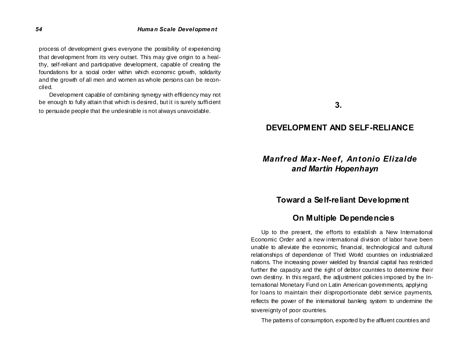process of development gives everyone the possibility of experiencing that development from its very outset. This may give origin to a healthy, self-reliant and participative development, capable of creating the foundations for a social order within which economic growth, solidarity and the growth of all men and women as whole persons can be reconciled.

Development capable of combining synergy with efficiency may not be enough to fully attain that which is desired, but it is surely sufficient to persuade people that the undesirable is not always unavoidable.

# **3.**

# **DEVELOPMENT AND SELF-RELIANCE**

# *Manfred Max-Neef, Antonio Elizalde and Martin Hopenhayn*

# **Toward a Self-reliant Development**

## **On Multiple Dependencies**

Up to the present, the efforts to establish a New International Economic Order and a new international division of labor have been unable to alleviate the economic, financial, technological and cultural relationships of dependence of Third World countries on industrialized nations. The increasing power wielded by financial capital has restricted further the capacity and the right of debtor countries to determine their own destiny. In this regard, the adjustment policies imposed by the International Monetary Fund on Latin American governments, applying for loans to maintain their disproportionate debt service payments, reflects the power of the international banking system to undermine the sovereignty of poor countries.

The patterns of consumption, exported by the affluent countries and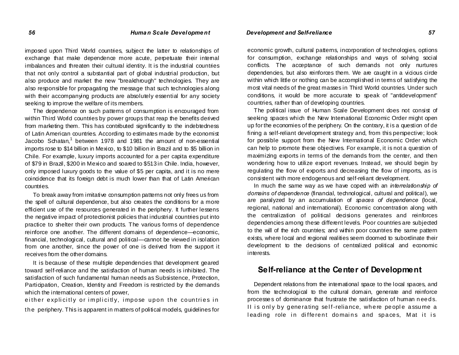imposed upon Third World countries, subject the latter to relationships of exchange that make dependence more acute, perpetuate their internal imbalances and threaten their cultural identity. It is the industrial countries that not only control a substantial part of global industrial production, but also produce and market the new "breakthrough" technologies. They are also responsible for propagating the message that such technologies along with their accompanying products are absolutely essential for any society seeking to improve the welfare of its members.

The dependence on such patterns of consumption is encouraged from within Third World countries by power groups that reap the benefits derived from marketing them. This has contributed significantly to the indebtedness of Latin American countries. According to estimates made by the economist Jacobo Schatan, $^1$  between 1978 and 1981 the amount of non-essential imports rose to \$14 billion in Mexico, to \$10 billion in Brazil and to \$5 billion in Chile. For example, luxury imports accounted for a per capita expenditure of \$79 in Brazil, \$200 in Mexico and soared to \$513 in Chile. India, however, only imposed luxury goods to the value of \$5 per capita, and it is no mere coincidence that its foreign debt is much lower than that of Latin American countries.

To break away from imitative consumption patterns not only frees us from the spell of cultural dependence, but also creates the conditions for a more efficient use of the resources generated in the periphery. It further lessens the negative impact of protectionist policies that industrial countries put into practice to shelter their own products. The various forms of dependence reinforce one another. The different domains of dependence—economic, financial, technological, cultural and political—cannot be viewed in isolation from one another, since the power of one is derived from the support it receives from the otherdomains.

It is because of these multiple dependencies that development geared toward self-reliance and the satisfaction of human needs is inhibited. The satisfaction of such fundamental human needs as Subsistence, Protection, Participation, Creation, Identity and Freedom is restricted by the demands which the international centers of power,

either explicitly or implicitly, impose upon the countries in th e periphery. This is apparent in matters of political models, guidelines for

### *56 Huma n Scale Developme nt Development and Self-reliance 57*

economic growth, cultural patterns, incorporation of technologies, options for consumption, exchange relationships and ways of solving social conflicts. The acceptance of such demands not only nurtures dependencies, but also reinforces them. We are caught in a vicious circle within which little or nothing can be accomplished in terms of satisfying the most vital needs of the great masses in Third World countries. Under such conditions, it would be more accurate to speak of "antidevelopment" countries, rather than of developing countries.

The political issue of Human Scale Development does not consist of seeking spaces which the New International Economic Order might open up for the economies of the periphery. On the contrary, it is a question of de fining a self-reliant development strategy and, from this perspective; look for possible support from the New International Economic Order which can help to promote these objectives. For example, it is not a question of maximizing exports in terms of the demands from the center, and then wondering how to utilize export revenues. Instead, we should begin by regulating the flow of exports and decreasing the flow of imports, as is consistent with more endogenous and self-reliant development.

In much the same way as we have coped with an *interrelationship of domains of dependence* (financial, technological, cultural and political), we are paralyzed by an accumulation of *spaces of dependence* (local, regional, national and international). Economic concentration along with the centralization of political decisions generates and reinforces dependencies among these different levels. Poor countries are subjected to the will of the rich countries; and within poor countries the same pattern exists, where local and regional realities seem doomed to subordinate their development to the decisions of centralized political and economic interests.

## **Self-reliance at the Center of Development**

Dependent relations from the international space to the local spaces, and from the technological to the cultural domain, generate and reinforce processe s of dominance that frustrate the satisfaction of human n ee d s. II is only by generating self-reliance, where people assume a leading role in different domains and spaces, Mat it is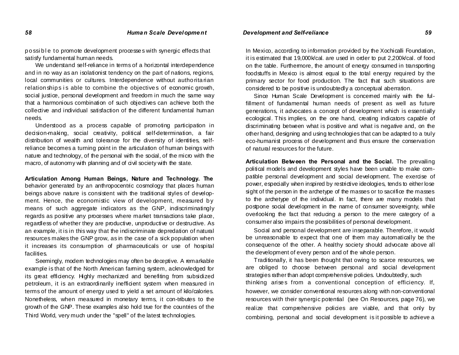possible to promote development processes with synergic effects that satisfy fundamental human needs.

We understand self-reliance in terms of a horizontal interdependence and in no way as an isolationist tendency on the part of nations, regions, local communities or cultures. Interdependence without autho rita rian relation ships is able to combine the objectives of economic growth, social justice, personal development and freedom in much the same way that a harmonious combination of such objectives can achieve both the collective and individual satisfaction of the different fundamental human needs.

Understood as a process capable of promoting participation in decision-making, social creativity, political self-determination, a fair distribution of wealth and tolerance for the diversity of identities, selfreliance becomes a turning point in the articulation of human beings with nature and technology, of the personal with the social, of the micro with the macro, of autonomy with planning and of civil society with the state.

**Articulation Among Human Beings, Nature and Technology. The** behavior generated by an anthropocentric cosmology that places human beings above nature is consistent with the traditional styles of development. Hence, the economistic view of development, measured by means of such aggregate indicators as the GNP, indiscriminatingly regards as positive any processes where market transactions take place, regardless of whether they are productive, unproductive or destructive. As an example, it is in this way that the indiscriminate depredation of natural resources makes the GNP grow, as in the case of a sick population when it increases its consumption of pharmaceuticals or use of hospital facilities.

Seemingly, modem technologies may often be deceptive. A remarkable example is that of the North American farming system, acknowledged for its great efficiency. Highly mechanized and benefiting from subsidized petroleum, it is an extraordinarily inefficient system when measured in terms of the amount of energy used to yield a set amount of kilo/calories. Nonetheless, when measured in monetary terms, it con-tributes to the growth of the GNP. These examples also hold true for the countries of the Third World, very much under the "spell" of the latest technologies.

*58 Huma n Scale Developme nt Development and Self-reliance 59*

In Mexico, according to information provided by the Xochicalli Foundation, it is estimated that 19,000k/cal. are used in order to put 2,200k/cal. of food on the table. Furthermore, the amount of energy consumed in transporting foodstuffs in Mexico is almost equal to the total energy required by the primary sector for food production. The fact that such situations are considered to be positive is undoubtedly a conceptual aberration.

Since Human Scale Development is concerned mainly with the fulfillment of fundamental human needs of present as well as future generations, it advocates a concept of development which is essentially ecological. This implies, on the one hand, creating indicators capable of discriminating between what is positive and what is negative and, on the other hand, designing and using technologies that can be adapted to a truly eco-humanist process of development and thus ensure the conservation of natural resources for the future.

**Articulation Between the Personal and the Social.** The prevailing political models and development styles have been unable to make compatible personal development and social development. The exercise of power, especially when inspired by restrictive ideologies, tends to either lose sight of the person in the archetype of the masses or to sacrifice the masses to the archetype of the individual. In fact, there are many models that postpone social development in the name of consumer sovereignty, while overlooking the fact that reducing a person to the mere category of a consumer also impairs the possibilities of personal development.

Social and personal development are inseparable. Therefore, it would be unreasonable to expect that one of them may automatically be the consequence of the other. A healthy society should advocate above all the development of every person and of the whole person.

Traditionally, it has been thought that owing to scarce resources, we are obliged to choose between personal and social development strategies rather than adopt comprehensive policies. Undoubtedly, such thinking arise s from a conventional conception of efficiency. If, however, we consider conventional resources along with non-conventional resources with their synergic potential (see On Resources, page 76), we realize that comprehensive policies are viable, and that only by combining, personal and social development is it possible to achieve a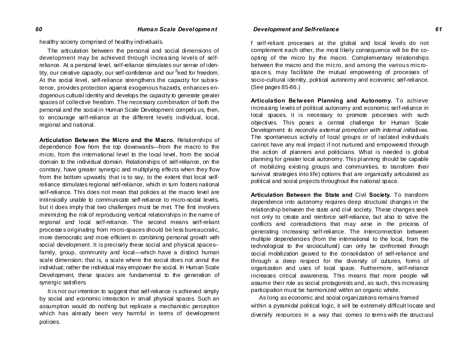healthy society comprised of healthy individuals.

The articulation between the personal and social dimensions of development may be achieved through increa sing levels of selfreliance. At a personal level, self-reliance stimulates our sense of identity, our creative capacity, our self-confidence and our <sup>p</sup>eed for freedom. At the social level, self-reliance strengthens the capacity for subsistence, provides protection against exogenous hazards, enhances endogenous cultural identity and develops the capacity to generate greater spaces of collective freedom. The necessary combination of both the personal and the social in Human Scale Development compels us, then, to encourage self-reliance at the different levels: individual, local, regional and national.

**Articulation Between the Micro and the Macro.** Relationships of dependence flow from the top downwards—from the macro to the micro, from the international level to the local level, from the social domain to the individual domain. Relationships of self-reliance, on the contrary, have greater synergic and multiplying effects when they flow from the bottom upwards; that is to say, to the extent that local selfreliance stimulates regional self-reliance, which in turn fosters national self-reliance. This does not mean that policies at the macro level are intrinsically unable to communicate self-reliance to micro-social levels, but it does imply that two challenges must be met. The first involves minimizing the risk of reproducing vertical relationships in the name of regional and local self-reliance. The second means self-reliant processe s originating from micro-spaces should be less bureaucratic, more democratic and more efficient in combining personal growth with social development. It is precisely these social and physical spaces- family, group, community and local—which have a distinct human scale dimension; that is, a scale where the social does not annul the individual; rather the individual may empower the social. In Human Scale Development, these spaces are fundamental to the generation of synergic satisfiers.

It is not our intention to suggest that self-reliance is achieved simply by social and economic interaction in small physical spaces. Such an assumption would do nothing but replicate a mechanistic perception which has already been very harmful in terms of development policies.

## *60 Huma n Scale Developme nt Development and Self-reliance 61*

f self-reliant processes at the global and local levels do not complement each other, the most likely consequence will be the coopting of the micro by the macro. Complementary relationships between the macro and the micro, and among the variou s microspa ce s, may facilitate the mutual empowering of processes of socio-cultural identity, political autonomy and economic self-reliance. (See pages 85-86.)

**Articula tion Be tween Planning and Autonomy.** To achieve increasing levels of political autonomy and economic self-reliance in local spaces, it is necessary to promote processes with such objectives. This poses a central challenge for Human Scale Development: *to reconcile external promotion with internal initiatives.* The spontaneous activity of local groups or of isolated individuals cannot have any real impact if not nurtured and empowered through the action of planners and politicians. What is needed is global planning for greater local autonomy. This planning should be capable of mobilizing existing groups and communities, to transform their survival strategies into life) options that are organically articulated as political and social projects throughout the national space.

**Articulation Between the State and** Civil **Society.** To transform dependence into autonomy requires deep structural changes in the relationship between the state and civil society. These changes seek not only to create and reinforce self-reliance, but also to solve the conflicts and contradictions that may arise in the process of generating increasing self-reliance. The interconnection between multiple dependencies (from the international to the local, from the technological to the sociocultural) can only be confronted through social mobilization geared to the consolidation of self-reliance and through a deep respect for the diversity of cultures, forms of organization and uses of local space. Furthermore, self-reliance increases critical awareness. This means that more people will assume their role as social protagonists and, as such, this increasing participation must be harmonized within an organic whole.

As long as economic and social organizations remains framed within a pyramidal political logic, it will be extremely difficult locate and diversify resources in a way that comes to terms with the structural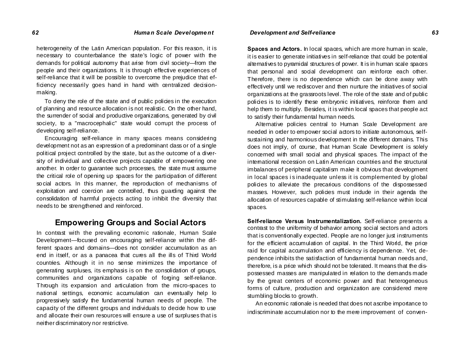heterogeneity of the Latin American population. For this reason, it is necessary to counterbalance the state's logic of power with the demands for political autonomy that arise from civil society—from the people and their organizations. It is through effective experiences of self-reliance that it will be possible to overcome the prejudice that efficiency necessarily goes hand in hand with centralized decisionmaking.

To deny the role of the state and of public policies in the execution of planning and resource allocation is not realistic. On the other hand, the surrender of social and productive organizations, generated by civil society, to a "macrocephalic" state would corrupt the process of developing self-reliance.

Encouraging self-reliance in many spaces means considering development not as an expression of a predominant dass or of a single political project controlled by the state, but as the outcome of a diversity of individual and collective projects capable of empowering one another. In order to guarantee such processes, the state must assume the critical role of opening up spaces for the participation of different social actors. In this manner, the reproduction of mechanisms of exploitation and coercion are controlled, thus guarding against the consolidation of harmful projects acting to inhibit the diversity that needs to be strengthened and reinforced.

## **Empowering Groups and Social Actors**

In contrast with the prevailing economic rationale, Human Scale Development—focused on encouraging self-reliance within the different spaces and domains—does not consider accumulation as an end in itself, or as a panacea that cures all the ills of Third World countries. Although it in no sense minimizes the importance of generating surpluses, its emphasis is on the consolidation of groups, communities and organizations capable of forging self-reliance. Through its expansion and articulation from the micro-spaces to national settings, economic accumulation can eventually help lo progressively satisfy the fundamental human needs of people. The capacity of the different groups and individuals to decide how to use and allocate their own resources will ensure a use of surpluses that is neither discriminatorynor restrictive.

## *62 Huma n Scale Developme nt Development and Self-reliance 63*

**Spaces and Actors.** In local spaces, which are more human in scale, it is easier to generate initiatives in self-reliance that could be potential alternatives to pyramidal structures of power. It is in human scale spaces that personal and social development can reinforce each other. Therefore, there is no dependence which can be done away with effectively until we rediscover and then nurture the initiatives of social organizations at the grassroots level. The role of the state and of public policies is to identify these embryonic initiatives, reinforce them and help them to multiply. Besides, it is within local spaces that people act to satisfy their fundamental human needs.

Alternative policies central to Human Scale Development are needed in order to empower social actors to initiate autonomous, selfsustaining and harmonious development in the different domains. This does not imply, of course, that Human Scale Development is solely concerned with small social and physical spaces. The impact of the international recession on Latin American countries and the structural imbalances of peripheral capitalism make it obvious that development in local spaces i s inadequate unless it is complemented by global policies to alleviate the precarious conditions of the dispossessed masses. However, such policies must indude in their agenda the allocation of resources capable of stimulating self-reliance within local spaces.

**Self-reliance Versus Instrumentalization.** Self-reliance presents a contrast to the uniformity of behavior among social sectors and actors that is conventionally expected. People are no longer just instruments for the efficient accumulation of capital. In the Third World, the price raid for capital accumulation and efficiency is dependence. Yet, dependence inhibits the satisfaction of fundamental human needs and, therefore, is a price which should not be tolerated. It means that the dispossessed masses are manipulated in relation to the demands made by the great centers of economic power and that heterogeneous forms of culture, production and organization are considered mere stumbling blocks to growth.

An economic rationale is needed that does not ascribe importance to indiscriminate accumulation nor to the mere improvement of conven-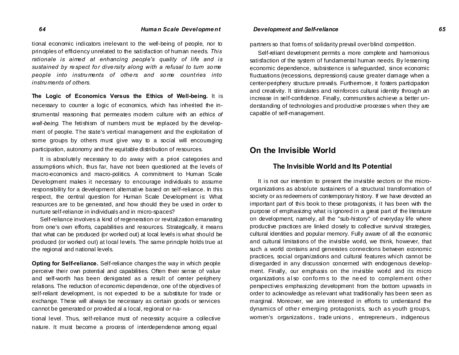tional economic indicators irrelevant to the well-being of people, nor to principles of efficiency unrelated to the satisfaction of human needs. *This rationale is aimed at enhancing people's quality of life and is sustained by re spect fo r dive rsity along with a refusal to turn so me people into instru ments of othe rs and so me countries into instru ments of others.*

**The Logic of Economics Versus the Ethics of Well-being.** It is necessary to counter a logic of economics, which has inherited the instrumental reasoning that permeates modem culture with an *ethics of well-being.* The fetishism of numbers must be replaced by the development of people. The state's vertical management and the exploitation of some groups by others must give way to a social will encouraging participation, autonomy and the equitable distribution of resources.

It is absolutely necessary to do away with a priori categories and assumptions which, thus far, have not been questioned at the levels of macro-economics and macro-politics. A commitment to Human Scale Development makes it necessary to encourage individuals to assume responsibility for a development alternative based on self-reliance. In this respect, the central question for Human Scale Development is: What resources are to be generated, and how should they be used in order to nurture self-reliance in individuals and in micro-spaces?

Self-reliance involves a kind of regeneration or revitalization emanating from one's own efforts, capabilities and resources. Strategically, it means that what can be produced (or worked out) at local levels is what should be produced (or worked out) at local levels. The same principle holds true at the regional and national levels.

**Opting for Self-reliance.** Self-reliance changes the way in which people perceive their own potential and capabilities. Often their sense of value and self-worth has been denigrated as a result of center periphery relations. The reduction of economic dependence, one of the objectives of self-reliant development, is not expected to be a substitute for trade or exchange. These will always be necessary as certain goods or services cannot be generated or provided al a local, regional or na-

tional level. Thus, self-reliance must of necessity acquire a collective nature. It must become a process of interdependence among equal

## *64 Huma n Scale Developme nt Development and Self-reliance 65*

partners so that forms of solidarity prevail over blind competition.

Self-reliant development permits a more complete and harmonious satisfaction of the system of fundamental human needs. By lessening economic dependence, subsistence is safeguarded, since economic fluctuations (recessions, depressions) cause greater damage when a center-periphery structure prevails. Furthermore, it fosters participation and creativity. It stimulates and reinforces cultural identity through an increase in self-confidence. Finally, communities achieve a better understanding of technologies and productive processes when they are capable of self-management.

# **On the Invisible World**

## **The Invisible World and Its Potential**

It is not our intention to present the invisible sectors or the microorganizations as absolute sustainers of a structural transformation of society or as redeemers of contemporary history. If we have devoted an important part of this book to these protagonists, it has been with the purpose of emphasizing what is ignored in a great part of the literature on development, namely, all the "sub-history" of everyday life where productive practices are linked dosely to collective survival strategies, cultural identities and popular memory. Fully aware of all the economic and cultural limitations of the invisible world, we think, however, that such a world contains and generates connections between economic practices, social organizations and cultural features which cannot be disregarded in any discussion concerned with endogenous development. Finally, our emphasis on the invisible world and its micro organizations also conforms to the need to complement other perspectives emphasizing development from the bottom upwards in order to acknowledge as relevant what traditionally has been seen as marginal. Moreover, we are interested in efforts to understand the dynamics of other emerging protagonists, such as youth groups, women's organizations , trade unions , entrepreneurs , indigenous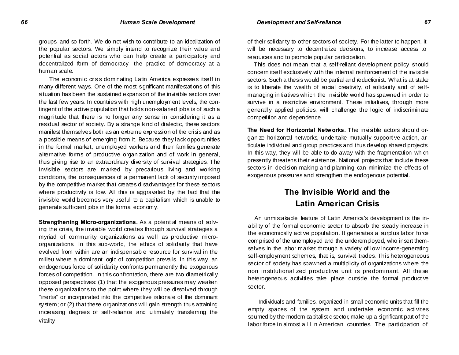## groups, and so forth. We do not wish to contribute to an idealization of the popular sectors. We simply intend to recognize their value and potential as social actors who can help create a participatory and decentralized form of democracy—the practice of democracy at a human scale.

The economic crisis dominating Latin America expresse s itself in many different ways. One of the most significant manifestations of this situation has been the sustained expansion of the invisible sectors over the last few years. In countries with high unemployment levels, the contingent of the active population that holds non-salaried jobs is of such a magnitude that there is no longer any sense in considering it as a residual sector of society. By a strange kind of dialectic, these sectors manifest themselves both as an extreme expression of the crisis and as a possible means of emerging from it. Because they lack opportunities in the formal market, unemployed workers and their families generate alternative forms of productive organization and of work in general, thus giving rise to an extraordinary diversity of survival strategies. The invisible sectors are marked by precarious living and working conditions, the consequences of a permanent lack of security imposed by the competitive market that creates disadvantages for these sectors where productivity is low. All this is aggravated by the fact that the invisible world becomes very useful to a capitalism which is unable to generate sufficient jobs in the formal economy.

**Strengthening Micro-organizations.** As a potential means of solving the crisis, the invisible world creates through survival strategies a myriad of community organizations as well as productive microorganizations. In this sub-world, the ethics of solidarity that have evolved from within are an indispensable resource for survival in the milieu where a dominant logic of competition prevails. In this way, an endogenous force of solidarity confronts permanently the exogenous forces of competition. In this confrontation, there are two diametrically opposed perspectives: (1) that the exogenous pressures may weaken these organizations to the point where they will be dissolved through "inertia" or incorporated into the competitive rationale of the dominant system; or (2) that these organizations will gain strength thus attaining increasing degrees of self-reliance and ultimately transferring the vitality

of their solidarity to other sectors of society. For the latter to happen, it will be necessary to decentralize decisions, to increase access to resources and to promote popular participation.

This does not mean that a self-reliant development policy should concern itself exclusively with the internal reinforcement of the invisible sectors. Such a thesis would be partial and reductionist. What is at stake is to liberate the wealth of social creativity, of solidarity and of selfmanaging initiatives which the invisible world has spawned in order to survive in a restrictive environment. These initiatives, through more generally applied policies, will challenge the logic of indiscriminate competition and dependence.

**The Need for Horizontal Networks.** The invisible actors should organize horizontal networks, undertake mutually supportive action, articulate individual and group practices and thus develop shared projects. In this way, they will be able to do away with the fragmentation which presently threatens their existence. National projects that indude these sectors in decision-making and planning can minimize the effects of exogenous pressures and strengthen the endogenous potential.

# **The Invisible World and the Latin American Crisis**

An unmistakable feature of Latin America's development is the inability of the formal economic sector to absorb the steady increase in the economically active population. It generates a surplus labor force comprised of the unemployed and the underemployed, who insert themselves in the labor market through a variety of low income-generating self-employment schemes, that is, survival trades. This heterogeneous sector of society has spawned a multiplicity of organizations where the non in stitutionalized productive unit is predominant. All the se heterogeneous activities take place outside the formal productive sector.

Individuals and families, organized in small economic units that fill the empty spaces of the system and undertake economic activities spurned by the modem capitalistic sector, make up a significant part of the labor force in almost all I in American countries. The participation of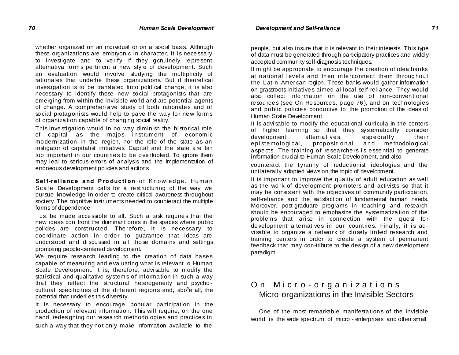whether organizad on an individual or on a social basis. Although these organizations are embryonic in character, it is necessary to investigate and to verify if they g cnuinely represent alternativa fo rm s pe rtincnt a new style of development. Such an evaluation would involve studying the multiplicity of rationales that underlie these organizations. But if theoretical investigation is to be translated finto political change, it is also necessary to identify those new social protagonists that are emerging from within the invisible world and are potential agents of change. A comprehen sive study of both rationales and of so cial protagonists would help to pave the way for new forms of organiza tion capable of changing social reality.

This inve stigation would in no way diminish the hi sto rical role of capital as the majos instrument of economic mode mization in the region, nor the role of the state as an instigator of capitalist initiatives. Capital and the state are far too important in our countrie s to be o ve rlooked. To ignore them may leal to serious errors of analysis and the implementation of erroneous development policies and actions.

**Self-reliance and Production** of Knowledge. Human Scale Development calls for a restructuring of the way we pursue knowledge in order to create critical awareness throughout society. The cognitive instruments needed to counteract the multiple forms of dependence

ust be made accessible to all. Such a task requires thai the new ideas con front the dominant ones in the spaces where public policies are constructed. The refore, it is necessary to coordinate action in order to guarantee that ideas are undcrstood and di scu ssed in all tho se domains and settings promoting people-centered development.

We require research leading to the creation of data bases capable of measuring and e valuating what i s relevant lo Human Scale Development. It is, therefo re, advi sable to modify the stati stical and qualitative systems of information in such a way that they reflect the structural heterogeneity and psychocultural specificities of the different regions and, abo<sup>y</sup>e all, the potential that underlies this diversity.

It is necessa ry to encourage popular participation in the production of relevant information. This will require, on the one hand, redesigning our re sea rch methodologie s and practice s in su ch a way that they not only make information available to the

people, but also insure that it is relevant to their interests. This type of data must be generated through participatory practices and widely accepted community self-diagnosis techniques.

It might be app ropriate to encou rage the creation of idea ban ks at national levels and then interconnect them throughout the Latin American region. These banks would gather information on grassroots initiative s aimed al local self-reliance. Thcy would also collect information on the use of non-conventional re sou rces (see On Re sou rces, page 76), and on technologies and public policies conducive to the promotion of the ideas of Human Scale Development.

It is advi sable to modify the educational curricula in the centers of higher learning so that they systematically consider development alternatives, especially their epistemological, propositional and methodological a spects. The training of researchers is essential to generate information crucial to Human Scalc Development, and also

countera ct the tyranny of reductionist ideologies and the unilaterally adopted views on the topic of development.

It is important to improve the quality of adult education as well as the work of development promoters and activists so that it may be consi stent with the objectives of community participation, self-reliance and the satisfaction of fundamental human needs. Moreover, post-graduare programs in teaching and research should be encouraged to emphasize the systematiza tion of the problems that a rise in connection with the quest for de velopment alte matives in our countries. Finally, it is advi sable to organize a netwo rk of clo sely lin ked re sea rch and training centers in ordcr to create a system of permanent feedback that may con-tribute to the design of a new development paradigm.

# On Micro-organizations Micro-organizations in the Invisible Sectors

One of the most remarkable manifesta tion s of the invisible world is the wide spectrum of micro - enterprises and other small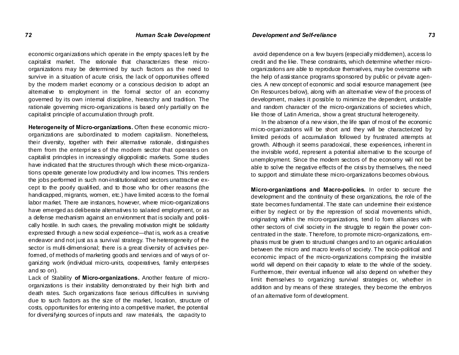economic organizations which operate in the empty spaces left by the capitalist market. The rationale that characterizes these microorganizations may be determined by such factors as the need to survive in a situation of acute crisis, the lack of opportunities offered by the modem market economy or a conscious decision to adopt an altemative to employment in the formal sector of an economy governed by its own internal discipline, hierarchy and tradition. The rationale governing micro-organizations is based only partially on the capitalist principle of accumulation through profit.

**Heterogeneity of Micro-organizations.** Often these economic microorganizations are subordinated to modem capitalism. Nonetheless, their diversity, together with their alternative rationale, distinguishes them from the enterpri se s of the modem sector that operate s on capitalist principles in increasingly oligopolistic markets. Some studies have indicated that the structures through which these micro-organizations operate generate low productivity and low incomes. This renders the jobs performed in such non-institutionalized sectors unattractive except to the poorly qualified, and to those who for other reasons (the handicapped, migrants, women, etc.) have limited access to the formal labor market. There are instances, however, where micro-organizations have emerged as deliberate alternatives to salaried employment, or as a defense mechanism against an environment that is socially and politically hostile. In such cases, the prevailing motivation might be solidarity expressed through a new social experience—that is, work as a creative endeavor and not just as a survival strategy. The heterogeneity of the sector is multi-dimensional; there is a great diversity of activities performed, of methods of marketing goods and services and of ways of organizing work (individual micro-units, cooperatives, family enterprises and so on).

Lack of Stability **of Micro-organizations.** Another feature of microorganizations is their instability demonstrated by their high birth and death rates. Such organizations face serious difficulties in surviving due to such factors as the size of the market, location, structure of costs, opportunities for entering into a competitive market, the potential for diversifying sources of inputs and raw materials, the capacity to

## *72 Human Scale Development Development and Self-reliance 73*

avoid dependence on a few buyers (especially middlemen), access lo credit and the like. These constraints, which determine whether microorganizations are able to reproduce themselves, may be overcome with the help of assistance programs sponsored by public or private agencies. A new concept of economic and social resource management (see On Resources below), along with an alternative view of the process of development, makes it possible to minimize the dependent, unstable and random character of the micro-organizations of societies which, like those of Latin America, show a great structural heterogeneity.

In the absence of a new vision, the life span of most of the economic micro-organizations will be short and they will be characterized by limited periods of accumulation followed by frustrated attempts at growth. Although it seems paradoxical, these experiences, inherent in the invisible world, represent a potential alternative to the scourge of unemployment. Since the modem sectors of the economy will not be able to solve the negative effects of the crisis by themselves, the need to support and stimulate these micro-organizations becomes obvious.

**Micro-organizations and Macro-policies.** In order to secure the development and the continuity of these organizations, the role of the state becomes fundamental. The state can undermine their existence either by neglect or by the repression of social movements which, originating within the micro-organizations, tend lo form alliances with other sectors of civil society in the struggle to regain the power concentrated in the state. Therefore, to promote micro-organizations, emphasis must be given to structural changes and to an organic articulation between the micro and macro levels of society. The socio-political and economic impact of the micro-organizations comprising the invisible world will depend on their capacity to relate to the whole of the society. Furthermore, their eventual influence will also depend on whether they limit themselves to organizing survival strategies or, whether in addition and by means of these strategies, they become the embryos of an alternative form of development.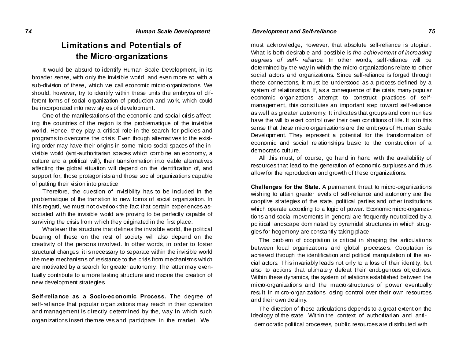# **Limitations and Potentials of the Micro**-**organizations**

It would be absurd to identify Human Scale Development, in its broader sense, with only the invisible world, and even more so with a sub-division of these, which we call economic micro-organizations. We should, however, try to identify within these units the embryos of different forms of social organization of production and work, which could be incorporated into new styles of development.

One of the manifestations of the economic and social crisis affecting the countries of the region is the problematique of the invisible world. Hence, they play a critical role in the search for policies and programs to overcome the crisis. Even though alternatives to the existing order may have their origins in some micro-social spaces of the invisible world (anti-authoritarian spaces which combine an economy, a culture and a political will), their transformation into viable alternatives affecting the global situation will depend on the identification of, and support for, those protagonists and those social organizations capable of putting their vision into practice.

Therefore, the question of invisibility has to be induded in the problematique of the transition to new forms of social organization. In this regard, we must not overlook the fact that certain experiences associated with the invisible world are proving to be perfectly capable of surviving the crisis from which they originated in the first place.

Whatever the structure that defines the invisible world, the political bearing of these on the rest of society will also depend on the creativity of the persons involved. In other words, in order to foster structural changes, it is necessary to separate within the invisible world the mere mechanisms of resistance to the crisis from mechanisms which are motivated by a search for greater autonomy. The latter may eventually contribute to a more lasting structure and inspire the creation of new development strategies.

**Self-relia nce as a Socio-ec onomic Process.** The degree of self-reliance that popular organizations may reach in their operation and management is directly determined by the, way in which such organizations insert themselves and participate in the market. We

## *74 Human Scale Development Development and Self-reliance 75*

must acknowledge, however, that absolute self-reliance is utopian. What is both desirable and possible is *the achievement of increasing degrees of self- reliance.* In other words, self-reliance will be determined by the way in which the micro-organizations relate to other social actors and organizations. Since self-reliance is forged through these connections, it must be understood as a process defined by a system of relationships. If, as a consequence of the crisis, many popular economic organizations attempt to construct practices of selfmanagement, this constitutes an important step toward self-reliance as well as greater autonomy. It indicates that groups and communities have the will to exert control over their own conditions of life. It is in this sense that these micro-organizations are the embryos of Human Scale Development. They represent a potential for the transformation of economic and social relationships basic to the construction of a democratic culture.

All this must, of course, go hand in hand with the availability of resources that lead to the generation of economic surpluses and thus allow for the reproduction and growth of these organizations.

**Challenges for the State.** A permanent threat to micro-organizations wishing to attain greater levels of self-reliance and autonomy are the cooptive strategies of the state, political parties and other institutions which operate according to a logic of power. Economic micro-organizations and social movements in general are frequently neutralized by a political landscape dominated by pyramidal structures in which struggles for hegemony are constantly taking place.

The problem of cooptation is critical in shaping the articulations between local organizations and global processe s. Cooptation is achieved through the identification and political manipulation of the social actors. This invariably leads not only to a loss of their identity, but also to actions that ultimately defeat their endogenous objectives. Within these dynamics, the system of relations established between the micro-organizations and the macro-structures of power eventually result in micro-organizations losing control over their own resources and their own destiny.

The direction of these articulations depends to a great extent on the ideology of the state. Within the context of authoritarian and antidemocratic political processes, public resources are distributed with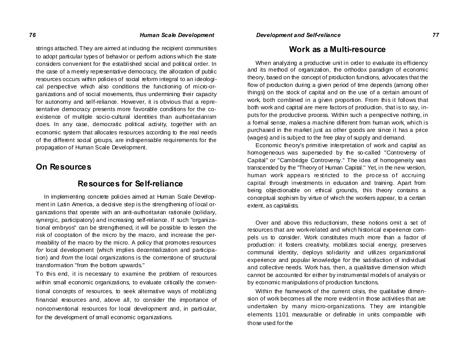#### *76 Human Scale Development Development and Self-reliance 77*

strings attached. They are aimed at inducing the recipient communities to adopt particular types of behavior or perform actions which the state considers convenient for the established social and political order. In the case of a merely representative democracy, the allocation of public resources occurs within policies of social reform integral to an ideological perspective which also conditions the functioning of micro-organizations and of social movements, thus undermining their capacity for autonomy and self-reliance. However, it is obvious that a representative democracy presents more favorable conditions for the coexistence of multiple socio-cultural identities than authoritarianism does. In any case, democratic political activity, together with an economic system that allocates resources according to the real needs of the different social groups, are indispensable requirements for the propagation of Human Scale Development.

# **On Resources**

# **Resources for Self-reliance**

In implementing concrete policies aimed at Human Scale Development in Latin America, a decisive step is the strengthening of local organizations that operate with an anti-authoritarian rationale (solidary, synergic, participatory) and increasing self-reliance. If such "organizational embryos" can be strengthened, it will be possible to lessen the risk of cooptation of the micro by the macro, and increase the permeability of the macro by the micro. A policy that promotes resources *for* local development (which implies decentralization and participation) and *from* the local organizations is the cornerstone of structural transformation "from the bottom upwards."

To this end, it is necessary to examine the problem of resources within small economic organizations, to evaluate critically the conventional concepts of resources, to seek alternative ways of mobilizing financial resources and, above all, to consider the importance of nonconventional resources for local development and, in particular, for the development of small economic organizations.

## **Work as a Multi-resource**

When analyzing a productive unit in order to evaluate its efficiency and its method of organization, the orthodox paradigm of economic theory, based on the concept of production functions, advocates that the flow of production during a given period of time depends (among other things) on the stock of capital and on the use of a certain amount of work, both combined in a given proportion. From this it follows that both work and capital are mere factors of production, that is to say, inputs for the productive process. Within such a perspective nothing, in a formal sense, makes a machine different from human work, which is purchased in the market just as other goods are since it has a price (wages) and is subject to the free play of supply and demand.

Economic theory's primitive interpretation of work and capital as homogeneous was superseded by the so-called "Controversy of Capital" or "Cambridge Controversy." The idea of homogeneity was transcended by the "Theory of Human Capital." Yet, in the new version, human work appears restricted to the process of accruing capital through investments in education and training. Apart from being objectionable on ethical grounds, this theory contains a conceptual sophism by virtue of which the workers appear, to a certain extent, as capitalists.

Over and above this reductionism, these notions omit a set of resources that are work-related and which historical experience compels us to consider. Work constitutes much more than a factor of production: it fosters creativity, mobilizes social energy, preserves communal identity, deploys solidarity and utilizes organizational experience and popular knowledge for the satisfaction of individual and collective needs. Work has, then, a qualitative dimension which cannot be accounted for either by instrumental models of analysis or by economic manipulations of production functions.

Within the framework of the current crisis, the qualitative dimension of work becomes all the more evident in those activities that are undertaken by many micro-organizations. They are intangible elements 1101 measurable or definable in units comparable with those used for the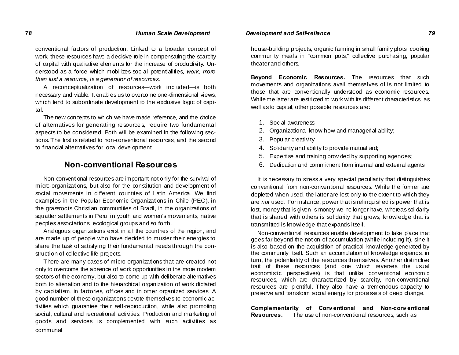conventional factors of production. Linked to a broader concept of work, these resources have a decisive role in compensating the scarcity of capital with qualitative elements for the increase of productivity. Understood as a force which mobilizes social potentialities, *work, more than just a resource, is a generator of resources.*

A reconceptualization of resources—work included—is both necessary and viable. It enables us to overcome one-dimensional views, which tend to subordinate development to the exdusive logic of capital.

The new concepts to which we have made reference, and the choice of alternatives for generating re source s, require two fundamental aspects to be considered. Both will be examined in the following sections. The first is related to non-conventional resources, and the second to financial alternatives for local development.

# **Non-conventional Resources**

Non-conventional resources are important not only for the survival of micro-organizations, but also for the constitution and development of social movements in different countries of Latin America. We find examples in the Popular Economic Organizations in Chile (PEO), in the grassroots Christian communities of Brazil, in the organizations of squatter settlements in Peru, in youth and women's movements, native peoples associations, ecological groups and so forth.

Analogous organizations exist in all the countries of the region, and are made up of people who have decided to muster their energies to share the task of satisfying their fundamental needs through the construction of collective life projects.

There are many cases of micro-organizations that are created not only to overcome the absence of work opportunities in the more modem sectors of the economy, but also to come up with deliberate alternatives both to alienation and to the hierarchical organization of work dictated by capitalism, in factories, offices and in other organized services. A good number of these organizations devote themselves to economic activities which guarantee their self-reproduction, while also promoting social, cultural and recreational activities. Production and marketing of goods and services is complemented with such activities as communal

## *78 Human Scale Development Development and Self-reliance 79*

house-building projects, organic farming in small family plots, cooking community meals in "common pots," collective purchasing, popular theater and others.

**Beyond Economic Resources.** The resources that such movements and organizations avail themselves of is not limited to those that are conventionally understood as economic resources. While the latter are restricted to work with its different characteristics, as well as to capital, other possible resources are:

- 1. Social awareness;
- 2. Organizational know-how and managerial ability;
- 3. Popular creativity;
- 4. Solidarity and ability to provide mutual aid;
- 5. Expertise and training provided by supporting agencies;
- 6. Dedication and commitment from internal and external agents.

It is necessary to stress a very special peculiarity that distinguishes conventional from non-conventional resources. While the former are depleted when used, the latter are lost only to the extent to which they are *not* used. For instance, power that is relinquished is power that is lost, money that is given is money we no longer have, whereas solidarity that is shared with others is solidarity that grows, knowledge that is transmitted is knowledge that expands itself.

Non-conventional resources enable development to take place that goes far beyond the notion of accumulation (while including it), sine it is also based on the acquisition of practical knowledge generated by the community itself. Such an accumulation of knowledge expands, in turn, the potentiality of the resources themselves. Another distinctive trait of these resources (and one which reverses the usual economistic perspectives) is that unlike conventional economic resources, which are characterized by scarcity, non-conventional resources are plentiful. They also have a tremendous capacity to preserve and transform social energy for processe s of deep change.

**Complementarity of Conv entional and Non-conv entional Resources.** The use of non-conventional resources, such as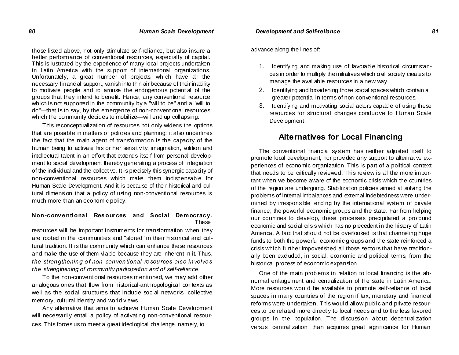those listed above, not only stimulate self-reliance, but also insure a better performance of conventional resources, especially of capital. This is lustrated by the experience of many local projects undertaken in Latin America with the support of international organizations. Unfortunately, a great number of projects, which have all the necessary financial support, vanish into thin air because of their inability to motivate people and to arouse the endogenous potential of the groups that they intend to benefit. Hence, any conventional resource which is not supported in the community by a "will to be" and a "will to do"—that is to say, by the emergence of non-conventional resources which the community decides to mobilize—will end up collapsing.

This reconceptualization of resources not only widens the options that are possible in matters of policies and planning; it also underlines the fact that the main agent of transformation is the capacity of the human being to activate his or her sensitivity, imagination, volition and intellectual talent in an effort that extends itself from personal development to social development thereby generating a process of integration of the individual and the collective. It is precisely this synergic capacityof non-conventional resources which make them indispensable for Human Scale Development. And it is because of their historical and cultural dimension that a policy of using non-conventional resources is much more than an economic policy.

## **Non-c onv e ntiona l Res ources and Social De moc rac y.** These

resources will be important instruments for transformation when they are rooted in the communities and "stored" in their historical and cultural tradition. It is the community which can enhance these resources and make the use of them viable because they are inherent in it. Thus, *the stren gthenin g o f non-con ven tional re sou rces also in volve s the strengthening of communityparticipation and of self-reliance.*

To the non-conventional resources mentioned, we may add other analogous ones that flow from historical-anthropological contexts as well as the social structures that indude social networks, collective memory, cultural identity and world views.

Any alternative that aims to achieve Human Scale Development will necessarily entail a policy of activating non-conventional resources. This forces us to meet a great ideological challenge, namely, to

advance along the lines of:

- 1. Identifying and making use of favorable historical circumstances in order to multiply the initiatives which civil society creates to manage the available resources in a new way.
- 2. Identifying and broadening those social spaces which contain a greater potential in terms of non-conventional resources.
- 3. Identifying and motivating social actors capable of using these resources for structural changes conducive to Human Scale Development.

## **Alternatives for Local Financing**

The conventional financial system has neither adjusted itself to promote local development, nor provided any support to alternative experiences of economic organization. This is part of a political context that needs to be critically reviewed. This review is all the more important when we become aware of the economic crisis which the countries of the region are undergoing. Stabilization policies aimed at solving the problems of internal imbalances and external indebtedness were undermined by irresponsible lending by the international system of private finance, the powerful economic groups and the state. Far from helping our countries to develop, these processes precipitated a profound economic and social crisis which has no precedent in the history of Latin America. A fact that should not be overlooked is that channeling huge funds to both the powerful economic groups and the state reinforced a crisis which further impoverished all those sectors that have traditionally been exduded, in social, economic and political terms, from the historical process of economic expansion.

One of the main problems in relation to local financing is the abnormal enlargement and centralization of the state in Latin America. More resources would be available to promote self-reliance of local spaces in many countries of the region if tax, monetary and financial reforms were undertaken. This would allow public and private resources to be related more directly to local needs and to the less favored groups in the population. The discussion about decentralization versus centralization than acquires great significance for Human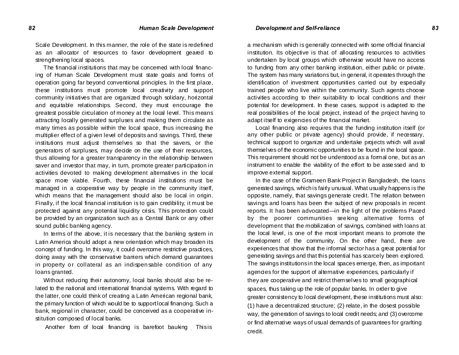Scale Development. In this manner, the role of the state is redefined as an allocator of resources to favor development geared to strengthening local spaces.

The financial institutions that may be concerned with local financing of Human Scale Development must state goals and forms of operation going far beyond conventional principles. In the first place, these institutions must promote local creativity and support community initiatives that are organized through solidary, horizontal and equitable relationships. Second, they must encourage the greatest possible circulation of money at the local level. This means attracting locally generated surpluses and making them circulate as many times as possible within the local space, thus increasing the multiplier effect of a given level of deposits and savings. Third, these institutions must adjust themselves so that the savers, or the generators of surpluses, may decide on the use of their resources, thus allowing for a greater transparency in the relationship between saver and investor that may, in turn, promote greater participation in activities devoted to making development alternatives in the local space more viable. Fourth, these financial institutions must be managed in a cooperative way by people in the community itself, which means that the management should also be local in origin. Finally, if the local financial institution is to gain credibility, it must be protected against any potential liquidity crisis. This protection could be provided by an organization such as a Central Bank or any other sound public banking agency.

In terms of the above, it is necessary that the banking system in Latin America should adopt a new orientation which may broaden its concept of funding. In this way, it could overcome restrictive practices, doing away with the conservative barriers which demand guarantees in property or collateral as an indispen sable condition of any loans granted.

Without reducing their autonomy, local banks should also be related to the national and international financial systems. With regard to the latter, one could think of creating a Latin American regional bank, the primary function of which would be to supportlocal financing. Such a bank, regional in character, could be conceived as a cooperative institution composed of local banks.

Another form of local financing is barefoot bauking Thisis

a mechanism which is generally connected with some official financial institution. Its objective is that of allocating resources to activities undertaken by local groups which otherwise would have no access to funding from any other banking institution, either public or private. The system has many variations but, in general, it operates through the identification of investment opportunities carried out by especially trained people who live within the community. Such agents choose activities according to their suitability to local conditions and their potential for development. In these cases, support is adapted to the real possibilities of the local project, instead of the project having to adapt itself to exigencies of the financial market.

Local financing also requires that the funding institution itself (or any other public or private agency) should provide, if necessary, technical support to organize and undertake projects which will avail themselves of the economic opportunities to be found in the local space. This requirement should not be understood as a formal one, but as an instrument to enable the viability of the effort to be asse ssed and to improve extemal support.

In the case of the Grameen Bank Project in Bangladesh, the loans generated savings, which is fairly unusual. What usually happens is the opposite, namely, that savings generate credit. The relation between savings and loans has been the subject of new proposals in recent reports. It has been advocated—in the light of the problems Paced by the poorer communities see king alternative forms of development that the mobilization of savings, combined with loans at the local level, is one of the most important means to promote the development of the community. On the other hand, there are experiences that show that the informal sector has a great potential for generating savings and that thispotential has scarcely been explored. The savings institutionsin the local spaces emerge, then, as important agencies for the support of alternative experiences, particularly if they are cooperative and restrict themselves to small geographical spaces, thus taking up the role of popular banks. In order to give greater consistency to local development, these institutions must also: (1) have a decentralized structure; (2) relate, in the closest possible way, the generation of savings to local credit needs; and (3) overcome or find alternative waysof usual demands of guarantees for grarlting credit.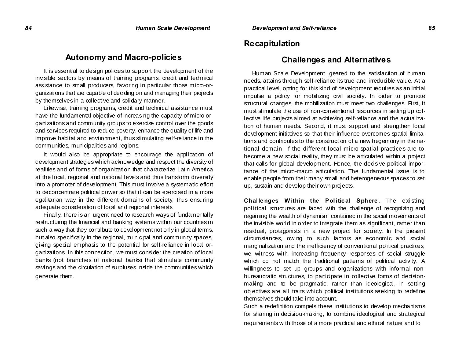# **Autonomy and Macro-policies**

It is essential to design policies to support the development of the invisible sectors by means of training programs, credit and technical assistance to small producers, favoring in particular those micro-organizations that are capable of deciding on and managing their projects by themselves in a collective and solidary manner.

Likewise, training programs, credit and technical assistance must have the fundamental objective of increasing the capacity of micro-organizations and community groups to exercise control over the goods and services required to reduce poverty, enhance the quality of life and improve habitat and environment, thus stimulating self-reliance in the communities, municipalities and regions.

It would also be appropriate to encourage the application of development strategies which acknowledge and respect the diversity of realities and of forms of organization that characterize Latin America at the local, regional and national levels and thus transform diversity into a promoter of development. This must involve a systematic effort to deconcentrate political power so that it can be exercised in a more egalitarian way in the different domains of society, thus ensuring adequate consideration of local and regional interests.

Finally, there is an urgent need to research ways of fundamentally restructuring the financial and banking systems within our countries in such a way that they contribute to development not only in global terms, but also specifically in the regional, municipal and community spaces, giving special emphasis to the potential for self-reliance in local organizations. In this connection, we must consider the creation of local banks (not branches of national banks) that stimulate community savings and the circulation of surpluses inside the communities which generate them.

# **Recapitulation**

## **Challenges and Alternatives**

Human Scale Development, geared to the satisfaction of human needs, attains through self-reliance its true and irreducible value. At a practical level, opting for this kind of development requires as an initial impulse a policy for mobilizing civil society. In order to promote structural changes, the mobilization must meet two challenges. First, it must stimulate the use of non-conventional resources in setting up collective life projects aimed at achieving self-reliance and the actualization of human needs. Second, it must support and strengthen local development initiatives so that their influence overcomes spatial limitations and contributes to the construction of a new hegemony in the national domain. If the different local micro-spatial practice s a re to become a new social reality, they must be articulated within a project that calls for global development. Hence, the decisive political importance of the micro-macro articulation. The fundamental issue is to enable people from their many small and heterogeneous spaces to set up, sustain and develop their own projects.

**Challenges Within the Political Sphere.** The existing poli tical structures are faced with the challenge of recognizing and regaining the wealth of dynamism contained in the social movements of the invisible world in order to integrate them as significant, rather than residual, protagonists in a new project for society. In the present circumstances, owing to such factors as economic and social marginalization and the inefficiency of conventional political practices, we witness with increasing frequency responses of social struggle which do not match the traditional patterns of political activity. A willingness to set up groups and organizations with informal nonbureaucratic structures, to participate in collective forms of decisionmaking and to be pragmatic, rather than ideological, in setting objectives are all traits which political institutions seeking to redefine themselves should take into account.

Such a redefinition compels these institutions to develop mechanisms for sharing in decisiou-making, to combine ideological and strategical requirements with those of a more practical and ethical nature and to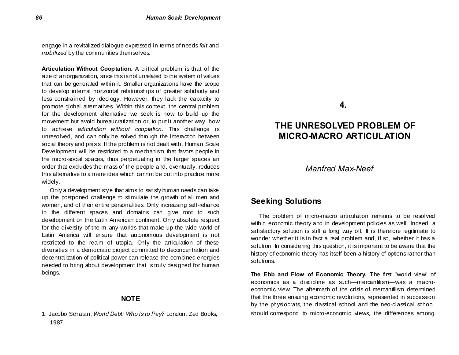engage in a revitalized dialogue expressed in terms of needs *felt* and *mobilized* by the communities themselves.

**Articulation Without Cooptation.** A critical problem is that of the size of an organization, since this isnot unrelated to the system of values that can be generated within it. Smaller organizations have the scope to develop internal horizontal relationships of greater solidarity and less constrained by ideology. However, they lack the capacity to promote global alternatives. Within this context, the central problem for the development alternative we seek is how to build up the movement but avoid bureaucratization or, to put it another way, how to achieve *articulation without cooptation.* This challenge is unresolved, and can only be solved through the interaction between social theory and praxis. If the problem is not dealt with, Human Scale Development will be restricted to a mechanism that favors people in the micro-social spaces, thus perpetuating in the larger spaces an order that excludes the mass of the people and, eventually, reduces this altemative to a mere idea which cannot be put into practice more widely.

Only a development style that aims to satisfy human needs can take up the postponed challenge to stimulate the growth of all men and women, and of their entire personalities. Only increasing self-reliance in the different spaces and domains can give root to such development on the Latin American continent. Only absolute respect for the diversity of the m any worlds that make up the wide world of Latin America will ensure that autonomous development is not restricted to the realm of utopia. Only the articulation of these diversities in a democratic project committed to deconcentration and decentralization of political power can release the combined energies needed to bring about development that is truly designed for human beings.

## **NOTE**

1. Jacobo Schatan, *World Debt: Who ls to Pay?* London: Zed Books, 1987.

## **4.**

# **THE UNRESOLVED PROBLEM OF MICRO-MACRO ARTICULATION**

# *Manfred Max-Neef*

# **Seeking Solutions**

The problem of micro-macro articulation remains to be resolved within economic theory and in development policies as well. Indeed, a satisfactory solution is still a long way off. It is therefore legitimate to wonder whether it is in fact a real problem and, if so, whether it has a solution. In considering this question, it is important to be aware that the history of economic theory has itself been a history of options rather than solutions.

**The Ebb and Flow of Economic Theory.** The first "world view" of economics as a discipline as such—mercantilism—was a macroeconomic view. The aftermath of the crisis of mercantilism determined that the three ensuing economic revolutions, represented in succession by the physiocrats, the classical school and the neo-classical school, should correspond to micro-economic views, the differences among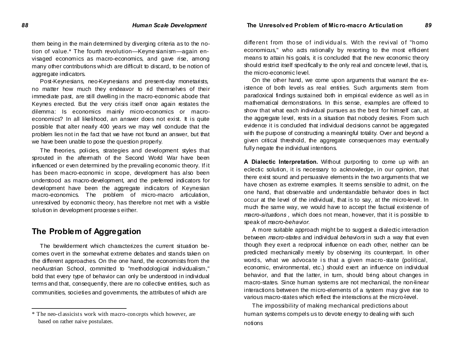them being in the main determined by diverging criteria as to the notion of value.\* The fourth revolution—Keyne sianism—again envisaged economics as macro-economics, and gave rise, among many other contributions which are difficult to discard, to be notion of aggregate indicators.

Post-Keynesians, neo-Keynesians and present-day monetarists, no matter how much they endeavor to rid themselves of their immediate past, are still dwelling in the macro-economic abode that Keynes erected. But the very crisis itself once again restates the dilemma: Is economics mainly micro-economics or macroeconomics? In all likelihood, an answer does not exist. It is quite possible that alter nearly 400 years we may well condude that the problem lies not in the fact that we have not found an answer, but that we have been unable to pose the question properly.

The theories, policies, strategies and development styles that sprouted in the aftermath of the Second World War have been influenced or even determined by the prevailing economic theory. If it has been macro-economic in scope, development has also been understood as macro-development, and the preferred indicators for development have been the aggregate indicators of Keynesian macro-economics. The problem of micro-macro articulation, unresolved by economic theory, has therefore not met with a visible solution in development processes either.

# **The Problem of Aggregation**

The bewilderment which characterizes the current situation becomes overt in the somewhat extreme debates and stands taken on the different approaches. On the one hand, the economists from the neoAustrian School, committed to "methodological individualism," bold that every type of behavior can only be understood in individual termsand that, consequently, there are no collective entities, such as communities, societies and governments, the attributes of which are

different from those of individuals. With the revival of "homo economicus," who acts rationally by resorting to the most efficient means to attain his goals, it is concluded that the new economic theory should restrict itself specifically to the only real and concrete level, that is, the micro-economic level.

On the other hand, we come upon arguments that warrant the existence of both levels as real entities. Such arguments stem from paradoxical findings sustained both in empirical evidence as well as in mathematical demonstrations. In this sense, examples are offered to show that what each individual pursues as the best for himself can, at the aggregate level, rests in a situation that nobody desires. From such evidence it is conduded that individual decisions cannot be aggregated with the purpose of constructing a meaningful totality. Over and beyond a given critical threshold, the aggregate consequences may eventually fully negate the individual intentions.

**A Dialectic Interpretation.** Without purporting to come up with an eclectic solution, it is necessary to acknowledge, in our opinion, that there exist sound and persuasive elements in the two arguments that we have chosen as extreme examples. It seems sensible to admit, on the one hand, that observable and understandable behavior does in fact occur at the level of the individual, that is to say, at the micro-level. In much the same way, we would have to accept the factual existence of *macro-situations ,* which does not mean, however, that it is possible to speak of *macro-behavior.*

A more suitable approach might be to suggest a dialectic interaction between *macro-states* and individual *behaviors* in such a way that even though they exert a reciprocal influence on each other, neither can be predicted mechanically merely by observing its counterpart. In other words, what we advocate is that a given macro-state (political, economic, environmental, etc.) should exert an influence on individual behavior, and that the latter, in turn, should bring about changes in macro-states. Since human systems are not mechanical, the non-linear interactions between the micro-elements of a system may give rise to various macro-states which reflect the interactions at the micro-level.

The impossibility of making mechanical predictions about human systems compels us to devote energy to dealing with such notions

<sup>\*</sup> The neo-classicists work with macro-concepts which however, are based on rather naive postulates.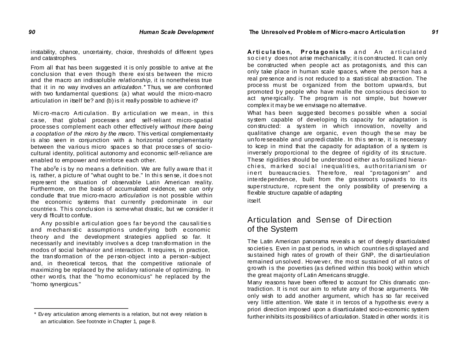instability, chance, uncertainty, choice, thresholds of different types and catastrophes.

From all that has been suggested it is only possible to arrive at the conclusion that even though there exists between the micro and the macro an indissoluble *relationship,* it is nonetheless true that it in no way involves an *articulation.\** Thus, we are confronted with two fundamental questions: (a) what would the micro-macro articulation in itself be? and (b) is it really possible to achieve it?

Micro-macro Articulation. By articulation we mean, in this ca se, that global processes and self-reliant micro-spatial proce sse s complement each other effectively *without there being a cooptation of the micro by the macro.* This vertical complementarity is also seen in conjunction with a horizontal complementarity between the various micro spaces so that processes of sociocultural identity, political autonomy and economic self-reliance are enabled to empower and reinforce each other.

The abo $\mathrm{^y}\mathrm{e}$  is by no means a definition. We are fully aware that it is, rather, a picture of "what ought to be." In this sense, it does not repre sent the situation of observable Latin American reality. Furthermore, on the basis of accumulated evidence, we can only condude that true micro-macro *articulation* is not possible within the economic systems that currently predominate in our countries. This conclusion is some what drastic, but we consider it very di fficult to confute.

Any possible articulation goes far beyond the causalities and mechanistic assumptions underlying both economic theory and the development strategies applied so far. It necessarily and inevitably involve s a dcep tran sfo rmation in the modos of social behavior and interaction. It requires, in practice, the tran sfo rmation of the pe rson-object into a person-subject and, in theoretical tercos, that the competitive rationale of maximizing be replaced by the solidary rationale of optimizing. In other words, that the "horno economicus" he replaced by the "horno synergicus."

**Articulation, Protagonists** and An articulated so ciety does not arise mechanically; it is constructed. It can only be constructed when people act as protagonists, and this can only take place in human scale space s, where the person has a real pre sence and is not reduced to a stati stical ab straction. The process must be organized from the bottom upwards, but promoted by people who have malle the conscious decision to act syne rgically. The prog ram is not simple, but howe ver complex it may be we envisage no alternative.

What has been suggested becomes possible when a social system capable of developing its capacity for adaptation is con stru cted: a system in which innovation, novelty and qualitative change are organic, even though these may be un fo re seeable and unp redictable. In this sense, it is necessary to kcep in mind that the capacity for adaptation of a system is inversely propo rcional to the degree of rigidity of its structure. These rigidities should be understood either a s fo ssilized hiera rchies, marked social inequalities, authoritarianism or in ert bu reaucracies. The refore, real "protagonism" and inte rde pendence, built from the grassroots upwards to its supe rstructure, rcpresent the only possibility of preserving a flexible structure capable of adapting

itself.

# Articulation and Sense of Direction of the System

The Latin American panorama reveals a set of deeply disarticulated so cieties. Even in past periods, in which countries displayed and su stained high rates of growth of their GNP, the disartieulation remained un solved . Ho we ve r, the mo st su stained of all rato s of growth is the poverties (as defined within this book) within which the great majority of Latin Americans struggle.

Many reasons have been offered to account for Chis dramatic contradiction. It is not our aim to refute any of tho se arguments. We only wish to add another argument, which has so far received very little attention. We state it in tercos of a hypothe sis: eve ry a priori direction imposed upon a disarticulated socio-economic system further inhibits its possibilitics of articulation. Stated in other words: it is

<sup>\*</sup> Ev ery articulation among elements is a relation, but not every relation is an articulation. See footnote in Chapter 1, page 8.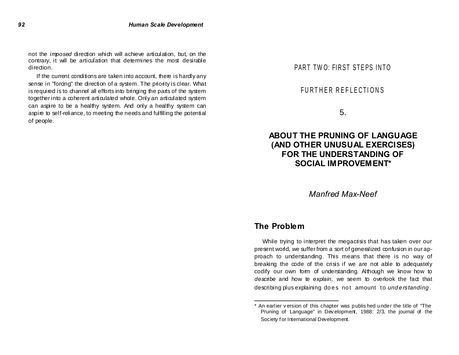not the *imposed* direction which will achieve articulation, but, on the contrary, it will be articulation that determines the most desirable direction.

If the current conditions are taken into account, there is hardly any sense in "forcing" the direction of a system. The priority is clear. What is required is to channel all efforts into bringing the parts of the system together into a coherent articulated whole. Only an articulated system can aspire to be a healthy system. And only a healthy system can aspire to self-reliance, to meeting the needs and fulfilling the potential of people.

PART TWO: FIRST STEPS INTO

# FURTHER REFLECTIONS

5.

# **ABOUT THE PRUNING OF LANGUAGE (AND OTHER UNUSUAL EXERCISES) FOR THE UNDERSTANDING OF SOCIAL IMPROVEMENT\***

*Manfred Max-Neef*

# **The Problem**

While trying to interpret the megacrisis that has taken over our present world, we suffer from a sort of generalized confusion in our approach to understanding. This means that there is no way of breaking the code of the crisis if we are not able to adequately codify our own form of understanding. Although we know how to *describe* and how te *explain,* we seem to overlook the fact that describing plus explaining does not amount to *understanding*.

<sup>\*</sup> An earlier v ersion of this chapter was publis hed under the title of "The Pruning of Language" in Dev elopment, 1988: 2/3, the journal of the Society f or International Development.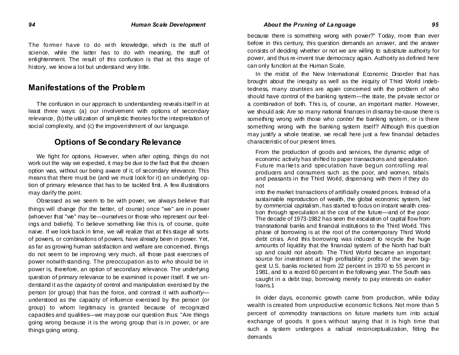The former have to do with knowledge, which is the stuff of science, while the latter has to do with meaning, the stuff of enlightenment. The result of this confusion is that at this stage of history, we know a lot but understand very little.

# **Manifestations of the Problem**

The confusion in our approach to understanding reveals itself in at least three ways: (a) our involvement with options of secondary relevance, (b) the utilization of simplistic theories for the interpretation of social complexity, and (c) the impoverishment of our language.

# **Options of Secondary Relevance**

We fight for options. However, when after opting, things do not work out the way we expected, it may be due to the fact that the chosen option was, without our being aware of it, of secondary relevance. This means that there must be (and we must look for it) an underlying option of primary relevance that has to be tackled first. A few illustrations may darify the point.

Obsessed as we seem to be with power, we always believe that things will change (for the better, of course) once "we" are in power (whoever that "we" may be—ourselves or those who represent our feelings and beliefs). To believe something like this is, of course, quite naive. If we look back in time, we will realize that at this stage all sorts of powers, or combinations of powers, have already been in power. Yet, as far as growing human satisfaction and welfare are concerned, things do not seem to be improving very much, all those past exercises of power notwith standing. The preoccupation as to *who* should be in power is, therefore, an option of secondary relevance. The underlying question of primary relevance to be examined is power itself. If we understand it as the capacity of control and manipulation exercised by the person (or group) that has the force, and contrast it with *authority understood* as the capacity of influence exercised by the person (or group) to whom legitimacy is granted because of recognized capacities and qualities—we may pose our question thus: "Are things going wrong because it is the wrong group that is in power, or are things going wrong.

because there is something wrong with power?" Today, more than ever before in this century, this question demands an answer, and the answer consists of deciding whether or not we are willing to substitute authority for power, and thus re-invent true democracy again. Authority as defined here can only function at the Human Scale.

In the midst of the New International Economic Disorder that has brought about the inequity as well as the iniquity of Third World indebtedness, many countries are again concerned with the problem of who should have control of the banking system—the state, the private sector or a combination of both. This is, of course, an important matter. However, we should ask: Are so many national finances in disarray be-cause there is something wrong with those who *control* the banking system, or is there something wrong with the banking system itself? Although this question may justify a whole treatise, we recall here just a few financial debacles characteristic of our present times.

From the production of goods and services, the dynamic edge of economic activity has shifted to paper transactions and speculation. Future markets and speculation have begun controlling real producers and consumers such as the poor, and women, tribals and peasants in the Third World, dispensing with them if they do not

into the market transactions of artificially created prices. Instead of a sustainable reproduction of wealth, the global economic system, led by commercial capitalism, has started to focus on instant wealth creation through speculation at the cost of the future—and of the poor. The decade of 1973-1982 has seen the escalation of capital flow from transnational banks and financial institutions to the Third World. This phase of borrowing is at the root of the contemporary Third World debt crisis. And this borrowing was induced to recycle the huge amounts of liquidity that the financial system of the North had built up and could not absorb. The Third World became an important source for investment at high profitability: profits of the seven biggest U.S. banks rocketed from 22 percent in 1970 to 55 percent in 1981, and to a record 60 percent in the following year. The South was caught in a debt trap, borrowing merely to pay interests on earlier loans.1

In older days, economic growth carne from production, while today wealth is created from unproductive economic fictions. Not more than 5 percent of commodity transactions on future markets turn into actual exchange of goods. It goes without saying that it is high time that such a system undergoes a radical reconceptualization, fitting the demands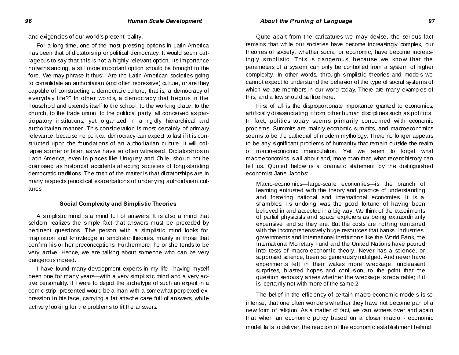and exigencies of our world's present reality.

For a long time, one of the most pressing options in Latin America has been that of dictatorship or political democracy. It would seem outrageous to say that this is not a highly relevant option. Its importance notwithstanding, a still more important option should be brought to the fore. We may phrase it thus: "Are the Latin American societies going to consolidate an authoritarian (and often repressive) culture, or are they capable of constructing a democratic culture, that is, a democracy of everyday life?" In other words, a democracy that begins in the household and extends itself to the school, to the working place, to the church, to the trade union, to the political party; all conceived as participatory institutions, yet organized in a rigidly hierarchical and authoritarian manner. This consideration is most certainly of primary relevance, because no political democracy can expect to last if it is constructed upon the foundations of an authoritarian culture. It will collapse sooner or later, as we have so often witnessed. Dictatorships in Latin America, even in places like Uruguay and Chile, should not be dismissed as historical accidents affecting societies of long-standing democratic traditions. The truth of the matter is that dictatorships are in many respects periodical exacerbations of underlying authoritarian cultures.

#### **Social Complexity and Simplistic Theories**

A simplistic mind is a mind full of answers. It is also a mind that seldom realizes the simple fact that answers must be preceded by pertinent questions. The person with a simplistic mind looks for inspiration and knowledge in simplistic theories, mainly in those that confirm his or her preconceptions. Furthermore, he or she tends to be very active. Hence, we are talking about someone who can be very dangerous indeed.

I have found many development experts in my life—having myself been one for many years—with a very simplistic mind and a very active personality. If I were to depict the archetype of such an expert in a comic strip, presented would be a man with a somewhat perplexed expression in his face, carrying a fat attache case full of answers, while actively looking for the problems to fit the answers.

Quite apart from the caricatures we may devise, the serious fact remains that while our societies have become increasingly complex, our theories of society, whether social or economic, have become increasingly simplistic. This is dange rous, because we know that the parameters of a system can only be controlled from a system of higher complexity. In other words, through simplistic theories and models we cannot expect to understand the behavior of the type of social systemsof which we are members in our world today. There are many examples of this, and a few should suffice here.

First of all is the disproportionate importance granted to economics, artificially disassociating it from other human disciplines such aspolitics. In fact, politics today seems primarily concerned with economic problems. Summits are mainly economic summits, and macroeconomics seems to be the cathedral of modern mythology. There no longer appears to be any significant problems of humanity that remain outside the realm of macro-economic manipulation. Yet we seem to forget what macroeconomics is all about and, more than that, what recent history can tell us. Quoted below is a dramatic statement by the distinguished economist Jane Jacobs:

Macro-economics—large-scale economies—is the branch of learning entrusted with the theory and practice of understanding and fostering national and international economies. It is a shambles. lis undoing was the good fortune of having been believed in and accepted in a big way. We think of the experiments of partial physicists and space explorers as being extraordinarily expensive, and so they are. But the costs are nothing compared with the incomprehensively huge resources that banks, industries, governments and international institutions like the World Bank, the International Monetary Fund and the United Nations have poured into tests of macro-economic theory. Never has a science, or supposed science, been so generously indulged. And never have experiments left in their wakes more wreckage, unpleasant surprises, blasted hopes and confusion, to the point that the question seriously arises whether the wreckage is repairable; if it is, certainly not with more of the same.2

The belief in the efficiency of certain macro-economic models is so intense, that one often wonders whether they have not become pan of a new form of religion. As a matter of fact, we can witness over and again that when an economic policy based on a closer macro - economic model fails to deliver, the reaction of the economic establishment behind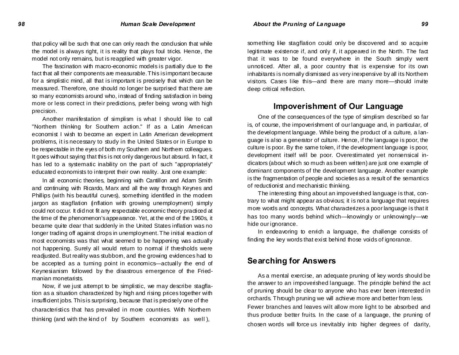that policy will be such that one can only reach the condusion that while the model is always right, it is reality that plays foul tricks. Hence, the model not only remains, but is reapplied with greater vigor.

The fascination with macro-economic models is partially due to the fact that all their components are measurable.This isimportant because for a simplistic mind, all that is important is precisely that which can be measured. Therefore, one should no longer be surprised that there are so many economists around who, instead of finding satisfaction in being more or less correct in their predictions, prefer being wrong with high precision.

Another manifestation of simplism is what I should like to call "Northern thinking for Southern action." If as a Latin American economist I wish to become an expert in Latin American development problems, it is necessary to study in the United States or in Europe to be respectable in the eyes of both my Southem and Northem colleagues. It goes without saying that this is not only dangerous but absurd. In fact, it has led to a systematic inability on the part of such "appropriately" educated economists to interpret their own reality. Just one example:

In all economic theories, beginning with Cantillon and Adam Smith and continuing with Ricardo, Marx and all the way through Keynes and Phillips (with his beautiful curves), something identified in the modem jargon as stagflation (inflation with growing unemployment) simply could not occur. It did not fit any respectable economic theory practiced at the time of the phenomenon'sappearance. Yet, at the end of the 1960s, it became quite clear that suddenly in the United States inflation wasno longer trading off against drops in unemployment.The initial reaction of most economists was that what seemed to be happening was actually not happening. Surely all would return to normal if thresholds were readjusted. But reality was stubbom, and the growing evidences had to be accepted as a turning point in economics—actually the end of Keynesianism followed by the disastrous emergence of the Friedmanian monetarists.

Now, if we just attempt to be simplistic, we may describe stagflation as a situation characterized by high and rising prices together with insufficient jobs. This is surprising, because that is precisely one of the characteristics that has prevailed in more countries. With Northern thinking (and with the kind of by Southern economists as well),

something like stagflation could only be discovered and so acquire legitimate existence if, and only if, it appeared in the North. The fact that it was to be found everywhere in the South simply went unnoticed. After all, a poor country that is expensive for its own inhabitants is normally dismissed as very inexpensive by all its Northern visitors. Cases like this—and there are many more—should invite deep critical reflection.

## **Impoverishment of Our Language**

One of the consequences of the type of simplism described so far is, of course, the impoverishment of our language and, in particular, of the development language. While being the product of a culture, a language is also a generator of culture. Hence, if the language is poor, the culture is poor. By the same token, if the development language is poor, development itself will be poor. Overestimated yet nonsensical indicators (about which so much as been written) are just one example of dominant components of the development language. Another example is the fragmentation of people and societies as a result of the semantics of reductionist and mechanistic thinking.

The interesting thing about an impoverished language is that, contrary to what might appear as obvious; it is not a language that requires more words and concepts. What characterizes a poor language is that it has too many words behind which—knowingly or unknowingly—we hide our ignorance.

In endeavoring to enrich a language, the challenge consists of finding the key words that exist behind those voids of ignorance.

# **Searching for Answers**

As a mental exercise, an adequate pruning of key words should be the answer to an impoverished language. The principle behind the act of pruning should be clear to anyone who has ever been interested in orchards. Through pruning we will achieve more and better from less. Fewer branches and leaves wilt allow more light to be absorbed and thus produce better fruits. In the case of a language, the pruning of chosen words will force us inevitably into higher degrees of clarity,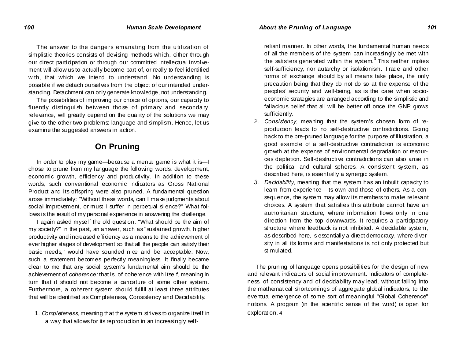The answer to the dangers emanating from the utilization of simplistic theories consists of devising methods which, either through our direct participation or through our committed intellectual involvement will allow us to actually become part of, or really to feel identified with, that which we intend to understand. No understanding is possible if we detach ourselves from the object of our intended understanding. Detachment can only generate knowledge, not understanding.

The possibilities of improving our choice of options, our capacity to fluently distinguish between those of primary and secondary relevance, will greatly depend on the quality of the solutions we may give to the other two problems: language and simplism. Hence, let us examine the suggested answers in action.

# **On Pruning**

In order to play my game—because a mental game is what it is—I chose to prune from my language the following words: development, economic growth, efficiency and productivity. In addition to these words, such conventional economic indicators as Gross National Product and its offspring were also pruned. A fundamental question arose immediately: "Without these words, can I make judgments about social improvement, or must I suffer in perpetual silence?" What follows is the result of my personal experience in answering the challenge.

I again asked myself the old question: "What should be the aim of my society?" In the past, an answer, such as "sustained growth, higher productivity and increased efficiency as a means to the achievement of ever higher stages of development so that all the people can satisfy their basic needs," would have sounded nice and be acceptable. Now, such a statement becomes perfectly meaningless. It finally became clear to me that any social system's fundamental aim should be the achievement of *coherence;* that is, of coherence with itself, meaning in turn that it should not become a caricature of some other system. Furthermore, a coherent system should fulfill at least three attributes that will be identified as Completeness, Consistency and Decidability.

1. *Completeness,* meaning that the system strives to organize itself in a way that allows for its reproduction in an increasingly self-

reliant manner. In other words, the fundamental human needs of all the members of the system can increasingly be met with the satisfiers generated within the system. $^3$  This neither implies self-sufficiency, nor autarchy or isolationism. Trade and other forms of exchange should by all means take place, the only precaution being that they do not do so at the expense of the peoples' security and well-being, as is the case when socioeconomic strategies are arranged according to the simplistic and fallacious belief that all will be better off once the GNP grows sufficiently.

- *2. Consistency,* meaning that the system's chosen form of reproduction leads to no self-destructive contradictions. Going back to the pre-pruned language for the purpose of illustration, a good example of a self-destructive contradiction is economic growth at the expense of environmental degradation or resources depletion. Self-destructive contradictions can also arise in the political and cultural spheres. A consistent system, as described here, is essentially a synergic system.
- *3. Decidability,* meaning that the system has an inbuilt capacity to learn from experience—its own and those of others. As a consequence, the system may allow its members to make relevant choices. A system that satisfies this attribute cannot have an authoritarian structure, where information flows only in one direction from the top downwards. It requires a participatory structure where feedback is not inhibited. A decidable system, as described here, is essentially a direct democracy, where diversity in all its forms and manifestations is not only protected but stimulated.

The pruning of language opens possibilities for the design of new and relevant indicators of social improvement. Indicators of completeness, of consistency and of decidability may lead, without falling into the mathematical shortcomings of aggregate global indicators, to the eventual emergence of some sort of meaningful "Global Coherence" notions. A program (in the scientific sense of the word) is open for exploration. 4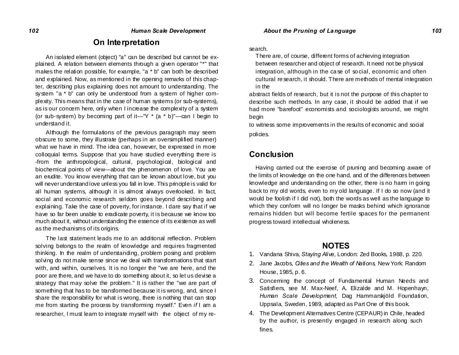# **On Interpretation**

An isolated element (object) "a" can be described but cannot be explained. A relation between elements through a given operator "\*" that makes the relation possible, for example, "a \* b" can both be described and explained. Now, as mentioned in the opening remarks of this chapter, describing plus explaining does not amount to understanding. The system "a \* b" can only be understood from a system of higher complexity. This means that in the case of human systems (or sub-systems), as is our concern here, only when I increase the complexity of a system (or sub-system) by becoming part of it—"Y  $*$  (a  $*$  b)"—can I begin to understand it.

Although the formulations of the previous paragraph may seem obscure to some, they illustrate (perhaps in an oversimplified manner) what we have in mind. The idea can, however, be expressed in more colloquial terms. Suppose that you have studied everything there is -from the anthropological, cultural, psychological, biological and biochemical points of view—about the phenomenon of love. You are an erudite. You know everything that can be known about love, but you will never understand love unless you fall in love. This principle is valid for all human systems, although it is almost always overlooked. In fact, social and economic research seldom goes beyond describing and explaining. Take the case of poverty, for instance. I dare say that if we have so far been unable to eradicate poverty, it is because we know too much about it, without understanding the essence of its existence as well as the mechanisms of its origins.

The last statement leads me to an additional reflection. Problem solving belongs to the realm of knowledge and requires fragmented thinking. In the realm of understanding, problem posing and problem solving do not make sense since we deal with transformations that start with, and within, ourselves. It is no longer the "we are here, and the poor are there, and we have to do something about it, so let us devise a strategy that may solve the problem." It is rather the "we are part of something that has to be transformed because it is wrong, and, since I share the responsibility for what is wrong, there is nothing that can stop me from starting the process by transforming myself." Even *if* I am a researcher, I must learn to integrate myself with the object of my research.

There are, of course, different forms of achieving integration between researcher and object of research. It need not be physical integration, although in the ca se of so cial, economic and often cultural re search, it should. There are methods of mental integration in the

abstract fields of research, but it is not the purpose of this chapter to describe such methods. In any case, it should be added that if we had more "barefoot" economists and sociologists around, we might begin

to witness some improvements in the results of economic and social policies.

# **Conclusion**

Having carried out the exercise of pruning and becoming aware of the limits of knowledge on the one hand, and of the differences between knowledge and understanding on the other, there is no harm in going back to my old words, even to my old language. If I do so now (and it would be foolish if I did not), both the words as well as the language to which they conform will no longer be masks behind which ignorance remains hidden but will become fertile spaces for the permanent progress toward intellectual wholeness.

# **NOTES**

- 1. Vandana Shiva, *Staying Alive,* London: Zed Books, 1988, p. 220.
- 2. Jane Jacobs, *Cities and the Wealth of Nations,* New York: Random House, 1985, p. 6.
- 3. Concerning the concept of Fundamental Human Needs and Satisfiers, see M. Max-Neef, A. Elizalde and M. Hopenhayn, *Human Scale Development,* Dag Hammarskjöld Foundation, Uppsala, Sweden, 1989, adapted as Part One of this book.
- 4. The Development Alternatives Centre (CEPAUR) in Chile, headed by the author, is presently engaged in research along such fines.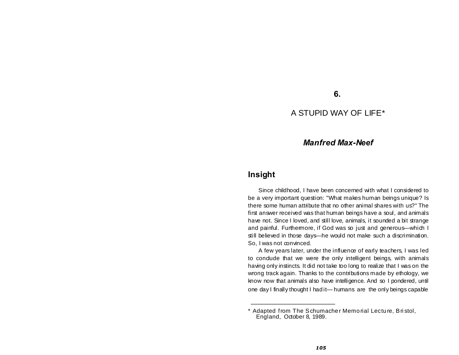# **6.**

# A STUPID WAY OF LIFE\*

## *Manfred Max-Neef*

# **Insight**

Since childhood, I have been concerned with what I considered to be a very important question: "What makes human beings unique? Is there some human attribute that no other animal shares with us?" The first answer received was that human beingshave a soul, and animals have not. Since I loved, and still love, animals, it sounded a bit strange and painful. Furthermore, if God was so just and generous—which I still believed in those days—he would not make such a discrimination. So, I was not convinced.

A few years later, under the influence of early teachers, I was led to condude that we were the only intelligent beings, with animals having only instincts. It did not take too long to realize that I was on the wrong track again. Thanks to the contributions made by ethology, we know now that animals also have intelligence. And so I pondered, until one day I finally thought I had it— humans are the only beings capable

<sup>\*</sup> Adapted from The Schumache r Memo rial Lectu re, Bri stol, England, October 8, 1989.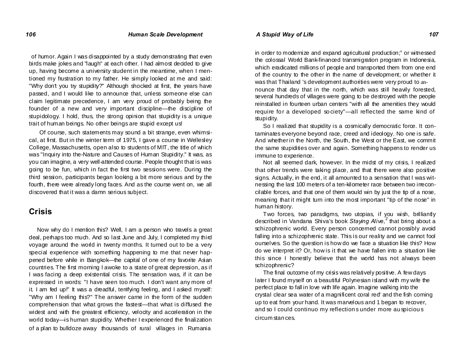of humor. Again I was disappointed by a study demonstrating that even birds make jokes and "laugh" at each other. I had almost decided to give up, having become a university student in the meantime, when I mentioned my frustration to my father. He simply looked at me and said: "Why don't you try stupidity?" Although shocked at first, the years have passed, and I would like to announce that, unless someone else can claim legitimate precedence, I am very proud of probably being the founder of a new and very important discipline—the discipline of stupidology. I hold, thus, the strong opinion that stupidity is a unique trait of human beings. No other beings are stupid except us!

Of course, such statements may sound a bit strange, even whimsical, at first. But in the winter term of 1975, I gave a course in Wellesley College, Massachusetts, open also to students of MIT, the title of which was "Inquiry into the-Nature and Causes of Human Stupidity." It was, as you can imagine, a very well-attended course. People thought that is was going to be fun, which in fact the first two sessions were. During the third session, participants began looking a bit more serious and by the fourth, there were already long faces. And as the course went on, we all discovered that it was a damn serious subject.

# **Crisis**

Now why do I mention this? Well, I am a person who travels a great deal, perhaps too much. And so last June and July, I completed my third voyage around the world in twenty months. It turned out to be a very special experience with something happening to me that never happened before while in Bangkok—the capital of one of my favorite Asian countries. The first morning I awoke to a state of great depression, as if I was facing a deep existential crisis. The sensation was, if it can be expressed in words: "I have seen too much. I don't want any more of it. I am fed up!" It was a dreadful, terrifying feeling, and I asked myself: "Why am I feeling this?" The answer carne in the form of the sudden comprehension that what grows the fastest—that what is diffused the widest and with the greatest efficiency, velocity and acceleration in the world today—is human stupidity. Whether I experienced the finalization of a plan to bulldoze away thousands of rural villages in Rumania

in order to modernize and expand agricultural production;' or witnessed the colossal World Bank-financed transmigration program in Indonesia, which eradicated millions of people and transported them from one end of the country to the other in the name of development; or whether it was that Thailand 's development authorities were very proud to announce that day that in the north, which was still heavily forested, several hundreds of villages were going to be destroyed with the people reinstalled in fourteen urban centers "with all the amenities they would require for a developed society"—all reflected the same kind of stupidity.

So I realized that stupidity is a cosmically democratic force. It contaminates everyone beyond race, creed and ideology. No one is safe. And whether in the North, the South, the West or the East, we commit the same stupidities over and again. Something happens to render us immune to experience.

Not all seemed dark, however. In the midst of my crisis, I realized that other trends were taking place, and that there were also positive signs. Actually, in the end, it all amounted to a sensation that I was witnessing the last 100 meters of a ten-kilometer race between two irreconcilable forces, and that one of them would win by just the tip of a nose, meaning that it might turn into the most important "tip of the nose" in human history.

Two forces, two paradigms, two utopias, if you wish, brilliantly described in Vandana Shiva's book Staying Alive, <sup>2</sup> that bring about a schizophrenic world. Every person concerned cannot possibly avoid falling into a schizophrenic state. This is our reality and we cannot fool ourselves. So the question is how do we face a situation like this? How do we interpret it? Or, how is it that we have fallen into a situation like this since I honestly believe that the world has not always been schizophrenic?

The final outcome of my crisis was relatively positive. A few days later I found myself on a beautiful Polynesian island with my wife the perfect place to fall in love with life again. Imagine walking into the crystal clear sea water of a magnificent coral red' and the fish coming up to eat from your hand. It was marvelous and 1 began to recover, and so I could continuo my reflection s under more au spiciou s circum stances.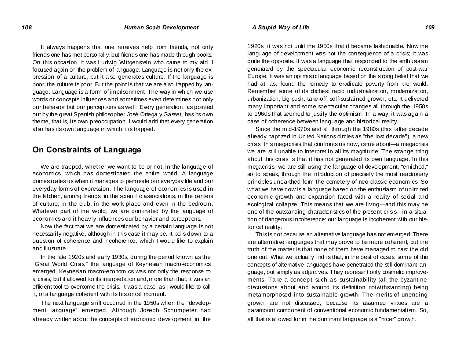It always happens that one receives help from friends, not only friends one has met personally, but friends one has made through books. On this occasion, it was Ludwig Wittgenstein who came to my aid. I focused again on the problem of language. Language is not only the expression of a culture, but it also generates culture. If the language is poor, the culture is poor. But the point is that we are also trapped by language. Language is a form of imprisonment. The way in which we use words or concepts influences and sometimes even determines not only our behavior but our perceptions as well. Every generation, as pointed out by the great Spanish philosopher José Ortega y Gasset, has its own theme, that is, its own preoccupation. I would add that every generation also has its own language in which it is trapped.

# **On Constraints of Language**

We are trapped, whether we want to be or not, in the language of economics, which has domesticated the entire world. A language domesticates us when it manages to permeate our everyday life and our everyday forms of expression. The language of economics is u sed in the kitchen, among friends, in the scientific associations, in the centers of culture, in the club, in the work place and even in the bedroom. Whatever part of the world, we are dominated by the language of economics and it heavily influences our behavior and perceptions.

Now the fact that we are domesticated by a certain language is not necessarily negative, although in this case it may be. It boils down to a question of coherence and incoherence, which I would like to explain and illustrate.

In the late 1920s and early 1930s, during the period known as the "Great World Crisis," the language of Keynesian macro-economics emerged. Keynesian macro-economics was not only the response to a crisis, but it allowed for its interpretation and,more than that, it was an efficient tool to overcome the crisis. It was a case, as I would like to call it, of a language coherent with its historical moment.

The next language shift occurred in the 1950s when the "development language" emerged. Although Joseph Schumpeter had already written about the concepts of economic development in the

1920s, it was not until the 1950s that it became fashionable. Now the language of development was not the consequence of a crisis; it was quite the opposite. It was a language that responded to the enthusiasm generated by the spectacular economic reconstruction of post-war Europe. It was an optimisticlanguage based on the strong belief that we had at last found the remedy to eradicate poverty from the world. Remember some of its diches: rapid industrialization, modernization, urbanization, big push, take-off, self-sustained growth, etc. It delivered many important and some spectacular changes all through the 1950s to 1960s that seemed to justify the optimism. In a way, it was again a case of coherence between language and historical reality.

Since the mid-1970s and all through the 1980s (this latter decade already baptized in United Nations circles as "the lost decade"), a new crisis, this megacrisis that confronts us now, came about—a megacrisis we are still unable to interpret in all its magnitude. The strange thing about this crisis is that it has not generated its own language. In this megacrisis, we are still using the language of development, "enriched," so to speak, through the introduction of precisely the most reactionary principles unearthed form the cemetery of neo-classic economics. So what we have now is a language based on the enthusiasm of unlimited economic growth and expansion faced with a reality of social and ecological collapse. This means that we are living—and this may be one of the outstanding characteristics of the present crisis—in a situation of dangerous incoherence: our language is incoherent with our historical reality.

Thisis not because an alternative language has not emerged. There are alternative languages that may prove to be more coherent, but the truth of the matter is that none of them have managed to cast the old one out. What we actually find is that, in the best of cases, some of the concepts of alternative languages have penetrated the still dominant language, but simply as adjectives. They represent only cosmetic improvements. Take a concept such as sustainability (all the byzantine discussions about and around its definition notwithstanding) being metamorphosed into su stainable growth. The merits of unending growth are not discussed, because its assumed virtues are a paramount component of conventional economic fundamentalism. So, all that is allowed for in the dominant language is a "nicer" growth.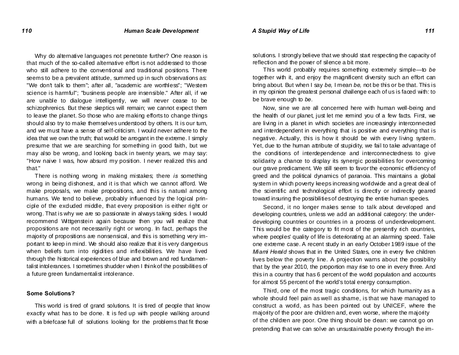Why do alternative languages not penetrate further? One reason is that much of the so-called alternative effort is not addressed to those who still adhere to the conventional and traditional positions. There seems to be a prevalent attitude, summed up in such observations as: "We don't talk to them"; after all, "academic are worthless"; "Westem science is harmful"; "business people are insensible." After all, if we are unable to dialogue intelligently, we will never cease to be schizophrenics. But these skeptics will remain; we cannot expect them to leave the planet. So those who are making efforts to change things should also try to make themselves understood by others. It is our turn, and we must have a sense of self-criticism. I would never adhere to the idea that we own the truth; that would be arrogant in the extreme. I simply presume that we are searching for something in good faith, but we may also be wrong, and looking back in twenty years, we may say: "How naive I was, how absurd my position. I never realized this and that."

There is nothing wrong in making mistakes; there *is* something wrong in being dishonest, and it is that which we cannot afford. We make proposals, we make propositions, and this is natural among humans. We tend to believe, probably influenced by the logical principle of the excluded middle, that every proposition is either right or wrong. That is why we are so passionate in always taking sides. I would recommend Wittgenstein again because then you will realize that propositions are not necessarily right or wrong. In fact, perhaps the majority of propositions are nonsensical, and this is something very important to keep in mind. We should also realize that it is very dangerous when beliefs turn into rigidities and inflexibilities. We have lived through the historical experiences of blue and brown and red fundamentalist intolerances. I sometimes shudder when I think of the possibilities of a future green fundamentalist intolerance.

## **Some Solutions?**

This world is tired of grand solutions. It is tired of people that know exactly what has to be done. It is fed up with people walking around with a briefcase full of solutions looking for the problems that fit those

solutions. I strongly believe that we should start respecting the capacity of reflection and the power of silence a bit more.

This world probably requires something extremely simple—to *be* together with it, and enjoy the magnificent diversity such an effort can bring about. But when I say *be,* I mean *be,* not be this or be that. This is in my opinion the greatest personal challenge each of us is faced with: to be brave enough to *be.*

Now, sine we are all concerned here with human well-being and the health of our planet, just let me remind you of a few facts. First, we are living in a planet in which societies are increasingly interconnected and interdependent in everything that is positive and everything that is negative. Actually, this is how it should be with every living system. Yet, due to the human attribute of stupidity, we fail to take advantage of the conditions of interdependence and interconnectedness to give solidarity a chance to display its synergic possibilities for overcoming our grave predicament. We still seem to favor the economic efficiencyof greed and the political dynamics of paranoia. This maintains a global system in which poverty keeps increasing worldwide and a great deal of the scientific and technological effort is directly or indirectly geared toward insuring the possibilities of destroying the entire human species.

Second, it no longer makes sense to talk about developed and developing countries, unless we add an additional category: the underdeveloping countries or countries in a process of underdevelopment. This would be the category to fit most of the presently rich countries, where peoples' quality of life is deteriorating at an alarming speed. Take one extreme case. A recent study in an early October 1989 issue of the *Miami Herald* shows that in the United States, one in every five children lives below the poverty line. A projection warns about the possibility that by the year 2010, the proportion may rise to one in every three. And this in a country that has 6 percent of the world population and accounts for almost 55 percent of the world's total energy consumption.

Third, one of the most tragic conditions, for which humanity as a whole should feel pain as well as shame, is that we have managed to construct a world, as has been pointed out by UNICEF, where the majority of the poor are children and, even worse, where the majority of the children are poor. One thing should be dean: we cannot go on pretending that we can solve an unsustainable poverty through the im-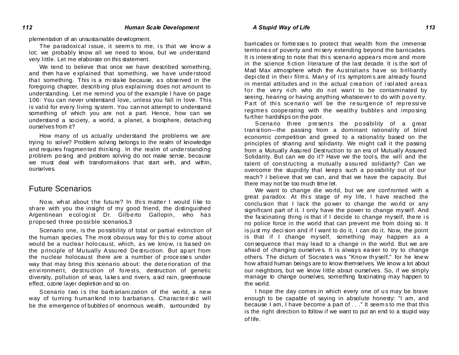#### plementation of an unsustainable development.

The paradoxical issue, it seems to me, is that we know a lot; we probably know all we need to know, but we understand very little. Let me elaborate on this statement.

We tend to believe that once we have described something, and then have explained that something, we have understood that something. This is a mistake because, as observed in the foregoing chapter, describing plus explaining does not amount to understanding. Let me remind you of the example I have on page 106: You can never understand love, unless you fall in love. This is valid for eve ry living system. You cannot attempt to understand something of which you are not a part. Hence, how can we understand a so ciety, a world, a planet, a biosphere, detaching ourselves from it?

How many of us actually understand the problems we are trying to solve? Problem solving belongs to the realm of knowledge and requires fragmented thinking. In the realm of understanding p roblem po sing and problem solving do not make sense, because we must deal with transformations that start with, and within, ourselves.

# Future Scenarios

Now, what about the future? In this matter I would like to sh are with you the insight of my good friend, the distinguished Argentinean e cologist Dr. Gilberto Gallopin, who has p ropo sed th ree po ssi ble scenarios.3

Scenario one, is the po ssibility of total or partial extinction of the human species. The most obvious way for thi s to come about would be a nuclear holo caust, which, as we know, is based on the p rinciple of Mu tually Assu red De stru ction. But ap art from the nuclear holocaust there are a number of processes under way that may bring this scena rio ab out: the dete rioration of the en vi ronmen t, de stru ction of fo re sts, destruction of genetic diversity, pollution of seas, la ke s and rivers, a sid rain, greenhouse effect, ozone layer depletion and so on.

Scenario two is the barbarianization of the world, a new way of turning human kind into barbarians. Characteristic will be the emergence of bubbles of enormous wealth, surrounded by

barricades or fortresses to protect that wealth from the immense territo rie s of poverty and mi sery extending beyond the barricades. It is interesting to note that this scenario appears more and more in the science fi ction literature of the last decade. It is the sort of Mad Max atmosphere which the Australians have so brilliantly depicted in their films. Many of its symptoms are already found in mental attitudes and in the actual creation of isolated areas for the very rich who do not want to be contaminated by seeing, hearing or having anything whatsoever to do with poverty. Part of this scenario will be the resurgence of repressive regimes cooperating with the wealthy bubbles and imposing fu rther hardships on the poor.

Scenario three presents the possibility of a great tran si tion—the passing from a dominant rationality of blind economic competition and greed to a rationality based on the principles of sharing and solidarity. We might call it the passing from a Mutually Assu red Destruction to an era of Mutually Assured Solidarity. But can we do it? Have we the tools, the will and the talent of con structing a mutually a ssu red solidarity? Can we overcome the stupidity that keeps such a possibility out of our reach? I believe that we can, and that we have the capacity. But there may not be too much time let.

We want to change die wo rld, but we are confronted with a great paradox. At this stage of my life, I have reached the conclusion that I lack the power to change the world or any significant part of it. I only have the power to change myself. And the fa scinating thing is that if I decide to change myself, the re i s no police force in the world that can prevent me from doing so. It is just my decision and if I want to do it, I can do it. Now, the point is that if I change myself, something may happen as a con sequence that may lead to a change in the world. But we are afraid of changing ourselve s. It is always ea sier to try to change others. The dictum of Socrates was "Know thyself," for he knew how afraid human beings are to know themselves. We know a lot about our neighbors, but we know little about ourselves. So, if we simply manage to change ourselves, something fascinating may happen to the world.

I hope the day comes in which every one of us may be brave enough to be capable of saying in absolute honesty: "I am, and because I am, I have become a part of . . ." It seem s to me that this is the right direction to follow if we want to put an end to a stupid way of life.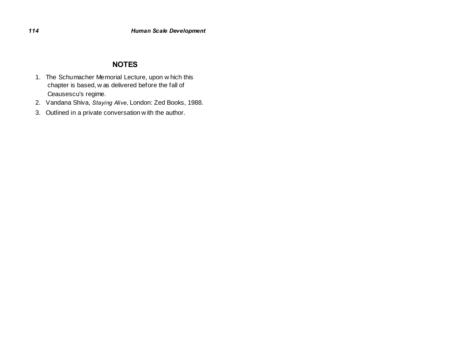# **NOTES**

- 1. The Schumacher Memorial Lecture, upon w hich this chapter is based, w as delivered before the fall of Ceausescu's regime.
- 2. Vandana Shiva, *Staying Alive,* London: Zed Books, 1988.
- 3. Outlined in a private conversation w ith the author.